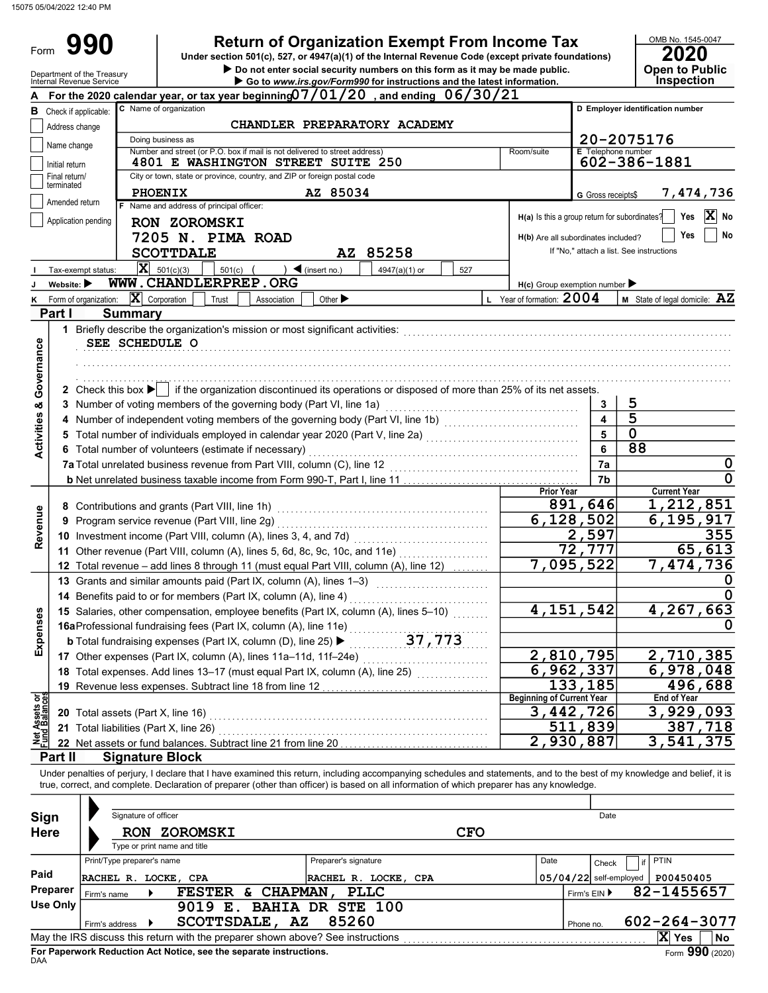Form 990

| <b>Return of Organization Exempt From Income Tax</b> |  |  |
|------------------------------------------------------|--|--|
|                                                      |  |  |

Do not enter social security numbers on this form as it may be made public. **Open to Public 990** Return of Organization Exempt From Income Tax Under Section 501(c), 527, or 4947(a)(1) of the Internal Revenue Code (except private foundations) 2020

OMB No. 1545-0047

|                                |                                | Department of the Treasury<br>Internal Revenue Service |                            |                                                 |                                                                          |                                                                            | $\blacktriangleright$ Do not enter social security numbers on this form as it may be made public.<br>Go to www.irs.gov/Form990 for instructions and the latest information. |                                               |                           | <b>Open to Public</b><br>Inspection                                                                                                                                        |
|--------------------------------|--------------------------------|--------------------------------------------------------|----------------------------|-------------------------------------------------|--------------------------------------------------------------------------|----------------------------------------------------------------------------|-----------------------------------------------------------------------------------------------------------------------------------------------------------------------------|-----------------------------------------------|---------------------------|----------------------------------------------------------------------------------------------------------------------------------------------------------------------------|
|                                |                                |                                                        |                            |                                                 |                                                                          |                                                                            | For the 2020 calendar year, or tax year beginning 07/01/20, and ending 06/30/21                                                                                             |                                               |                           |                                                                                                                                                                            |
|                                | <b>B</b> Check if applicable:  |                                                        |                            | C Name of organization                          |                                                                          |                                                                            |                                                                                                                                                                             |                                               |                           | D Employer identification number                                                                                                                                           |
|                                | Address change                 |                                                        |                            |                                                 |                                                                          | <b>CHANDLER PREPARATORY ACADEMY</b>                                        |                                                                                                                                                                             |                                               |                           |                                                                                                                                                                            |
|                                |                                |                                                        |                            | Doing business as                               |                                                                          |                                                                            |                                                                                                                                                                             |                                               |                           | 20-2075176                                                                                                                                                                 |
|                                | Name change                    |                                                        |                            |                                                 |                                                                          | Number and street (or P.O. box if mail is not delivered to street address) |                                                                                                                                                                             | Room/suite                                    | <b>E</b> Telephone number |                                                                                                                                                                            |
|                                | Initial return                 |                                                        |                            |                                                 |                                                                          | 4801 E WASHINGTON STREET SUITE 250                                         |                                                                                                                                                                             |                                               |                           | 602-386-1881                                                                                                                                                               |
|                                | Final return/<br>terminated    |                                                        |                            |                                                 | City or town, state or province, country, and ZIP or foreign postal code |                                                                            |                                                                                                                                                                             |                                               |                           |                                                                                                                                                                            |
|                                | Amended return                 |                                                        |                            | <b>PHOENIX</b>                                  |                                                                          | AZ 85034                                                                   |                                                                                                                                                                             |                                               | G Gross receipts\$        | 7,474,736                                                                                                                                                                  |
|                                |                                |                                                        |                            | F Name and address of principal officer:        |                                                                          |                                                                            |                                                                                                                                                                             |                                               |                           | X No<br>H(a) Is this a group return for subordinates?<br>Yes                                                                                                               |
|                                |                                | Application pending                                    |                            | <b>RON ZOROMSKI</b>                             |                                                                          |                                                                            |                                                                                                                                                                             |                                               |                           | Yes<br>No                                                                                                                                                                  |
|                                |                                |                                                        |                            |                                                 | 7205 N. PIMA ROAD                                                        |                                                                            |                                                                                                                                                                             | H(b) Are all subordinates included?           |                           | If "No," attach a list. See instructions                                                                                                                                   |
|                                |                                |                                                        |                            | <b>SCOTTDALE</b>                                |                                                                          | AZ 85258                                                                   |                                                                                                                                                                             |                                               |                           |                                                                                                                                                                            |
|                                |                                | Tax-exempt status:                                     |                            | $\mathbf{X}$ 501(c)(3)                          | 501(c)                                                                   | $\blacktriangleleft$ (insert no.)                                          | 4947(a)(1) or<br>527                                                                                                                                                        |                                               |                           |                                                                                                                                                                            |
|                                | Website: $\blacktriangleright$ |                                                        |                            |                                                 | WWW.CHANDLERPREP.ORG                                                     |                                                                            |                                                                                                                                                                             | $H(c)$ Group exemption number                 |                           |                                                                                                                                                                            |
| ĸ                              | Part I                         | Form of organization:                                  |                            | $ \mathbf{X} $ Corporation                      | Trust<br>Association                                                     | Other $\blacktriangleright$                                                |                                                                                                                                                                             | L Year of formation: $2004$                   |                           | <b>M</b> State of legal domicile: $\mathbf{AZ}$                                                                                                                            |
|                                |                                |                                                        | <b>Summary</b>             |                                                 |                                                                          |                                                                            |                                                                                                                                                                             |                                               |                           |                                                                                                                                                                            |
|                                |                                |                                                        |                            | SEE SCHEDULE O                                  |                                                                          |                                                                            |                                                                                                                                                                             |                                               |                           | 1 Briefly describe the organization's mission or most significant activities: www.communities.com/www.communities.com/www.communities.com                                  |
|                                |                                |                                                        |                            |                                                 |                                                                          |                                                                            |                                                                                                                                                                             |                                               |                           |                                                                                                                                                                            |
| Governance                     |                                |                                                        |                            |                                                 |                                                                          |                                                                            |                                                                                                                                                                             |                                               |                           |                                                                                                                                                                            |
|                                |                                |                                                        |                            |                                                 |                                                                          |                                                                            | 2 Check this box $\blacktriangleright$ if the organization discontinued its operations or disposed of more than 25% of its net assets.                                      |                                               |                           |                                                                                                                                                                            |
|                                |                                |                                                        |                            |                                                 |                                                                          | 3 Number of voting members of the governing body (Part VI, line 1a)        |                                                                                                                                                                             |                                               | 3                         | 5                                                                                                                                                                          |
|                                |                                |                                                        |                            |                                                 |                                                                          |                                                                            | 4 Number of independent voting members of the governing body (Part VI, line 1b) [1] [1] [1] Number of independent voting members of the governing body (Part VI, line 1b)   |                                               | 4                         | 5                                                                                                                                                                          |
| <b>Activities &amp;</b>        |                                |                                                        |                            |                                                 |                                                                          |                                                                            | 5 Total number of individuals employed in calendar year 2020 (Part V, line 2a) [[[[[[[[[[[[[[[[[[[[[[[[[[[[[[                                                               |                                               | 5                         | $\mathbf 0$                                                                                                                                                                |
|                                |                                |                                                        |                            |                                                 | 6 Total number of volunteers (estimate if necessary)                     |                                                                            |                                                                                                                                                                             |                                               | 6                         | 88                                                                                                                                                                         |
|                                |                                |                                                        |                            |                                                 |                                                                          | 7a Total unrelated business revenue from Part VIII, column (C), line 12    |                                                                                                                                                                             |                                               | 7a                        | $\mathbf 0$                                                                                                                                                                |
|                                |                                |                                                        |                            |                                                 |                                                                          |                                                                            |                                                                                                                                                                             |                                               | 7b                        | 0                                                                                                                                                                          |
|                                |                                |                                                        |                            |                                                 |                                                                          |                                                                            |                                                                                                                                                                             | <b>Prior Year</b>                             |                           | <b>Current Year</b>                                                                                                                                                        |
|                                |                                |                                                        |                            | 8 Contributions and grants (Part VIII, line 1h) |                                                                          |                                                                            |                                                                                                                                                                             |                                               | 891,646                   | 1,212,851                                                                                                                                                                  |
| Revenue                        | 9                              |                                                        |                            |                                                 |                                                                          |                                                                            |                                                                                                                                                                             | 6,128,502                                     |                           | 6,195,917                                                                                                                                                                  |
|                                |                                |                                                        |                            |                                                 |                                                                          |                                                                            |                                                                                                                                                                             |                                               | 2,597                     | 355                                                                                                                                                                        |
|                                |                                |                                                        |                            |                                                 |                                                                          |                                                                            | 11 Other revenue (Part VIII, column (A), lines 5, 6d, 8c, 9c, 10c, and 11e)                                                                                                 |                                               | 72,777                    | 65,613                                                                                                                                                                     |
|                                |                                |                                                        |                            |                                                 |                                                                          |                                                                            | 12 Total revenue - add lines 8 through 11 (must equal Part VIII, column (A), line 12)                                                                                       | 7,095,522                                     |                           | 7,474,736                                                                                                                                                                  |
|                                |                                |                                                        |                            |                                                 |                                                                          |                                                                            | 13 Grants and similar amounts paid (Part IX, column (A), lines 1-3)                                                                                                         |                                               |                           |                                                                                                                                                                            |
|                                |                                |                                                        |                            |                                                 | 14 Benefits paid to or for members (Part IX, column (A), line 4)         |                                                                            |                                                                                                                                                                             |                                               |                           |                                                                                                                                                                            |
|                                |                                |                                                        |                            |                                                 |                                                                          |                                                                            | 15 Salaries, other compensation, employee benefits (Part IX, column (A), lines 5-10)                                                                                        | 4, 151, 542                                   |                           | 4,267,663                                                                                                                                                                  |
|                                |                                |                                                        |                            |                                                 |                                                                          | 16aProfessional fundraising fees (Part IX, column (A), line 11e)           |                                                                                                                                                                             |                                               |                           |                                                                                                                                                                            |
| Expenses                       |                                |                                                        |                            |                                                 |                                                                          |                                                                            |                                                                                                                                                                             |                                               |                           |                                                                                                                                                                            |
|                                |                                |                                                        |                            |                                                 |                                                                          |                                                                            |                                                                                                                                                                             | 2,810,795                                     |                           | 2,710,385                                                                                                                                                                  |
|                                |                                |                                                        |                            |                                                 |                                                                          |                                                                            | 18 Total expenses. Add lines 13-17 (must equal Part IX, column (A), line 25)                                                                                                | 6,962,337                                     |                           | 6,978,048                                                                                                                                                                  |
|                                |                                |                                                        |                            |                                                 | 19 Revenue less expenses. Subtract line 18 from line 12                  |                                                                            |                                                                                                                                                                             |                                               | 133,185                   | 496,688<br><b>End of Year</b>                                                                                                                                              |
| Net Assets or<br>Fund Balances |                                |                                                        |                            |                                                 |                                                                          |                                                                            |                                                                                                                                                                             | <b>Beginning of Current Year</b><br>3,442,726 |                           | 3,929,093                                                                                                                                                                  |
|                                |                                |                                                        |                            | 21 Total liabilities (Part X, line 26)          |                                                                          |                                                                            | 20 Total assets (Part X, line 16) <b>Consumers and Street assets (Part X, line 16)</b>                                                                                      |                                               | 511,839                   | 387,718                                                                                                                                                                    |
|                                |                                |                                                        |                            |                                                 | 22 Net assets or fund balances. Subtract line 21 from line 20            |                                                                            |                                                                                                                                                                             | $\overline{2,930,887}$                        |                           | 3,541,375                                                                                                                                                                  |
|                                | Part II                        |                                                        |                            | <b>Signature Block</b>                          |                                                                          |                                                                            |                                                                                                                                                                             |                                               |                           |                                                                                                                                                                            |
|                                |                                |                                                        |                            |                                                 |                                                                          |                                                                            |                                                                                                                                                                             |                                               |                           | Under penalties of perjury, I declare that I have examined this return, including accompanying schedules and statements, and to the best of my knowledge and belief, it is |
|                                |                                |                                                        |                            |                                                 |                                                                          |                                                                            | true, correct, and complete. Declaration of preparer (other than officer) is based on all information of which preparer has any knowledge.                                  |                                               |                           |                                                                                                                                                                            |
|                                |                                |                                                        |                            |                                                 |                                                                          |                                                                            |                                                                                                                                                                             |                                               |                           |                                                                                                                                                                            |
|                                | Sign                           |                                                        | Signature of officer       |                                                 |                                                                          |                                                                            |                                                                                                                                                                             |                                               | Date                      |                                                                                                                                                                            |
|                                | <b>Here</b>                    |                                                        |                            | RON ZOROMSKI                                    |                                                                          |                                                                            | <b>CFO</b>                                                                                                                                                                  |                                               |                           |                                                                                                                                                                            |
|                                |                                |                                                        |                            | Type or print name and title                    |                                                                          |                                                                            |                                                                                                                                                                             |                                               |                           |                                                                                                                                                                            |
|                                |                                |                                                        | Print/Type preparer's name |                                                 |                                                                          | Preparer's signature                                                       |                                                                                                                                                                             | Date                                          | Check                     | <b>PTIN</b>                                                                                                                                                                |
| Paid                           |                                |                                                        |                            | RACHEL R. LOCKE, CPA                            |                                                                          | RACHEL R. LOCKE, CPA                                                       |                                                                                                                                                                             |                                               | $05/04/22$ self-employed  | P00450405                                                                                                                                                                  |
|                                | Preparer                       | Firm's name                                            |                            |                                                 |                                                                          | FESTER & CHAPMAN, PLLC                                                     |                                                                                                                                                                             |                                               | Firm's EIN ▶              | 82-1455657                                                                                                                                                                 |
|                                | <b>Use Only</b>                |                                                        |                            |                                                 |                                                                          | 9019 E. BAHIA DR STE 100                                                   |                                                                                                                                                                             |                                               |                           |                                                                                                                                                                            |
|                                |                                | Firm's address                                         |                            |                                                 | SCOTTSDALE, AZ                                                           | 85260                                                                      |                                                                                                                                                                             |                                               | Phone no.                 | 602-264-3077                                                                                                                                                               |
|                                |                                |                                                        |                            |                                                 |                                                                          |                                                                            |                                                                                                                                                                             |                                               |                           | $ \mathbf{X} $ Yes<br>No.                                                                                                                                                  |

| Sign             | Signature of officer          |                                                                                                                                                       |                                                 | Date |                           |                          |                            |                              |  |
|------------------|-------------------------------|-------------------------------------------------------------------------------------------------------------------------------------------------------|-------------------------------------------------|------|---------------------------|--------------------------|----------------------------|------------------------------|--|
| <b>Here</b>      |                               | <b>RON ZOROMSKI</b><br>Type or print name and title                                                                                                   | <b>CFO</b>                                      |      |                           |                          |                            |                              |  |
|                  | Print/Type preparer's name    |                                                                                                                                                       | Preparer's signature                            | Date |                           | Check                    | <b>PTIN</b>                |                              |  |
| Paid<br>Preparer | RACHEL R. LOCKE, CPA          |                                                                                                                                                       | RACHEL R. LOCKE, CPA                            |      |                           | $05/04/22$ self-employed | P00450405                  |                              |  |
| Use Only         | Firm's name<br>Firm's address | <b>CHAPMAN</b><br><b>FESTER</b><br>&.<br>9019<br>Е.<br>SCOTTSDALE, AZ                                                                                 | <b>PLLC</b><br><b>BAHIA DR STE 100</b><br>85260 |      | Firm's $EIN$<br>Phone no. |                          | 82-1455657<br>602-264-3077 |                              |  |
|                  |                               | May the IRS discuss this return with the preparer shown above? See instructions<br>For Paperwork Reduction Act Notice, see the separate instructions. |                                                 |      |                           |                          | X<br><b>Yes</b>            | <b>No</b><br>Form 990 (2020) |  |

DAA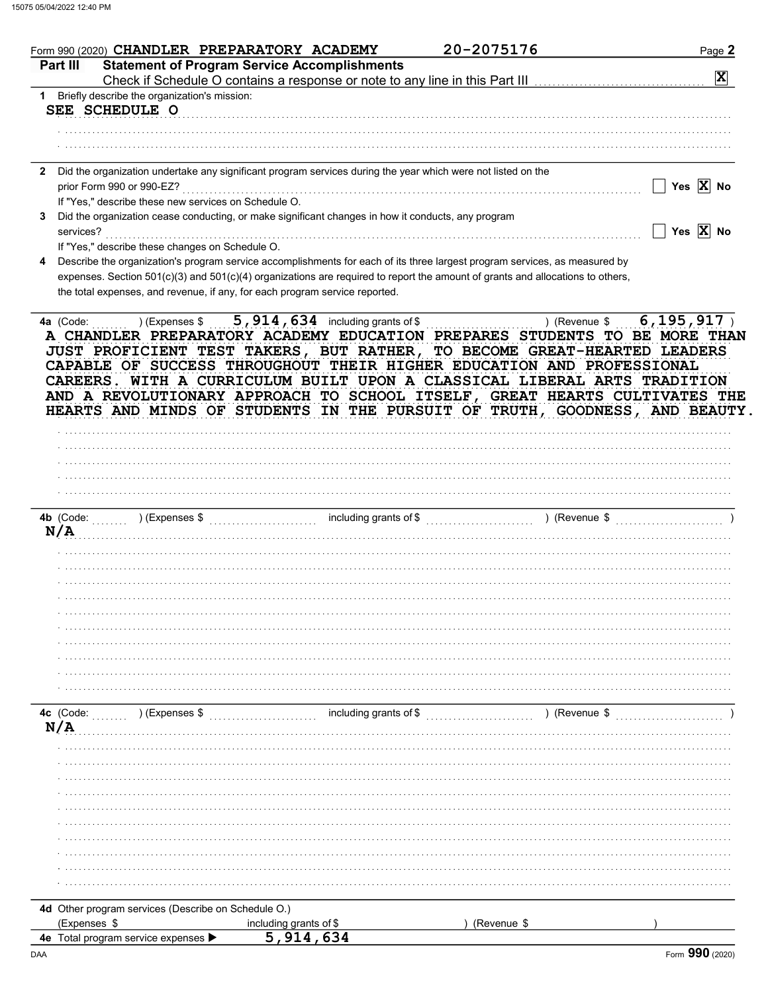| Part III                             |                                                      |                                                                                                                                     | 20-2075176                                                                                                                                                                                                                           |                       |
|--------------------------------------|------------------------------------------------------|-------------------------------------------------------------------------------------------------------------------------------------|--------------------------------------------------------------------------------------------------------------------------------------------------------------------------------------------------------------------------------------|-----------------------|
|                                      |                                                      | <b>Statement of Program Service Accomplishments</b><br>Check if Schedule O contains a response or note to any line in this Part III |                                                                                                                                                                                                                                      | X                     |
|                                      | 1 Briefly describe the organization's mission:       |                                                                                                                                     |                                                                                                                                                                                                                                      |                       |
| SEE SCHEDULE O                       |                                                      |                                                                                                                                     |                                                                                                                                                                                                                                      |                       |
|                                      |                                                      |                                                                                                                                     |                                                                                                                                                                                                                                      |                       |
|                                      |                                                      |                                                                                                                                     |                                                                                                                                                                                                                                      |                       |
|                                      |                                                      |                                                                                                                                     |                                                                                                                                                                                                                                      |                       |
| prior Form 990 or 990-EZ?            |                                                      | 2 Did the organization undertake any significant program services during the year which were not listed on the                      |                                                                                                                                                                                                                                      | Yes $\overline{X}$ No |
|                                      | If "Yes," describe these new services on Schedule O. |                                                                                                                                     |                                                                                                                                                                                                                                      |                       |
|                                      |                                                      | Did the organization cease conducting, or make significant changes in how it conducts, any program                                  |                                                                                                                                                                                                                                      |                       |
| services?                            |                                                      |                                                                                                                                     |                                                                                                                                                                                                                                      | Yes $\overline{X}$ No |
|                                      | If "Yes," describe these changes on Schedule O.      |                                                                                                                                     |                                                                                                                                                                                                                                      |                       |
|                                      |                                                      | Describe the organization's program service accomplishments for each of its three largest program services, as measured by          |                                                                                                                                                                                                                                      |                       |
|                                      |                                                      | expenses. Section 501(c)(3) and 501(c)(4) organizations are required to report the amount of grants and allocations to others,      |                                                                                                                                                                                                                                      |                       |
|                                      |                                                      | the total expenses, and revenue, if any, for each program service reported.                                                         |                                                                                                                                                                                                                                      |                       |
|                                      |                                                      |                                                                                                                                     | CAREERS. WITH A CURRICULUM BUILT UPON A CLASSICAL LIBERAL ARTS TRADITION<br>AND A REVOLUTIONARY APPROACH TO SCHOOL ITSELF, GREAT HEARTS CULTIVATES THE<br>HEARTS AND MINDS OF STUDENTS IN THE PURSUIT OF TRUTH, GOODNESS, AND BEAUTY |                       |
|                                      |                                                      |                                                                                                                                     |                                                                                                                                                                                                                                      |                       |
|                                      |                                                      |                                                                                                                                     |                                                                                                                                                                                                                                      |                       |
|                                      |                                                      |                                                                                                                                     |                                                                                                                                                                                                                                      |                       |
|                                      |                                                      |                                                                                                                                     |                                                                                                                                                                                                                                      |                       |
|                                      |                                                      |                                                                                                                                     |                                                                                                                                                                                                                                      |                       |
|                                      | ) (Expenses \$                                       | including grants of \$                                                                                                              | ) (Revenue \$                                                                                                                                                                                                                        |                       |
|                                      |                                                      |                                                                                                                                     |                                                                                                                                                                                                                                      |                       |
|                                      |                                                      |                                                                                                                                     |                                                                                                                                                                                                                                      |                       |
|                                      |                                                      |                                                                                                                                     |                                                                                                                                                                                                                                      |                       |
|                                      |                                                      |                                                                                                                                     |                                                                                                                                                                                                                                      |                       |
|                                      |                                                      |                                                                                                                                     |                                                                                                                                                                                                                                      |                       |
|                                      |                                                      |                                                                                                                                     |                                                                                                                                                                                                                                      |                       |
|                                      |                                                      |                                                                                                                                     |                                                                                                                                                                                                                                      |                       |
|                                      |                                                      |                                                                                                                                     |                                                                                                                                                                                                                                      |                       |
|                                      |                                                      |                                                                                                                                     |                                                                                                                                                                                                                                      |                       |
|                                      |                                                      |                                                                                                                                     |                                                                                                                                                                                                                                      |                       |
|                                      | ) (Expenses \$                                       | including grants of \$                                                                                                              | ) (Revenue \$                                                                                                                                                                                                                        |                       |
|                                      |                                                      |                                                                                                                                     |                                                                                                                                                                                                                                      |                       |
|                                      |                                                      |                                                                                                                                     |                                                                                                                                                                                                                                      |                       |
|                                      |                                                      |                                                                                                                                     |                                                                                                                                                                                                                                      |                       |
|                                      |                                                      |                                                                                                                                     |                                                                                                                                                                                                                                      |                       |
|                                      |                                                      |                                                                                                                                     |                                                                                                                                                                                                                                      |                       |
|                                      |                                                      |                                                                                                                                     |                                                                                                                                                                                                                                      |                       |
|                                      |                                                      |                                                                                                                                     |                                                                                                                                                                                                                                      |                       |
|                                      |                                                      |                                                                                                                                     |                                                                                                                                                                                                                                      |                       |
| 4b (Code:<br>N/A<br>4c (Code:<br>N/A |                                                      |                                                                                                                                     |                                                                                                                                                                                                                                      |                       |
|                                      |                                                      |                                                                                                                                     |                                                                                                                                                                                                                                      |                       |
|                                      | 4d Other program services (Describe on Schedule O.)  |                                                                                                                                     |                                                                                                                                                                                                                                      |                       |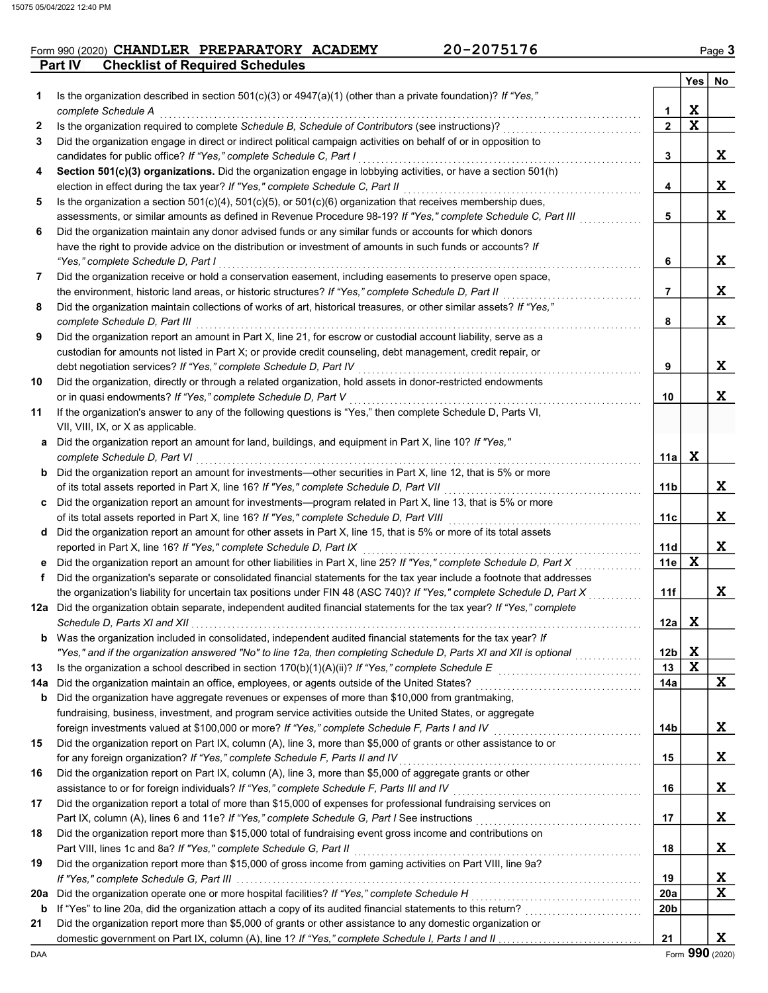## **Part IV** Checklist of Required Schedules Form 990 (2020) CHANDLER PREPARATORY ACADEMY 20-2075176 Page 3

|     |                                                                                                                                                                                                                             |                 | Yes | No          |
|-----|-----------------------------------------------------------------------------------------------------------------------------------------------------------------------------------------------------------------------------|-----------------|-----|-------------|
| 1   | Is the organization described in section $501(c)(3)$ or $4947(a)(1)$ (other than a private foundation)? If "Yes,"                                                                                                           |                 |     |             |
|     | complete Schedule A                                                                                                                                                                                                         | 1               | X   |             |
| 2   | Is the organization required to complete Schedule B, Schedule of Contributors (see instructions)?                                                                                                                           | $\mathbf{2}$    | X   |             |
| 3   | Did the organization engage in direct or indirect political campaign activities on behalf of or in opposition to                                                                                                            |                 |     |             |
|     | candidates for public office? If "Yes," complete Schedule C, Part I                                                                                                                                                         | 3               |     | X           |
| 4   | Section 501(c)(3) organizations. Did the organization engage in lobbying activities, or have a section 501(h)                                                                                                               |                 |     |             |
|     | election in effect during the tax year? If "Yes," complete Schedule C, Part II                                                                                                                                              | 4               |     | X           |
| 5   | Is the organization a section $501(c)(4)$ , $501(c)(5)$ , or $501(c)(6)$ organization that receives membership dues,                                                                                                        |                 |     |             |
|     | assessments, or similar amounts as defined in Revenue Procedure 98-19? If "Yes," complete Schedule C, Part III                                                                                                              | 5               |     | X           |
| 6   | Did the organization maintain any donor advised funds or any similar funds or accounts for which donors                                                                                                                     |                 |     |             |
|     | have the right to provide advice on the distribution or investment of amounts in such funds or accounts? If                                                                                                                 |                 |     |             |
|     | "Yes," complete Schedule D, Part I                                                                                                                                                                                          | 6               |     | X           |
| 7   | Did the organization receive or hold a conservation easement, including easements to preserve open space,                                                                                                                   | 7               |     | X           |
| 8   | the environment, historic land areas, or historic structures? If "Yes," complete Schedule D, Part II<br>Did the organization maintain collections of works of art, historical treasures, or other similar assets? If "Yes," |                 |     |             |
|     | complete Schedule D, Part III                                                                                                                                                                                               | 8               |     | X           |
| 9   | Did the organization report an amount in Part X, line 21, for escrow or custodial account liability, serve as a                                                                                                             |                 |     |             |
|     | custodian for amounts not listed in Part X; or provide credit counseling, debt management, credit repair, or                                                                                                                |                 |     |             |
|     | debt negotiation services? If "Yes," complete Schedule D, Part IV                                                                                                                                                           | 9               |     | X           |
| 10  | Did the organization, directly or through a related organization, hold assets in donor-restricted endowments                                                                                                                |                 |     |             |
|     | or in quasi endowments? If "Yes," complete Schedule D, Part V                                                                                                                                                               | 10              |     | X           |
| 11  | If the organization's answer to any of the following questions is "Yes," then complete Schedule D, Parts VI,                                                                                                                |                 |     |             |
|     | VII, VIII, IX, or X as applicable.                                                                                                                                                                                          |                 |     |             |
|     | a Did the organization report an amount for land, buildings, and equipment in Part X, line 10? If "Yes,"                                                                                                                    |                 |     |             |
|     | complete Schedule D, Part VI                                                                                                                                                                                                | 11a             | X   |             |
|     | <b>b</b> Did the organization report an amount for investments—other securities in Part X, line 12, that is 5% or more                                                                                                      |                 |     |             |
|     | of its total assets reported in Part X, line 16? If "Yes," complete Schedule D, Part VII                                                                                                                                    | 11b             |     | X           |
|     | c Did the organization report an amount for investments—program related in Part X, line 13, that is 5% or more                                                                                                              |                 |     |             |
|     | of its total assets reported in Part X, line 16? If "Yes," complete Schedule D, Part VIII [[[[[[[[[[[[[[[[[[[[                                                                                                              | 11c             |     | X           |
|     | d Did the organization report an amount for other assets in Part X, line 15, that is 5% or more of its total assets                                                                                                         |                 |     |             |
|     | reported in Part X, line 16? If "Yes," complete Schedule D, Part IX                                                                                                                                                         | 11d             |     | X           |
|     | e Did the organization report an amount for other liabilities in Part X, line 25? If "Yes," complete Schedule D, Part X                                                                                                     | 11e             | X   |             |
| f   | Did the organization's separate or consolidated financial statements for the tax year include a footnote that addresses                                                                                                     |                 |     |             |
|     | the organization's liability for uncertain tax positions under FIN 48 (ASC 740)? If "Yes," complete Schedule D, Part X                                                                                                      | 11f             |     | X           |
|     | 12a Did the organization obtain separate, independent audited financial statements for the tax year? If "Yes," complete                                                                                                     |                 | X   |             |
|     | Was the organization included in consolidated, independent audited financial statements for the tax year? If                                                                                                                | 12a             |     |             |
| b   | "Yes," and if the organization answered "No" to line 12a, then completing Schedule D, Parts XI and XII is optional                                                                                                          | 12 <sub>b</sub> | X   |             |
| 13  |                                                                                                                                                                                                                             | 13              | X   |             |
| 14a |                                                                                                                                                                                                                             | 14a             |     | X           |
| b   | Did the organization have aggregate revenues or expenses of more than \$10,000 from grantmaking,                                                                                                                            |                 |     |             |
|     | fundraising, business, investment, and program service activities outside the United States, or aggregate                                                                                                                   |                 |     |             |
|     | foreign investments valued at \$100,000 or more? If "Yes," complete Schedule F, Parts I and IV                                                                                                                              | 14b             |     | X           |
| 15  | Did the organization report on Part IX, column (A), line 3, more than \$5,000 of grants or other assistance to or                                                                                                           |                 |     |             |
|     | for any foreign organization? If "Yes," complete Schedule F, Parts II and IV                                                                                                                                                | 15              |     | X           |
| 16  | Did the organization report on Part IX, column (A), line 3, more than \$5,000 of aggregate grants or other                                                                                                                  |                 |     |             |
|     | assistance to or for foreign individuals? If "Yes," complete Schedule F, Parts III and IV                                                                                                                                   | 16              |     | X           |
| 17  | Did the organization report a total of more than \$15,000 of expenses for professional fundraising services on                                                                                                              |                 |     |             |
|     | Part IX, column (A), lines 6 and 11e? If "Yes," complete Schedule G, Part I See instructions [[[[[[[[[[[[[[[[                                                                                                               | 17              |     | X           |
| 18  | Did the organization report more than \$15,000 total of fundraising event gross income and contributions on                                                                                                                 |                 |     |             |
|     | Part VIII, lines 1c and 8a? If "Yes," complete Schedule G, Part II                                                                                                                                                          | 18              |     | X           |
| 19  | Did the organization report more than \$15,000 of gross income from gaming activities on Part VIII, line 9a?                                                                                                                |                 |     |             |
|     |                                                                                                                                                                                                                             | 19              |     | <u>x</u>    |
| 20a | Did the organization operate one or more hospital facilities? If "Yes," complete Schedule H                                                                                                                                 | 20a             |     | $\mathbf x$ |
| b   |                                                                                                                                                                                                                             | 20b             |     |             |
| 21  | Did the organization report more than \$5,000 of grants or other assistance to any domestic organization or                                                                                                                 |                 |     |             |
|     |                                                                                                                                                                                                                             | 21              |     | X           |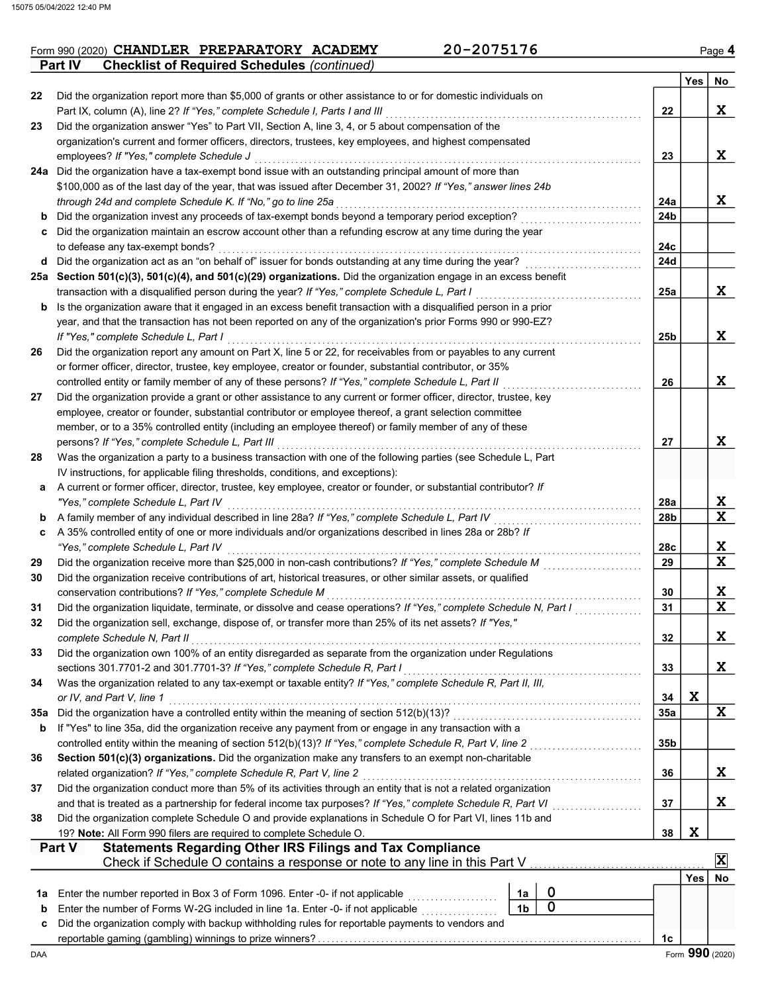|         | Form 990 (2020) CHANDLER PREPARATORY ACADEMY       | 20-2075176 | Page 4           |
|---------|----------------------------------------------------|------------|------------------|
| Part IV | <b>Checklist of Required Schedules (continued)</b> |            |                  |
|         |                                                    |            | <b>Yes</b><br>Nc |

|          |                                                                                                                                                                                                                                                                                                       |                 | Yes | No               |
|----------|-------------------------------------------------------------------------------------------------------------------------------------------------------------------------------------------------------------------------------------------------------------------------------------------------------|-----------------|-----|------------------|
| 22       | Did the organization report more than \$5,000 of grants or other assistance to or for domestic individuals on                                                                                                                                                                                         |                 |     |                  |
|          | Part IX, column (A), line 2? If "Yes," complete Schedule I, Parts I and III                                                                                                                                                                                                                           | 22              |     | X                |
| 23       | Did the organization answer "Yes" to Part VII, Section A, line 3, 4, or 5 about compensation of the                                                                                                                                                                                                   |                 |     |                  |
|          | organization's current and former officers, directors, trustees, key employees, and highest compensated                                                                                                                                                                                               |                 |     |                  |
|          | employees? If "Yes," complete Schedule J                                                                                                                                                                                                                                                              | 23              |     | X                |
|          | 24a Did the organization have a tax-exempt bond issue with an outstanding principal amount of more than                                                                                                                                                                                               |                 |     |                  |
|          | \$100,000 as of the last day of the year, that was issued after December 31, 2002? If "Yes," answer lines 24b                                                                                                                                                                                         |                 |     |                  |
|          | through 24d and complete Schedule K. If "No," go to line 25a                                                                                                                                                                                                                                          | 24a             |     | X                |
| b        | Did the organization invest any proceeds of tax-exempt bonds beyond a temporary period exception?                                                                                                                                                                                                     | 24 <sub>b</sub> |     |                  |
| c        | Did the organization maintain an escrow account other than a refunding escrow at any time during the year<br>to defease any tax-exempt bonds?                                                                                                                                                         | 24c             |     |                  |
| d        | Did the organization act as an "on behalf of" issuer for bonds outstanding at any time during the year?                                                                                                                                                                                               | 24d             |     |                  |
|          | 25a Section 501 $(c)(3)$ , 501 $(c)(4)$ , and 501 $(c)(29)$ organizations. Did the organization engage in an excess benefit                                                                                                                                                                           |                 |     |                  |
|          | transaction with a disqualified person during the year? If "Yes," complete Schedule L, Part I                                                                                                                                                                                                         | 25a             |     | X                |
| b        | Is the organization aware that it engaged in an excess benefit transaction with a disqualified person in a prior                                                                                                                                                                                      |                 |     |                  |
|          | year, and that the transaction has not been reported on any of the organization's prior Forms 990 or 990-EZ?                                                                                                                                                                                          |                 |     |                  |
|          | If "Yes," complete Schedule L, Part I                                                                                                                                                                                                                                                                 | 25b             |     | X                |
| 26       | Did the organization report any amount on Part X, line 5 or 22, for receivables from or payables to any current                                                                                                                                                                                       |                 |     |                  |
|          | or former officer, director, trustee, key employee, creator or founder, substantial contributor, or 35%                                                                                                                                                                                               |                 |     |                  |
|          | controlled entity or family member of any of these persons? If "Yes," complete Schedule L, Part II                                                                                                                                                                                                    | 26              |     | X                |
| 27       | Did the organization provide a grant or other assistance to any current or former officer, director, trustee, key                                                                                                                                                                                     |                 |     |                  |
|          | employee, creator or founder, substantial contributor or employee thereof, a grant selection committee                                                                                                                                                                                                |                 |     |                  |
|          | member, or to a 35% controlled entity (including an employee thereof) or family member of any of these                                                                                                                                                                                                |                 |     |                  |
|          | persons? If "Yes," complete Schedule L, Part III                                                                                                                                                                                                                                                      | 27              |     | X                |
| 28       | Was the organization a party to a business transaction with one of the following parties (see Schedule L, Part                                                                                                                                                                                        |                 |     |                  |
|          | IV instructions, for applicable filing thresholds, conditions, and exceptions):                                                                                                                                                                                                                       |                 |     |                  |
| а        | A current or former officer, director, trustee, key employee, creator or founder, or substantial contributor? If                                                                                                                                                                                      |                 |     |                  |
|          | "Yes," complete Schedule L, Part IV                                                                                                                                                                                                                                                                   | 28a             |     | X                |
| b        | A family member of any individual described in line 28a? If "Yes," complete Schedule L, Part IV [[[[[[[[[[[[[                                                                                                                                                                                         | 28b             |     | X                |
| c        | A 35% controlled entity of one or more individuals and/or organizations described in lines 28a or 28b? If                                                                                                                                                                                             |                 |     |                  |
|          | "Yes," complete Schedule L, Part IV                                                                                                                                                                                                                                                                   | 28c<br>29       |     | X<br>$\mathbf x$ |
| 29<br>30 | Did the organization receive contributions of art, historical treasures, or other similar assets, or qualified                                                                                                                                                                                        |                 |     |                  |
|          | conservation contributions? If "Yes," complete Schedule M                                                                                                                                                                                                                                             | 30              |     | X                |
| 31       | Did the organization liquidate, terminate, or dissolve and cease operations? If "Yes," complete Schedule N, Part I                                                                                                                                                                                    | 31              |     | $\mathbf x$      |
| 32       | Did the organization sell, exchange, dispose of, or transfer more than 25% of its net assets? If "Yes,"                                                                                                                                                                                               |                 |     |                  |
|          | complete Schedule N, Part II                                                                                                                                                                                                                                                                          | 32              |     | X.               |
| 33       | Did the organization own 100% of an entity disregarded as separate from the organization under Regulations                                                                                                                                                                                            |                 |     |                  |
|          | sections 301.7701-2 and 301.7701-3? If "Yes," complete Schedule R, Part I                                                                                                                                                                                                                             | 33              |     | X                |
| 34       | Was the organization related to any tax-exempt or taxable entity? If "Yes," complete Schedule R, Part II, III,                                                                                                                                                                                        |                 |     |                  |
|          | or IV, and Part V, line 1                                                                                                                                                                                                                                                                             | 34              | X   |                  |
| 35a      | Did the organization have a controlled entity within the meaning of section 512(b)(13)?                                                                                                                                                                                                               | 35a             |     | X                |
| b        | If "Yes" to line 35a, did the organization receive any payment from or engage in any transaction with a                                                                                                                                                                                               |                 |     |                  |
|          | controlled entity within the meaning of section 512(b)(13)? If "Yes," complete Schedule R, Part V, line 2                                                                                                                                                                                             | 35b             |     |                  |
| 36       | Section 501(c)(3) organizations. Did the organization make any transfers to an exempt non-charitable                                                                                                                                                                                                  |                 |     |                  |
|          | related organization? If "Yes," complete Schedule R, Part V, line 2                                                                                                                                                                                                                                   | 36              |     | X                |
| 37       | Did the organization conduct more than 5% of its activities through an entity that is not a related organization                                                                                                                                                                                      |                 |     |                  |
|          | and that is treated as a partnership for federal income tax purposes? If "Yes," complete Schedule R, Part VI                                                                                                                                                                                          | 37<br>.         |     | X                |
| 38       | Did the organization complete Schedule O and provide explanations in Schedule O for Part VI, lines 11b and                                                                                                                                                                                            |                 |     |                  |
|          | 19? Note: All Form 990 filers are required to complete Schedule O.                                                                                                                                                                                                                                    | 38              | X   |                  |
|          | <b>Statements Regarding Other IRS Filings and Tax Compliance</b><br><b>Part V</b>                                                                                                                                                                                                                     |                 |     | X                |
|          | Check if Schedule O contains a response or note to any line in this Part V                                                                                                                                                                                                                            |                 |     |                  |
|          | 0<br>1a                                                                                                                                                                                                                                                                                               |                 | Yes | No               |
| 1a<br>b  | Enter the number reported in Box 3 of Form 1096. Enter -0- if not applicable<br>.<br>$\mathbf 0$<br>1 <sub>b</sub><br>Enter the number of Forms W-2G included in line 1a. Enter -0- if not applicable [1] [1] [1] [1] Enter the number of Forms W-2G included in line 1a. Enter -0- if not applicable |                 |     |                  |
| c        | Did the organization comply with backup withholding rules for reportable payments to vendors and                                                                                                                                                                                                      |                 |     |                  |
|          |                                                                                                                                                                                                                                                                                                       | 1c              |     |                  |
| DAA      |                                                                                                                                                                                                                                                                                                       |                 |     | Form 990 (2020)  |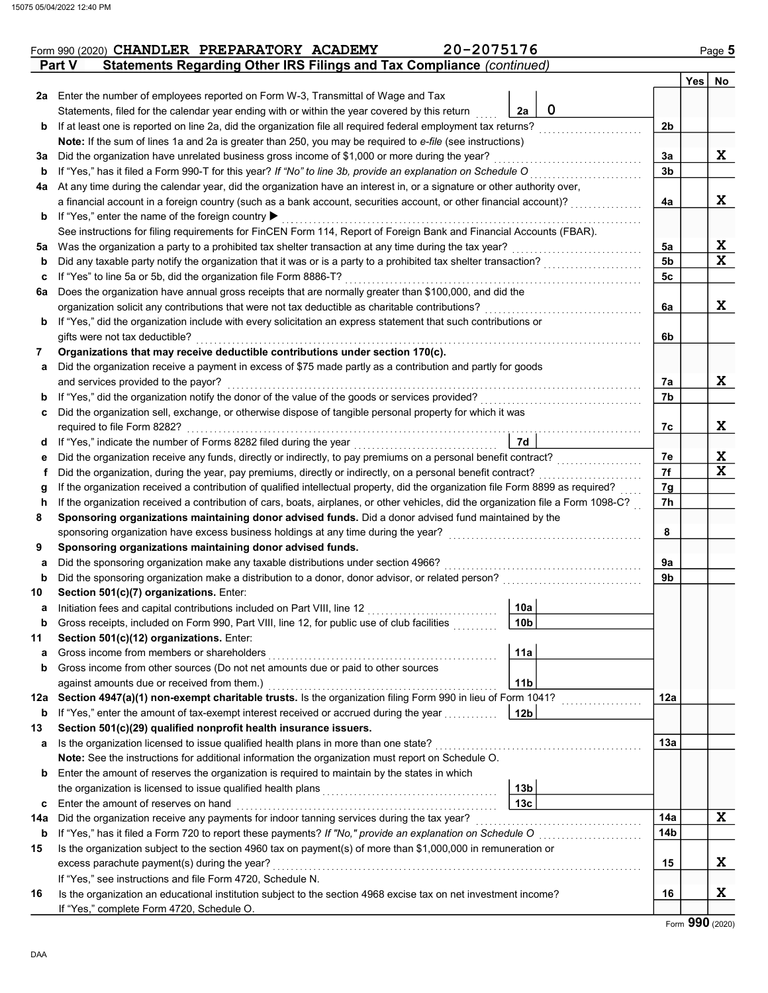|     | 20-2075176<br>Form 990 (2020) CHANDLER PREPARATORY ACADEMY                                                                         |                                                       |                 |            | Page 5 |
|-----|------------------------------------------------------------------------------------------------------------------------------------|-------------------------------------------------------|-----------------|------------|--------|
|     | Statements Regarding Other IRS Filings and Tax Compliance (continued)<br><b>Part V</b>                                             |                                                       |                 |            |        |
|     |                                                                                                                                    |                                                       |                 | <b>Yes</b> | No     |
|     | 2a Enter the number of employees reported on Form W-3, Transmittal of Wage and Tax                                                 |                                                       |                 |            |        |
|     | Statements, filed for the calendar year ending with or within the year covered by this return                                      | $\mathbf 0$<br>2a                                     |                 |            |        |
| b   | If at least one is reported on line 2a, did the organization file all required federal employment tax returns?                     |                                                       | 2 <sub>b</sub>  |            |        |
|     | Note: If the sum of lines 1a and 2a is greater than 250, you may be required to e-file (see instructions)                          |                                                       |                 |            |        |
| За  | Did the organization have unrelated business gross income of \$1,000 or more during the year?                                      |                                                       | 3a              |            | X      |
| b   | If "Yes," has it filed a Form 990-T for this year? If "No" to line 3b, provide an explanation on Schedule O                        |                                                       | 3 <sub>b</sub>  |            |        |
| 4a  | At any time during the calendar year, did the organization have an interest in, or a signature or other authority over,            |                                                       |                 |            |        |
|     | a financial account in a foreign country (such as a bank account, securities account, or other financial account)?                 |                                                       | 4a              |            | X      |
| b   | If "Yes," enter the name of the foreign country ▶                                                                                  |                                                       |                 |            |        |
|     | See instructions for filing requirements for FinCEN Form 114, Report of Foreign Bank and Financial Accounts (FBAR).                |                                                       |                 |            |        |
| 5a  | Was the organization a party to a prohibited tax shelter transaction at any time during the tax year?                              |                                                       | 5a              |            | X      |
| b   |                                                                                                                                    |                                                       | 5 <sub>b</sub>  |            | X      |
| c   | If "Yes" to line 5a or 5b, did the organization file Form 8886-T?                                                                  |                                                       | 5c              |            |        |
| 6а  | Does the organization have annual gross receipts that are normally greater than \$100,000, and did the                             |                                                       |                 |            |        |
|     | organization solicit any contributions that were not tax deductible as charitable contributions?                                   |                                                       | 6a              |            | X      |
| b   | If "Yes," did the organization include with every solicitation an express statement that such contributions or                     |                                                       |                 |            |        |
|     | gifts were not tax deductible?                                                                                                     |                                                       | 6b              |            |        |
| 7   | Organizations that may receive deductible contributions under section 170(c).                                                      |                                                       |                 |            |        |
| a   | Did the organization receive a payment in excess of \$75 made partly as a contribution and partly for goods                        |                                                       |                 |            |        |
|     | and services provided to the payor?                                                                                                |                                                       | 7a              |            | X      |
| b   | If "Yes," did the organization notify the donor of the value of the goods or services provided?                                    |                                                       | 7b              |            |        |
| с   | Did the organization sell, exchange, or otherwise dispose of tangible personal property for which it was                           |                                                       |                 |            |        |
|     | required to file Form 8282?                                                                                                        |                                                       | 7с              |            | X      |
| d   | If "Yes," indicate the number of Forms 8282 filed during the year<br>[[[[[[[[[[[[[]]]]]                                            | 7d                                                    |                 |            |        |
| е   | Did the organization receive any funds, directly or indirectly, to pay premiums on a personal benefit contract?                    |                                                       | 7e              |            | X      |
| Ť   | Did the organization, during the year, pay premiums, directly or indirectly, on a personal benefit contract?                       |                                                       | 7f              |            | X      |
| g   | If the organization received a contribution of qualified intellectual property, did the organization file Form 8899 as required?   |                                                       | 7g              |            |        |
| h   | If the organization received a contribution of cars, boats, airplanes, or other vehicles, did the organization file a Form 1098-C? |                                                       | 7h              |            |        |
| 8   | Sponsoring organizations maintaining donor advised funds. Did a donor advised fund maintained by the                               |                                                       |                 |            |        |
|     | sponsoring organization have excess business holdings at any time during the year?                                                 |                                                       | 8               |            |        |
| 9   | Sponsoring organizations maintaining donor advised funds.                                                                          |                                                       |                 |            |        |
| а   | Did the sponsoring organization make any taxable distributions under section 4966?                                                 |                                                       | 9a              |            |        |
| b   | Did the sponsoring organization make a distribution to a donor, donor advisor, or related person?                                  |                                                       | 9b              |            |        |
| 10  | Section 501(c)(7) organizations. Enter:                                                                                            | $\mathbf{1}$                                          |                 |            |        |
| а   | Initiation fees and capital contributions included on Part VIII, line 12                                                           | 10a                                                   |                 |            |        |
| b   | Gross receipts, included on Form 990, Part VIII, line 12, for public use of club facilities                                        | 10 <sub>b</sub>                                       |                 |            |        |
| 11  | Section 501(c)(12) organizations. Enter:                                                                                           |                                                       |                 |            |        |
| a   | Gross income from members or shareholders                                                                                          | 11a                                                   |                 |            |        |
| b   | Gross income from other sources (Do not net amounts due or paid to other sources                                                   |                                                       |                 |            |        |
|     | against amounts due or received from them.)                                                                                        | 11 <sub>b</sub>                                       |                 |            |        |
| 12a | Section 4947(a)(1) non-exempt charitable trusts. Is the organization filing Form 990 in lieu of Form 1041?                         | <u> 1999 - Johann Stoff, amerikansk fotograf er s</u> | 12a             |            |        |
| b   | If "Yes," enter the amount of tax-exempt interest received or accrued during the year                                              | 12 <sub>b</sub>                                       |                 |            |        |
| 13  | Section 501(c)(29) qualified nonprofit health insurance issuers.                                                                   |                                                       |                 |            |        |
| а   | Is the organization licensed to issue qualified health plans in more than one state?                                               |                                                       | 13а             |            |        |
|     | Note: See the instructions for additional information the organization must report on Schedule O.                                  |                                                       |                 |            |        |
| b   | Enter the amount of reserves the organization is required to maintain by the states in which                                       |                                                       |                 |            |        |
|     |                                                                                                                                    | 13 <sub>b</sub>                                       |                 |            |        |
| c   | Enter the amount of reserves on hand                                                                                               | 13 <sub>c</sub>                                       |                 |            |        |
| 14a |                                                                                                                                    |                                                       | 14a             |            | X      |
| b   |                                                                                                                                    |                                                       | 14 <sub>b</sub> |            |        |
| 15  | Is the organization subject to the section 4960 tax on payment(s) of more than \$1,000,000 in remuneration or                      |                                                       |                 |            |        |
|     | excess parachute payment(s) during the year?                                                                                       |                                                       | 15              |            | X      |
|     | If "Yes," see instructions and file Form 4720, Schedule N.                                                                         |                                                       |                 |            |        |
| 16  | Is the organization an educational institution subject to the section 4968 excise tax on net investment income?                    |                                                       | 16              |            | X      |
|     | If "Yes," complete Form 4720, Schedule O.                                                                                          |                                                       |                 |            |        |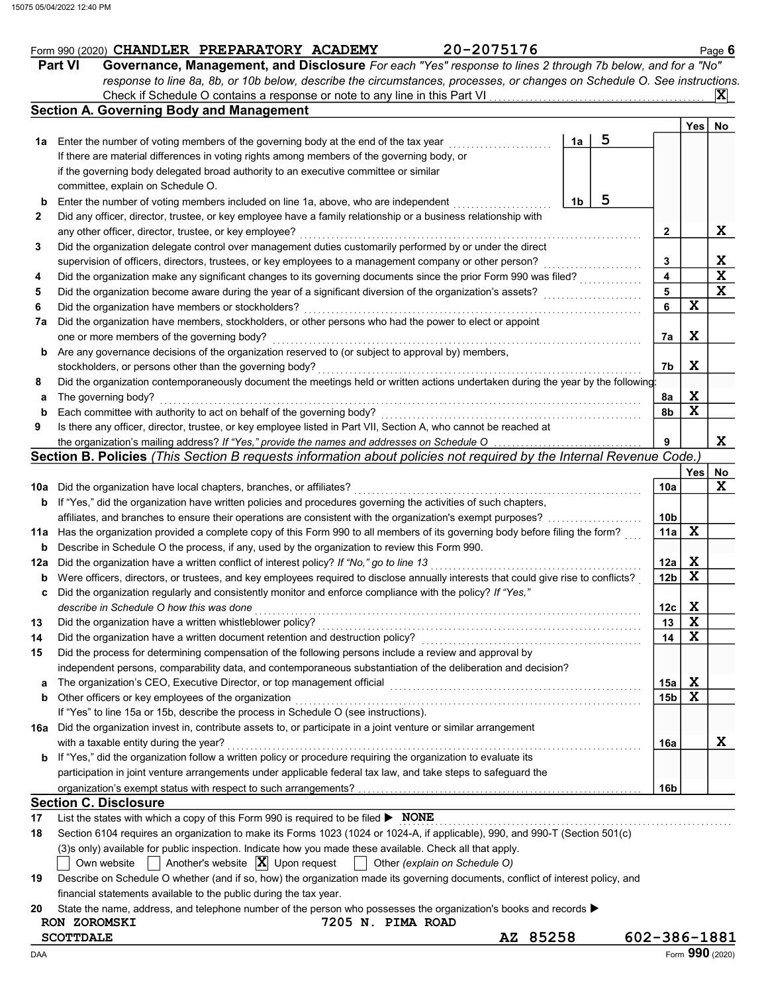|        | 20-2075176<br>Form 990 (2020) CHANDLER PREPARATORY ACADEMY                                                                          |    |   |                |                         |                         | Page $6$                |
|--------|-------------------------------------------------------------------------------------------------------------------------------------|----|---|----------------|-------------------------|-------------------------|-------------------------|
|        | <b>Part VI</b><br>Governance, Management, and Disclosure For each "Yes" response to lines 2 through 7b below, and for a "No"        |    |   |                |                         |                         |                         |
|        | response to line 8a, 8b, or 10b below, describe the circumstances, processes, or changes on Schedule O. See instructions.           |    |   |                |                         |                         |                         |
|        | Check if Schedule O contains a response or note to any line in this Part VI                                                         |    |   |                |                         |                         | <b>X</b>                |
|        | <b>Section A. Governing Body and Management</b>                                                                                     |    |   |                |                         |                         |                         |
|        |                                                                                                                                     |    |   |                |                         | <b>Yes</b>              | No                      |
| 1a     | Enter the number of voting members of the governing body at the end of the tax year                                                 | 1a | 5 |                |                         |                         |                         |
|        | If there are material differences in voting rights among members of the governing body, or                                          |    |   |                |                         |                         |                         |
|        | if the governing body delegated broad authority to an executive committee or similar                                                |    |   |                |                         |                         |                         |
|        | committee, explain on Schedule O.                                                                                                   |    |   |                |                         |                         |                         |
| þ      | Enter the number of voting members included on line 1a, above, who are independent                                                  | 1b | 5 |                |                         |                         |                         |
| 2      | Did any officer, director, trustee, or key employee have a family relationship or a business relationship with                      |    |   |                |                         |                         |                         |
|        | any other officer, director, trustee, or key employee?                                                                              |    |   | 2              |                         |                         | X                       |
| 3      | Did the organization delegate control over management duties customarily performed by or under the direct                           |    |   |                |                         |                         |                         |
|        | supervision of officers, directors, trustees, or key employees to a management company or other person?                             |    |   |                | 3                       |                         |                         |
| 4      | Did the organization make any significant changes to its governing documents since the prior Form 990 was filed?                    |    |   |                | $\overline{\mathbf{4}}$ |                         | $rac{X}{X}$             |
| 5      | Did the organization become aware during the year of a significant diversion of the organization's assets?                          |    |   | $\overline{5}$ |                         |                         | $\overline{\mathbf{x}}$ |
| 6      | Did the organization have members or stockholders?                                                                                  |    |   | 6              |                         | $\mathbf x$             |                         |
| 7a     | Did the organization have members, stockholders, or other persons who had the power to elect or appoint                             |    |   |                |                         |                         |                         |
|        | one or more members of the governing body?                                                                                          |    |   |                | 7a                      | X                       |                         |
| b      | Are any governance decisions of the organization reserved to (or subject to approval by) members,                                   |    |   |                |                         |                         |                         |
|        | stockholders, or persons other than the governing body?                                                                             |    |   |                | 7b                      | X                       |                         |
| 8      | Did the organization contemporaneously document the meetings held or written actions undertaken during the year by the following:   |    |   |                |                         |                         |                         |
| а      | The governing body?                                                                                                                 |    |   |                | 8a                      | X                       |                         |
| þ      | Each committee with authority to act on behalf of the governing body?                                                               |    |   | 8b             |                         | $\overline{\mathbf{x}}$ |                         |
| 9      | Is there any officer, director, trustee, or key employee listed in Part VII, Section A, who cannot be reached at                    |    |   |                |                         |                         |                         |
|        | the organization's mailing address? If "Yes," provide the names and addresses on Schedule O                                         |    |   |                | 9                       |                         | X                       |
|        | Section B. Policies (This Section B requests information about policies not required by the Internal Revenue Code.)                 |    |   |                |                         |                         |                         |
|        |                                                                                                                                     |    |   |                |                         | Yes                     | No                      |
| 10a    | Did the organization have local chapters, branches, or affiliates?                                                                  |    |   |                | 10a                     |                         | X                       |
| b      | If "Yes," did the organization have written policies and procedures governing the activities of such chapters,                      |    |   |                |                         |                         |                         |
|        | affiliates, and branches to ensure their operations are consistent with the organization's exempt purposes?                         |    |   |                | 10 <sub>b</sub>         |                         |                         |
| 11a    | Has the organization provided a complete copy of this Form 990 to all members of its governing body before filing the form?         |    |   |                | 11a                     | $\mathbf x$             |                         |
| b      | Describe in Schedule O the process, if any, used by the organization to review this Form 990.                                       |    |   |                |                         |                         |                         |
| 12a    | Did the organization have a written conflict of interest policy? If "No," go to line 13                                             |    |   |                | 12a                     | X                       |                         |
| b      | Were officers, directors, or trustees, and key employees required to disclose annually interests that could give rise to conflicts? |    |   |                | 12 <sub>b</sub>         | $\mathbf x$             |                         |
|        | Did the organization regularly and consistently monitor and enforce compliance with the policy? If "Yes,"                           |    |   |                |                         |                         |                         |
|        | describe in Schedule O how this was done                                                                                            |    |   |                | 12c                     | X                       |                         |
| 13     | Did the organization have a written whistleblower policy?                                                                           |    |   |                | 13                      | $\mathbf x$             |                         |
| 14     | Did the organization have a written document retention and destruction policy?                                                      |    |   |                | 14                      | $\mathbf x$             |                         |
| 15     | Did the process for determining compensation of the following persons include a review and approval by                              |    |   |                |                         |                         |                         |
|        | independent persons, comparability data, and contemporaneous substantiation of the deliberation and decision?                       |    |   |                |                         |                         |                         |
|        | The organization's CEO, Executive Director, or top management official                                                              |    |   |                | 15a                     | X                       |                         |
| a<br>b | Other officers or key employees of the organization                                                                                 |    |   |                | 15 <sub>b</sub>         | $\mathbf x$             |                         |
|        | If "Yes" to line 15a or 15b, describe the process in Schedule O (see instructions).                                                 |    |   |                |                         |                         |                         |
| 16a    | Did the organization invest in, contribute assets to, or participate in a joint venture or similar arrangement                      |    |   |                |                         |                         |                         |
|        | with a taxable entity during the year?                                                                                              |    |   |                | 16a                     |                         | X                       |
|        | If "Yes," did the organization follow a written policy or procedure requiring the organization to evaluate its                      |    |   |                |                         |                         |                         |
| b      | participation in joint venture arrangements under applicable federal tax law, and take steps to safeguard the                       |    |   |                |                         |                         |                         |
|        |                                                                                                                                     |    |   |                |                         |                         |                         |
|        | <b>Section C. Disclosure</b>                                                                                                        |    |   |                | 16b                     |                         |                         |
|        |                                                                                                                                     |    |   |                |                         |                         |                         |
| 17     | List the states with which a copy of this Form 990 is required to be filed ▶ NONE                                                   |    |   |                |                         |                         |                         |
| 18     | Section 6104 requires an organization to make its Forms 1023 (1024 or 1024-A, if applicable), 990, and 990-T (Section 501(c)        |    |   |                |                         |                         |                         |
|        | (3)s only) available for public inspection. Indicate how you made these available. Check all that apply.                            |    |   |                |                         |                         |                         |
|        | Another's website $ \mathbf{X} $ Upon request<br>Other (explain on Schedule O)<br>Own website                                       |    |   |                |                         |                         |                         |
| 19     | Describe on Schedule O whether (and if so, how) the organization made its governing documents, conflict of interest policy, and     |    |   |                |                         |                         |                         |
|        | financial statements available to the public during the tax year.                                                                   |    |   |                |                         |                         |                         |
| 20     | State the name, address, and telephone number of the person who possesses the organization's books and records ▶                    |    |   |                |                         |                         |                         |
|        | 7205 N. PIMA ROAD<br>RON ZOROMSKI                                                                                                   |    |   |                |                         |                         |                         |
|        | AZ 85258<br><b>SCOTTDALE</b>                                                                                                        |    |   | 602-386-1881   |                         |                         |                         |
| DAA    |                                                                                                                                     |    |   |                |                         |                         | Form 990 (2020)         |

Form 990 (2020) CHANDLER PREPARATORY ACADEMY 20-2075176 Page 6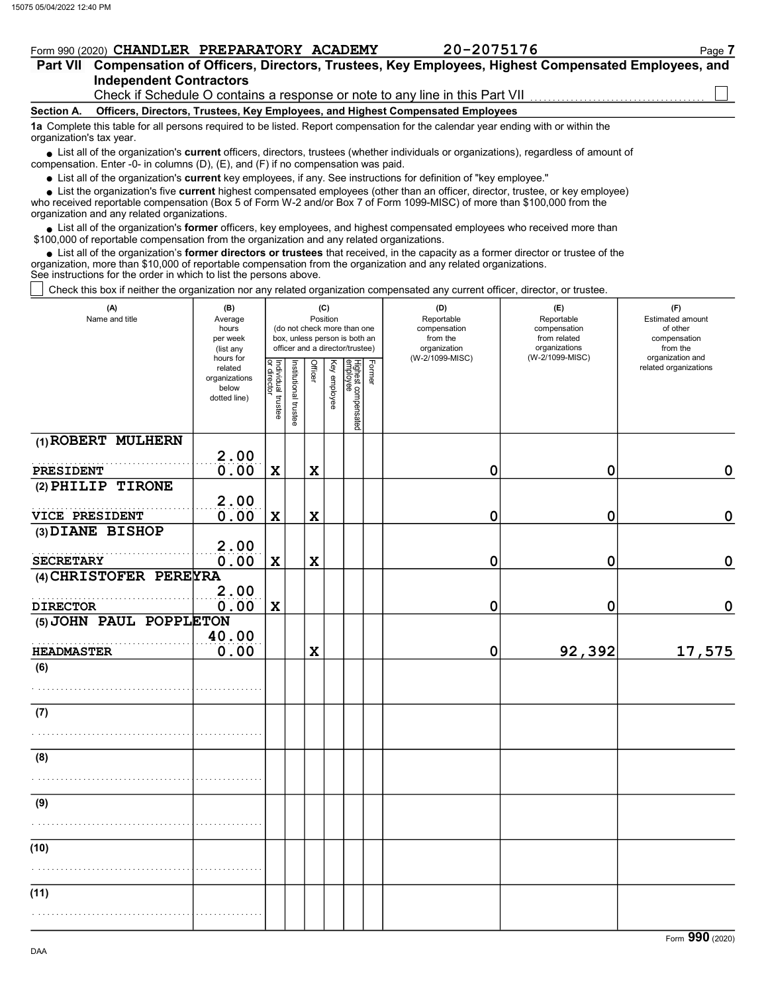## Part VII Compensation of Officers, Directors, Trustees, Key Employees, Highest Compensated Employees, and Form 990 (2020) CHANDLER PREPARATORY ACADEMY 20-2075176 Page 7

### Independent Contractors Check if Schedule O contains a response or note to any line in this Part VII

#### Section A. Officers, Directors, Trustees, Key Employees, and Highest Compensated Employees

1a Complete this table for all persons required to be listed. Report compensation for the calendar year ending with or within the organization's tax year.

• List all of the organization's **current** officers, directors, trustees (whether individuals or organizations), regardless of amount of proposation. Enter  $\Omega$  in columns  $(D)$ ,  $(E)$  and  $(E)$  if no componention was paid compensation. Enter -0- in columns (D), (E), and (F) if no compensation was paid.

• List all of the organization's **current** key employees, if any. See instructions for definition of "key employee."

• List the organization's five **current** highest compensated employees (other than an officer, director, trustee, or key employee)<br>• received reportable compensation (Box 5 of Form W 2 and/or Box 7 of Form 1000 MISC) of m

who received reportable compensation (Box 5 of Form W-2 and/or Box 7 of Form 1099-MISC) of more than \$100,000 from the organization and any related organizations.

 $\bullet$  List all of the organization's **former** officers, key employees, and highest compensated employees who received more than  $\Omega$  0.00 of reportable compensation from the erganization and any related erganizations. \$100,000 of reportable compensation from the organization and any related organizations.

 $\bullet$  List all of the organization's **former directors or trustees** that received, in the capacity as a former director or trustee of the entrance in the organization and any related organizations organization, more than \$10,000 of reportable compensation from the organization and any related organizations. See instructions for the order in which to list the persons above.

Check this box if neither the organization nor any related organization compensated any current officer, director, or trustee.

| (A)<br>Name and title              | (B)<br>Average<br>hours<br>per week<br>(list any               |                                   |                      |                | (C)<br>Position | (do not check more than one<br>box, unless person is both an<br>officer and a director/trustee) |        | (D)<br>Reportable<br>compensation<br>from the<br>organization<br>(W-2/1099-MISC) | (E)<br>Reportable<br>compensation<br>from related<br>organizations<br>(W-2/1099-MISC) | (F)<br><b>Estimated amount</b><br>of other<br>compensation<br>from the<br>organization and |
|------------------------------------|----------------------------------------------------------------|-----------------------------------|----------------------|----------------|-----------------|-------------------------------------------------------------------------------------------------|--------|----------------------------------------------------------------------------------|---------------------------------------------------------------------------------------|--------------------------------------------------------------------------------------------|
|                                    | hours for<br>related<br>organizations<br>below<br>dotted line) | Individual trustee<br>or director | nstitutional trustee | <b>Officer</b> | Key employee    | Highest compensated<br>employee                                                                 | Former |                                                                                  |                                                                                       | related organizations                                                                      |
| (1) ROBERT MULHERN                 |                                                                |                                   |                      |                |                 |                                                                                                 |        |                                                                                  |                                                                                       |                                                                                            |
| PRESIDENT                          | 2.00<br>0.00                                                   | $\mathbf x$                       |                      | $\mathbf x$    |                 |                                                                                                 |        | $\mathbf 0$                                                                      | $\mathbf 0$                                                                           | $\mathbf 0$                                                                                |
| (2) PHILIP TIRONE                  |                                                                |                                   |                      |                |                 |                                                                                                 |        |                                                                                  |                                                                                       |                                                                                            |
|                                    | 2.00<br>0.00                                                   |                                   |                      | $\mathbf x$    |                 |                                                                                                 |        |                                                                                  |                                                                                       |                                                                                            |
| VICE PRESIDENT<br>(3) DIANE BISHOP |                                                                | $\mathbf x$                       |                      |                |                 |                                                                                                 |        | 0                                                                                | 0                                                                                     | 0                                                                                          |
| <b>SECRETARY</b>                   | 2.00<br>0.00                                                   | $\mathbf x$                       |                      | $\mathbf x$    |                 |                                                                                                 |        | 0                                                                                | 0                                                                                     | 0                                                                                          |
| (4) CHRISTOFER PEREYRA             |                                                                |                                   |                      |                |                 |                                                                                                 |        |                                                                                  |                                                                                       |                                                                                            |
| <b>DIRECTOR</b>                    | 2.00<br>0.00                                                   | $\mathbf x$                       |                      |                |                 |                                                                                                 |        | $\mathbf 0$                                                                      | $\mathbf 0$                                                                           | $\mathbf 0$                                                                                |
| (5) JOHN PAUL POPPLETON            | 40.00                                                          |                                   |                      |                |                 |                                                                                                 |        |                                                                                  |                                                                                       |                                                                                            |
| <b>HEADMASTER</b>                  | 0.00                                                           |                                   |                      | $\mathbf x$    |                 |                                                                                                 |        | 0                                                                                | 92,392                                                                                | 17,575                                                                                     |
| (6)                                |                                                                |                                   |                      |                |                 |                                                                                                 |        |                                                                                  |                                                                                       |                                                                                            |
| (7)                                |                                                                |                                   |                      |                |                 |                                                                                                 |        |                                                                                  |                                                                                       |                                                                                            |
|                                    |                                                                |                                   |                      |                |                 |                                                                                                 |        |                                                                                  |                                                                                       |                                                                                            |
| (8)                                |                                                                |                                   |                      |                |                 |                                                                                                 |        |                                                                                  |                                                                                       |                                                                                            |
|                                    |                                                                |                                   |                      |                |                 |                                                                                                 |        |                                                                                  |                                                                                       |                                                                                            |
| (9)                                |                                                                |                                   |                      |                |                 |                                                                                                 |        |                                                                                  |                                                                                       |                                                                                            |
|                                    |                                                                |                                   |                      |                |                 |                                                                                                 |        |                                                                                  |                                                                                       |                                                                                            |
| (10)                               |                                                                |                                   |                      |                |                 |                                                                                                 |        |                                                                                  |                                                                                       |                                                                                            |
|                                    |                                                                |                                   |                      |                |                 |                                                                                                 |        |                                                                                  |                                                                                       |                                                                                            |
| (11)                               |                                                                |                                   |                      |                |                 |                                                                                                 |        |                                                                                  |                                                                                       |                                                                                            |
|                                    |                                                                |                                   |                      |                |                 |                                                                                                 |        |                                                                                  |                                                                                       |                                                                                            |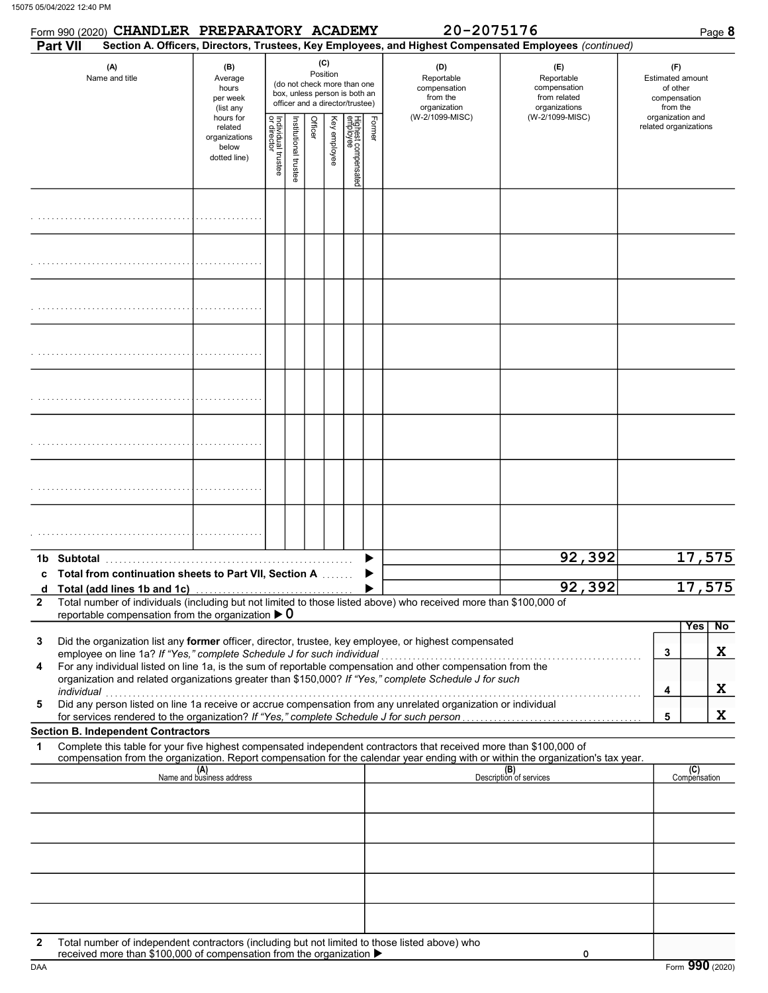|                       |            | Form 990 (2020) CHANDLER PREPARATORY ACADEMY                                                    |                                                                |                                   |                     |                 |                                                                                                 |                                 |                                                               | 20-2075176                                                                                                                                                                                                           |                                                                                                                                                                    |                       |                     | Page 8 |
|-----------------------|------------|-------------------------------------------------------------------------------------------------|----------------------------------------------------------------|-----------------------------------|---------------------|-----------------|-------------------------------------------------------------------------------------------------|---------------------------------|---------------------------------------------------------------|----------------------------------------------------------------------------------------------------------------------------------------------------------------------------------------------------------------------|--------------------------------------------------------------------------------------------------------------------------------------------------------------------|-----------------------|---------------------|--------|
|                       | Part VII   |                                                                                                 |                                                                |                                   |                     |                 |                                                                                                 |                                 |                                                               |                                                                                                                                                                                                                      | Section A. Officers, Directors, Trustees, Key Employees, and Highest Compensated Employees (continued)                                                             |                       |                     |        |
| (A)<br>Name and title |            | (B)<br>Average<br>hours<br>per week<br>(list any                                                |                                                                |                                   |                     | (C)<br>Position | (do not check more than one<br>box, unless person is both an<br>officer and a director/trustee) |                                 | (D)<br>Reportable<br>compensation<br>from the<br>organization | (E)<br>Reportable<br>compensation<br>from related<br>organizations<br>(W-2/1099-MISC)                                                                                                                                | (F)<br><b>Estimated amount</b><br>of other<br>compensation<br>from the<br>organization and                                                                         |                       |                     |        |
|                       |            |                                                                                                 | hours for<br>related<br>organizations<br>below<br>dotted line) | Individual trustee<br>or director | nstitutional truste | Officer         | Key employee                                                                                    | Highest compensated<br>employee | Former                                                        | (W-2/1099-MISC)                                                                                                                                                                                                      |                                                                                                                                                                    | related organizations |                     |        |
|                       |            |                                                                                                 |                                                                |                                   |                     |                 |                                                                                                 |                                 |                                                               |                                                                                                                                                                                                                      |                                                                                                                                                                    |                       |                     |        |
|                       |            |                                                                                                 |                                                                |                                   |                     |                 |                                                                                                 |                                 |                                                               |                                                                                                                                                                                                                      |                                                                                                                                                                    |                       |                     |        |
|                       |            |                                                                                                 |                                                                |                                   |                     |                 |                                                                                                 |                                 |                                                               |                                                                                                                                                                                                                      |                                                                                                                                                                    |                       |                     |        |
|                       |            |                                                                                                 |                                                                |                                   |                     |                 |                                                                                                 |                                 |                                                               |                                                                                                                                                                                                                      |                                                                                                                                                                    |                       |                     |        |
|                       |            |                                                                                                 |                                                                |                                   |                     |                 |                                                                                                 |                                 |                                                               |                                                                                                                                                                                                                      |                                                                                                                                                                    |                       |                     |        |
|                       |            |                                                                                                 |                                                                |                                   |                     |                 |                                                                                                 |                                 |                                                               |                                                                                                                                                                                                                      |                                                                                                                                                                    |                       |                     |        |
|                       |            |                                                                                                 |                                                                |                                   |                     |                 |                                                                                                 |                                 |                                                               |                                                                                                                                                                                                                      |                                                                                                                                                                    |                       |                     |        |
|                       |            |                                                                                                 |                                                                |                                   |                     |                 |                                                                                                 |                                 |                                                               |                                                                                                                                                                                                                      |                                                                                                                                                                    |                       |                     |        |
|                       |            | c Total from continuation sheets to Part VII, Section A                                         |                                                                |                                   |                     |                 |                                                                                                 |                                 |                                                               |                                                                                                                                                                                                                      | 92,392                                                                                                                                                             |                       | 17,575              |        |
| d<br>$\mathbf{2}$     |            | Total (add lines 1b and 1c)<br>reportable compensation from the organization $\triangleright$ 0 |                                                                |                                   |                     |                 |                                                                                                 |                                 |                                                               | Total number of individuals (including but not limited to those listed above) who received more than \$100,000 of                                                                                                    | 92,392                                                                                                                                                             |                       | 17,575              |        |
|                       |            |                                                                                                 |                                                                |                                   |                     |                 |                                                                                                 |                                 |                                                               |                                                                                                                                                                                                                      |                                                                                                                                                                    |                       | Yes                 | No     |
| 3                     |            | employee on line 1a? If "Yes," complete Schedule J for such individual                          |                                                                |                                   |                     |                 |                                                                                                 |                                 |                                                               | Did the organization list any former officer, director, trustee, key employee, or highest compensated                                                                                                                |                                                                                                                                                                    | 3                     |                     | X      |
| 4                     |            |                                                                                                 |                                                                |                                   |                     |                 |                                                                                                 |                                 |                                                               | For any individual listed on line 1a, is the sum of reportable compensation and other compensation from the<br>organization and related organizations greater than \$150,000? If "Yes," complete Schedule J for such |                                                                                                                                                                    |                       |                     |        |
| 5                     | individual |                                                                                                 |                                                                |                                   |                     |                 |                                                                                                 |                                 |                                                               | Did any person listed on line 1a receive or accrue compensation from any unrelated organization or individual                                                                                                        |                                                                                                                                                                    | 4                     |                     | X      |
|                       |            | <b>Section B. Independent Contractors</b>                                                       |                                                                |                                   |                     |                 |                                                                                                 |                                 |                                                               |                                                                                                                                                                                                                      |                                                                                                                                                                    | 5                     |                     | X      |
| 1                     |            |                                                                                                 |                                                                |                                   |                     |                 |                                                                                                 |                                 |                                                               | Complete this table for your five highest compensated independent contractors that received more than \$100,000 of                                                                                                   |                                                                                                                                                                    |                       |                     |        |
|                       |            |                                                                                                 | (A)<br>Name and business address                               |                                   |                     |                 |                                                                                                 |                                 |                                                               |                                                                                                                                                                                                                      | compensation from the organization. Report compensation for the calendar year ending with or within the organization's tax year.<br>(B)<br>Description of services |                       | (C)<br>Compensation |        |
|                       |            |                                                                                                 |                                                                |                                   |                     |                 |                                                                                                 |                                 |                                                               |                                                                                                                                                                                                                      |                                                                                                                                                                    |                       |                     |        |
|                       |            |                                                                                                 |                                                                |                                   |                     |                 |                                                                                                 |                                 |                                                               |                                                                                                                                                                                                                      |                                                                                                                                                                    |                       |                     |        |
|                       |            |                                                                                                 |                                                                |                                   |                     |                 |                                                                                                 |                                 |                                                               |                                                                                                                                                                                                                      |                                                                                                                                                                    |                       |                     |        |
|                       |            |                                                                                                 |                                                                |                                   |                     |                 |                                                                                                 |                                 |                                                               |                                                                                                                                                                                                                      |                                                                                                                                                                    |                       |                     |        |
| $\mathbf{2}$          |            | received more than \$100,000 of compensation from the organization ▶                            |                                                                |                                   |                     |                 |                                                                                                 |                                 |                                                               | Total number of independent contractors (including but not limited to those listed above) who                                                                                                                        | 0                                                                                                                                                                  |                       |                     |        |

DAA Form 990 (2020)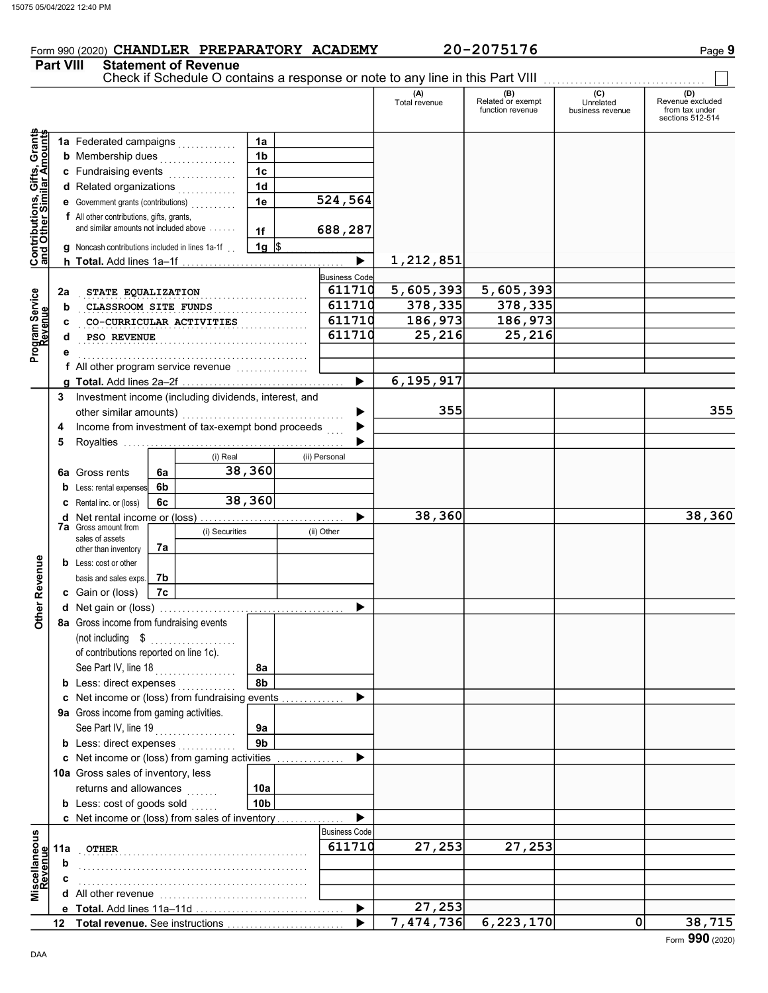## Form 990 (2020) CHANDLER PREPARATORY ACADEMY 20-2075176 Page 9

Part VIII Statement of Revenue

|                                                           |     |                                                         |    |                                         |                 |   |                       | Check if Schedule O contains a response or note to any line in this Part VIII |                                              |                                      |                                                               |
|-----------------------------------------------------------|-----|---------------------------------------------------------|----|-----------------------------------------|-----------------|---|-----------------------|-------------------------------------------------------------------------------|----------------------------------------------|--------------------------------------|---------------------------------------------------------------|
|                                                           |     |                                                         |    |                                         |                 |   |                       | (A)<br>Total revenue                                                          | (B)<br>Related or exempt<br>function revenue | (C)<br>Unrelated<br>business revenue | (D)<br>Revenue excluded<br>from tax under<br>sections 512-514 |
| Contributions, Gifts, Grants<br>and Other Similar Amounts |     | 1a Federated campaigns                                  |    |                                         | 1a              |   |                       |                                                                               |                                              |                                      |                                                               |
|                                                           |     | <b>b</b> Membership dues                                |    | .                                       | 1 <sub>b</sub>  |   |                       |                                                                               |                                              |                                      |                                                               |
|                                                           |     | c Fundraising events                                    |    | .                                       | 1 <sub>c</sub>  |   |                       |                                                                               |                                              |                                      |                                                               |
|                                                           |     | d Related organizations                                 |    | .                                       | 1 <sub>d</sub>  |   |                       |                                                                               |                                              |                                      |                                                               |
|                                                           |     | e Government grants (contributions)                     |    |                                         | 1e              |   | 524,564               |                                                                               |                                              |                                      |                                                               |
|                                                           |     | f All other contributions, gifts, grants,               |    |                                         |                 |   |                       |                                                                               |                                              |                                      |                                                               |
|                                                           |     | and similar amounts not included above                  |    |                                         | 1f              |   | 688,287               |                                                                               |                                              |                                      |                                                               |
|                                                           |     | g Noncash contributions included in lines 1a-1f.        |    |                                         | 1g $\vert$ \$   |   |                       |                                                                               |                                              |                                      |                                                               |
|                                                           |     |                                                         |    |                                         |                 |   | $\blacktriangleright$ | 1,212,851                                                                     |                                              |                                      |                                                               |
|                                                           |     |                                                         |    |                                         |                 |   | <b>Business Code</b>  |                                                                               |                                              |                                      |                                                               |
|                                                           | 2a  | STATE EQUALIZATION                                      |    |                                         |                 |   | 611710                | 5,605,393                                                                     | 5,605,393                                    |                                      |                                                               |
|                                                           | b   | CLASSROOM SITE FUNDS                                    |    |                                         |                 |   | 611710                | $\overline{378,335}$                                                          | 378,335                                      |                                      |                                                               |
|                                                           | c   |                                                         |    | CO-CURRICULAR ACTIVITIES                |                 |   | 611710                | 186,973                                                                       | 186,973                                      |                                      |                                                               |
| Program Service<br>Revenue                                | d   | PSO REVENUE                                             |    |                                         |                 |   | 611710                | 25,216                                                                        | 25, 216                                      |                                      |                                                               |
|                                                           |     |                                                         |    |                                         |                 |   |                       |                                                                               |                                              |                                      |                                                               |
|                                                           |     | f All other program service revenue                     |    |                                         |                 |   |                       |                                                                               |                                              |                                      |                                                               |
|                                                           |     |                                                         |    |                                         |                 |   | $\blacktriangleright$ | 6, 195, 917                                                                   |                                              |                                      |                                                               |
|                                                           |     | 3 Investment income (including dividends, interest, and |    |                                         |                 |   |                       |                                                                               |                                              |                                      |                                                               |
|                                                           |     | other similar amounts)                                  |    |                                         |                 |   | ▶                     | 355                                                                           |                                              |                                      | 355                                                           |
|                                                           | 4   | Income from investment of tax-exempt bond proceeds      |    |                                         |                 |   | ▶                     |                                                                               |                                              |                                      |                                                               |
|                                                           | 5   |                                                         |    |                                         |                 |   | ▶                     |                                                                               |                                              |                                      |                                                               |
|                                                           |     | (i) Real                                                |    |                                         |                 |   | (ii) Personal         |                                                                               |                                              |                                      |                                                               |
|                                                           |     | 6a Gross rents                                          | 6a |                                         | 38,360          |   |                       |                                                                               |                                              |                                      |                                                               |
|                                                           | b   | Less: rental expenses                                   | 6b |                                         |                 |   |                       |                                                                               |                                              |                                      |                                                               |
|                                                           |     | <b>C</b> Rental inc. or (loss)                          | 6c |                                         | 38,360          |   |                       |                                                                               |                                              |                                      |                                                               |
|                                                           | d   |                                                         |    |                                         |                 |   | ▶                     | 38,360                                                                        |                                              |                                      | 38,360                                                        |
|                                                           |     | <b>7a</b> Gross amount from<br>sales of assets          |    | (i) Securities                          |                 |   | (ii) Other            |                                                                               |                                              |                                      |                                                               |
|                                                           |     | other than inventory                                    | 7a |                                         |                 |   |                       |                                                                               |                                              |                                      |                                                               |
|                                                           |     | <b>b</b> Less: cost or other                            |    |                                         |                 |   |                       |                                                                               |                                              |                                      |                                                               |
|                                                           |     | basis and sales exps.                                   | 7b |                                         |                 |   |                       |                                                                               |                                              |                                      |                                                               |
| Other Revenue                                             |     | c Gain or (loss)                                        | 7c |                                         |                 |   |                       |                                                                               |                                              |                                      |                                                               |
|                                                           |     |                                                         |    |                                         |                 |   | ▶                     |                                                                               |                                              |                                      |                                                               |
|                                                           |     | 8a Gross income from fundraising events                 |    |                                         |                 |   |                       |                                                                               |                                              |                                      |                                                               |
|                                                           |     | (not including \$                                       |    |                                         |                 |   |                       |                                                                               |                                              |                                      |                                                               |
|                                                           |     | of contributions reported on line 1c).                  |    |                                         |                 |   |                       |                                                                               |                                              |                                      |                                                               |
|                                                           |     | See Part IV, line 18                                    |    | .                                       | 8а              |   |                       |                                                                               |                                              |                                      |                                                               |
|                                                           |     | <b>b</b> Less: direct expenses                          |    |                                         | 8b              |   |                       |                                                                               |                                              |                                      |                                                               |
|                                                           |     | c Net income or (loss) from fundraising events          |    |                                         |                 |   | ▶                     |                                                                               |                                              |                                      |                                                               |
|                                                           |     | 9a Gross income from gaming activities.                 |    |                                         |                 |   |                       |                                                                               |                                              |                                      |                                                               |
|                                                           |     | See Part IV, line 19                                    |    | <u>.</u><br>1999 - Personald II II II I | 9а              |   |                       |                                                                               |                                              |                                      |                                                               |
|                                                           |     | <b>b</b> Less: direct expenses                          |    |                                         | 9 <sub>b</sub>  |   |                       |                                                                               |                                              |                                      |                                                               |
|                                                           |     | c Net income or (loss) from gaming activities           |    |                                         |                 | . | ▶                     |                                                                               |                                              |                                      |                                                               |
|                                                           |     | 10a Gross sales of inventory, less                      |    |                                         |                 |   |                       |                                                                               |                                              |                                      |                                                               |
|                                                           |     | returns and allowances                                  |    |                                         | 10a             |   |                       |                                                                               |                                              |                                      |                                                               |
|                                                           |     | <b>b</b> Less: cost of goods sold                       |    |                                         | 10 <sub>b</sub> |   |                       |                                                                               |                                              |                                      |                                                               |
|                                                           |     | c Net income or (loss) from sales of inventory          |    |                                         |                 |   | ▶                     |                                                                               |                                              |                                      |                                                               |
|                                                           |     |                                                         |    |                                         |                 |   | <b>Business Code</b>  |                                                                               |                                              |                                      |                                                               |
|                                                           | 11a | OTHER                                                   |    |                                         |                 |   | 611710                | 27,253                                                                        | 27,253                                       |                                      |                                                               |
|                                                           | b   |                                                         |    |                                         |                 |   |                       |                                                                               |                                              |                                      |                                                               |
| Miscellaneous<br>Revenue                                  |     |                                                         |    |                                         |                 |   |                       |                                                                               |                                              |                                      |                                                               |
|                                                           |     |                                                         |    |                                         |                 |   |                       |                                                                               |                                              |                                      |                                                               |
|                                                           |     |                                                         |    |                                         |                 |   | ▶                     | 27,253                                                                        |                                              |                                      |                                                               |
|                                                           |     |                                                         |    |                                         |                 |   |                       | 7,474,736                                                                     | 6,223,170                                    | $\overline{0}$                       | 38,715                                                        |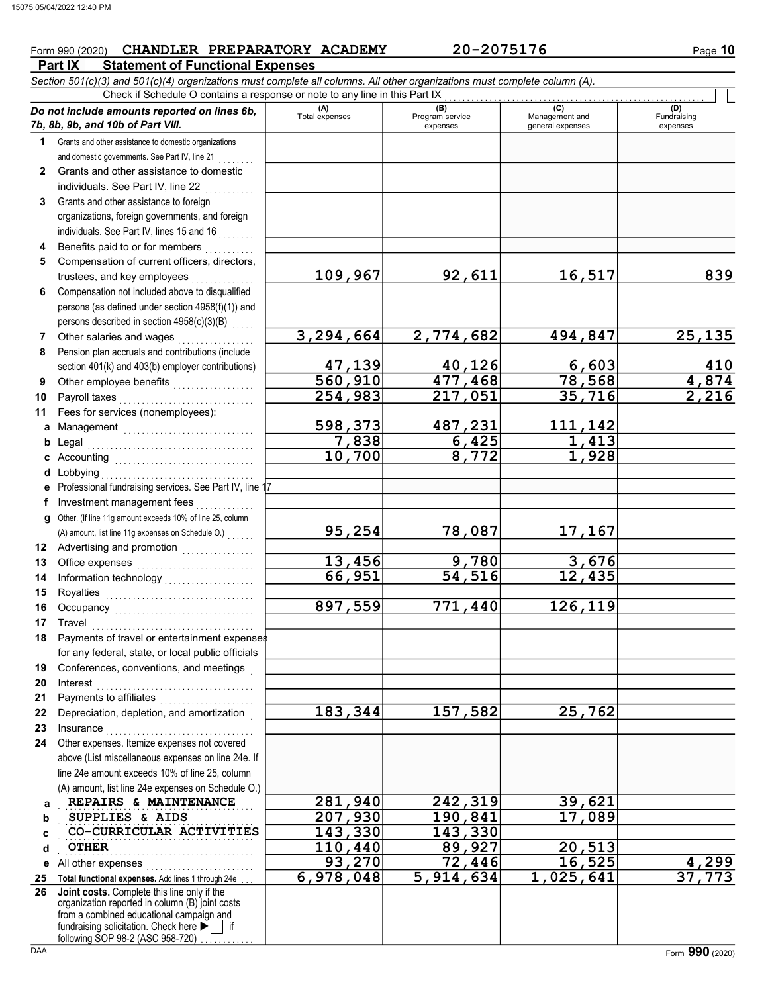## Form 990 (2020) CHANDLER PREPARATORY ACADEMY 20-2075176 Page 10

**Part IX Statement of Functional Expenses** 

| Check if Schedule O contains a response or note to any line in this Part IX<br>(A)<br>Total expenses<br>(C)<br>(B)<br>Do not include amounts reported on lines 6b,<br>Program service<br>Management and<br>7b, 8b, 9b, and 10b of Part VIII.<br>general expenses<br>expenses<br>Grants and other assistance to domestic organizations<br>1 | (D)<br>Fundraising<br>expenses |
|--------------------------------------------------------------------------------------------------------------------------------------------------------------------------------------------------------------------------------------------------------------------------------------------------------------------------------------------|--------------------------------|
|                                                                                                                                                                                                                                                                                                                                            |                                |
|                                                                                                                                                                                                                                                                                                                                            |                                |
|                                                                                                                                                                                                                                                                                                                                            |                                |
|                                                                                                                                                                                                                                                                                                                                            |                                |
| and domestic governments. See Part IV, line 21                                                                                                                                                                                                                                                                                             |                                |
| Grants and other assistance to domestic<br>$\mathbf{2}$                                                                                                                                                                                                                                                                                    |                                |
| individuals. See Part IV, line 22                                                                                                                                                                                                                                                                                                          |                                |
| Grants and other assistance to foreign<br>3                                                                                                                                                                                                                                                                                                |                                |
| organizations, foreign governments, and foreign                                                                                                                                                                                                                                                                                            |                                |
| individuals. See Part IV, lines 15 and 16                                                                                                                                                                                                                                                                                                  |                                |
| Benefits paid to or for members<br>4                                                                                                                                                                                                                                                                                                       |                                |
| Compensation of current officers, directors,<br>5                                                                                                                                                                                                                                                                                          |                                |
| 109,967<br>92,611<br>16,517<br>trustees, and key employees                                                                                                                                                                                                                                                                                 | 839                            |
| Compensation not included above to disqualified<br>6                                                                                                                                                                                                                                                                                       |                                |
| persons (as defined under section 4958(f)(1)) and                                                                                                                                                                                                                                                                                          |                                |
| persons described in section 4958(c)(3)(B)                                                                                                                                                                                                                                                                                                 |                                |
| 3,294,664<br>2,774,682<br>494,847<br>Other salaries and wages<br>7                                                                                                                                                                                                                                                                         | 25, 135                        |
| Pension plan accruals and contributions (include<br>8                                                                                                                                                                                                                                                                                      |                                |
| 47,139<br>560,910<br>40,126<br>6,603<br>78,568<br>section 401(k) and 403(b) employer contributions)                                                                                                                                                                                                                                        | 410                            |
| 477,468<br>9                                                                                                                                                                                                                                                                                                                               | $\frac{4,874}{2,216}$          |
| 254,983<br>35,716<br>217,051<br>Payroll taxes<br>10                                                                                                                                                                                                                                                                                        |                                |
| Fees for services (nonemployees):<br>11                                                                                                                                                                                                                                                                                                    |                                |
| 487,231<br>598,373<br>111,142<br>Management<br>а                                                                                                                                                                                                                                                                                           |                                |
| 7,838<br>1,413<br>$\frac{6,425}{8,772}$<br>b<br>Legal                                                                                                                                                                                                                                                                                      |                                |
| 10,700<br>1,928<br>Accounting<br>c                                                                                                                                                                                                                                                                                                         |                                |
| Lobbying<br>d                                                                                                                                                                                                                                                                                                                              |                                |
| Professional fundraising services. See Part IV, line 17<br>е                                                                                                                                                                                                                                                                               |                                |
| Investment management fees<br>f                                                                                                                                                                                                                                                                                                            |                                |
| Other. (If line 11g amount exceeds 10% of line 25, column<br>a                                                                                                                                                                                                                                                                             |                                |
| 95,254<br>78,087<br>17,167<br>(A) amount, list line 11g expenses on Schedule O.)                                                                                                                                                                                                                                                           |                                |
| 12 Advertising and promotion [1] [1] Advertising and promotion                                                                                                                                                                                                                                                                             |                                |
| 13,456<br><u>9,780</u><br>3,676<br>Office expenses<br>13                                                                                                                                                                                                                                                                                   |                                |
| $\overline{54,516}$<br>66,951<br>12,435<br>14                                                                                                                                                                                                                                                                                              |                                |
| Royalties<br>15                                                                                                                                                                                                                                                                                                                            |                                |
| 897,559<br>771,440<br>126,119<br>16                                                                                                                                                                                                                                                                                                        |                                |
| 17                                                                                                                                                                                                                                                                                                                                         |                                |
| 18 Payments of travel or entertainment expenses                                                                                                                                                                                                                                                                                            |                                |
| for any federal, state, or local public officials                                                                                                                                                                                                                                                                                          |                                |
| Conferences, conventions, and meetings<br>19                                                                                                                                                                                                                                                                                               |                                |
| Interest<br>20                                                                                                                                                                                                                                                                                                                             |                                |
| Payments to affiliates<br>21                                                                                                                                                                                                                                                                                                               |                                |
| 183,344<br>157,582<br>25,762<br>Depreciation, depletion, and amortization<br>22                                                                                                                                                                                                                                                            |                                |
| 23<br>Insurance                                                                                                                                                                                                                                                                                                                            |                                |
| Other expenses. Itemize expenses not covered<br>24                                                                                                                                                                                                                                                                                         |                                |
| above (List miscellaneous expenses on line 24e. If                                                                                                                                                                                                                                                                                         |                                |
| line 24e amount exceeds 10% of line 25, column                                                                                                                                                                                                                                                                                             |                                |
| (A) amount, list line 24e expenses on Schedule O.)                                                                                                                                                                                                                                                                                         |                                |
| 281,940<br>242,319<br>39,621<br>REPAIRS & MAINTENANCE<br>a<br>207,930<br>190,841                                                                                                                                                                                                                                                           |                                |
| 17,089<br>SUPPLIES & AIDS<br>b<br>143,330                                                                                                                                                                                                                                                                                                  |                                |
| 143,330<br>CO-CURRICULAR ACTIVITIES<br>C                                                                                                                                                                                                                                                                                                   |                                |
| 110,440<br>89,927<br>$\overline{20,513}$<br><b>OTHER</b><br>d<br>93,270                                                                                                                                                                                                                                                                    |                                |
| 72,446<br>16,525<br>All other expenses<br>е<br>6,978,048<br>$\overline{5,914,634}$                                                                                                                                                                                                                                                         | 4,299<br>37,773                |
| 1,025,641<br>Total functional expenses. Add lines 1 through 24e<br>25<br><b>Joint costs.</b> Complete this line only if the<br>26                                                                                                                                                                                                          |                                |
| organization reported in column (B) joint costs                                                                                                                                                                                                                                                                                            |                                |
| from a combined educational campaign and                                                                                                                                                                                                                                                                                                   |                                |
| fundraising solicitation. Check here $\blacktriangleright$   if<br>following SOP 98-2 (ASC 958-720)                                                                                                                                                                                                                                        |                                |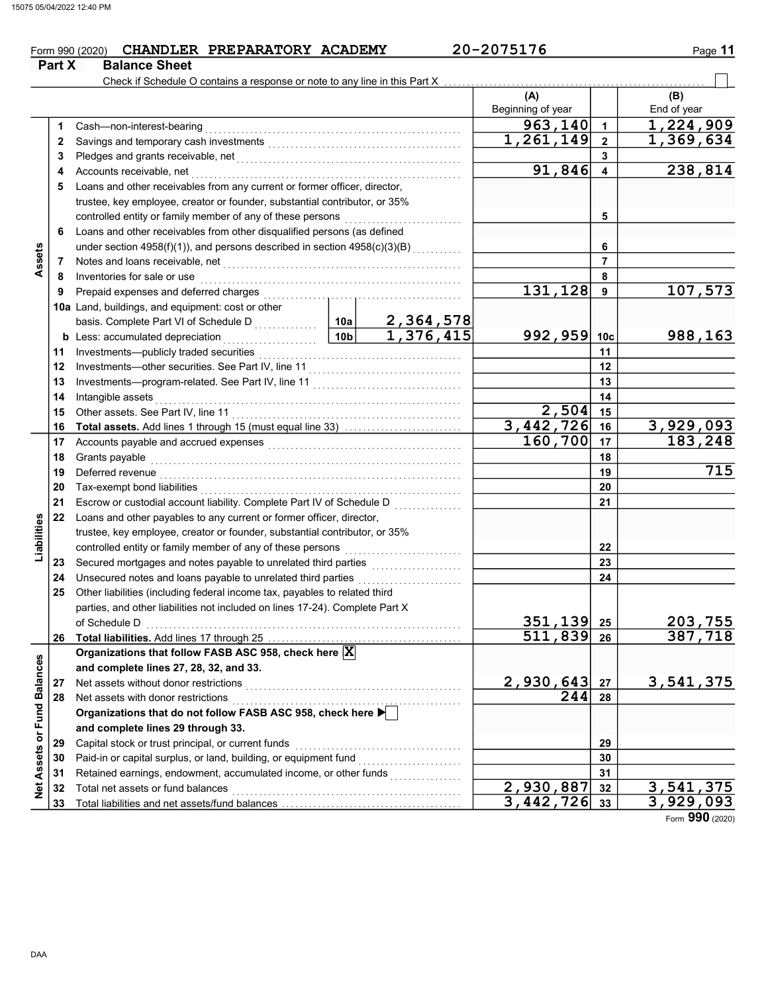### Form 990 (2020) CHANDLER PREPARATORY ACADEMY  $20-2075176$  Page 11 CHANDLER PREPARATORY ACADEMY 20-2075176

|                             | Part X | <b>Balance Sheet</b>                                                                                                                                                                                                                                                                                                                                                                                                                                                                                                                      |               |                        |                           |                         |             |
|-----------------------------|--------|-------------------------------------------------------------------------------------------------------------------------------------------------------------------------------------------------------------------------------------------------------------------------------------------------------------------------------------------------------------------------------------------------------------------------------------------------------------------------------------------------------------------------------------------|---------------|------------------------|---------------------------|-------------------------|-------------|
|                             |        | Check if Schedule O contains a response or note to any line in this Part X                                                                                                                                                                                                                                                                                                                                                                                                                                                                |               |                        |                           |                         |             |
|                             |        |                                                                                                                                                                                                                                                                                                                                                                                                                                                                                                                                           |               |                        | (A)                       |                         | (B)         |
|                             |        |                                                                                                                                                                                                                                                                                                                                                                                                                                                                                                                                           |               |                        | Beginning of year         |                         | End of year |
|                             | 1      | $\textbf{Cash—non-interest-bearing} \label{q:task} \begin{minipage}[c]{0.9\textwidth} \begin{minipage}[c]{0.9\textwidth} \centering \begin{minipage}[c]{0.9\textwidth} \centering \end{minipage} \end{minipage} \begin{minipage}[c]{0.9\textwidth} \centering \begin{minipage}[c]{0.9\textwidth} \centering \end{minipage} \end{minipage} \begin{minipage}[c]{0.9\textwidth} \centering \begin{minipage}[c]{0.9\textwidth} \centering \end{minipage} \end{minipage} \begin{minipage}[c]{0.9\textwidth} \centering \begin{minipage}[c]{0.$ |               |                        | 963, 140                  | $\mathbf{1}$            | 1,224,909   |
|                             | 2      |                                                                                                                                                                                                                                                                                                                                                                                                                                                                                                                                           |               |                        | 1,261,149                 | $\overline{\mathbf{2}}$ | 1,369,634   |
|                             | 3      | Pledges and grants receivable, net <b>construct to the construct of the set of the set of the construct of the set of the set of the set of the set of the set of the set of the set of the set of the set of the set of the set</b>                                                                                                                                                                                                                                                                                                      |               |                        |                           | 3                       |             |
|                             | 4      | Accounts receivable, net                                                                                                                                                                                                                                                                                                                                                                                                                                                                                                                  |               |                        | 91,846                    | 4                       | 238,814     |
|                             | 5      | Loans and other receivables from any current or former officer, director,                                                                                                                                                                                                                                                                                                                                                                                                                                                                 |               |                        |                           |                         |             |
|                             |        | trustee, key employee, creator or founder, substantial contributor, or 35%                                                                                                                                                                                                                                                                                                                                                                                                                                                                |               |                        |                           |                         |             |
|                             |        |                                                                                                                                                                                                                                                                                                                                                                                                                                                                                                                                           |               |                        |                           | 5                       |             |
|                             | 6      | Loans and other receivables from other disqualified persons (as defined                                                                                                                                                                                                                                                                                                                                                                                                                                                                   |               |                        |                           |                         |             |
|                             |        | under section 4958(f)(1)), and persons described in section 4958(c)(3)(B)                                                                                                                                                                                                                                                                                                                                                                                                                                                                 |               |                        |                           | 6                       |             |
| Assets                      | 7      | Notes and loans receivable, net <b>constructs</b> and the set of the set of the set of the set of the set of the set of the set of the set of the set of the set of the set of the set of the set of the set of the set of the set                                                                                                                                                                                                                                                                                                        |               |                        |                           | $\overline{7}$          |             |
|                             | 8      | Inventories for sale or use                                                                                                                                                                                                                                                                                                                                                                                                                                                                                                               |               |                        |                           | 8                       |             |
|                             | 9      |                                                                                                                                                                                                                                                                                                                                                                                                                                                                                                                                           |               |                        | 131,128                   | 9                       | 107,573     |
|                             |        | 10a Land, buildings, and equipment: cost or other                                                                                                                                                                                                                                                                                                                                                                                                                                                                                         |               |                        |                           |                         |             |
|                             |        |                                                                                                                                                                                                                                                                                                                                                                                                                                                                                                                                           |               | 2,364,578              |                           |                         |             |
|                             |        | <b>b</b> Less: accumulated depreciation<br>.                                                                                                                                                                                                                                                                                                                                                                                                                                                                                              | $\boxed{10b}$ | $\overline{1,376,415}$ | 992, 959                  | 10 <sub>c</sub>         | 988,163     |
|                             | 11     |                                                                                                                                                                                                                                                                                                                                                                                                                                                                                                                                           |               |                        |                           | 11                      |             |
|                             | 12     |                                                                                                                                                                                                                                                                                                                                                                                                                                                                                                                                           |               |                        |                           | 12                      |             |
|                             | 13     |                                                                                                                                                                                                                                                                                                                                                                                                                                                                                                                                           |               |                        |                           | 13                      |             |
|                             | 14     | Intangible assets                                                                                                                                                                                                                                                                                                                                                                                                                                                                                                                         |               |                        |                           | 14                      |             |
|                             | 15     |                                                                                                                                                                                                                                                                                                                                                                                                                                                                                                                                           |               |                        | 2,504                     | 15                      |             |
|                             | 16     | Total assets. Add lines 1 through 15 (must equal line 33)                                                                                                                                                                                                                                                                                                                                                                                                                                                                                 |               |                        | 3,442,726                 | 16                      | 3,929,093   |
|                             | 17     |                                                                                                                                                                                                                                                                                                                                                                                                                                                                                                                                           |               |                        | 160,700                   | 17                      | 183,248     |
|                             | 18     | Grants payable                                                                                                                                                                                                                                                                                                                                                                                                                                                                                                                            |               |                        |                           | 18                      |             |
|                             | 19     | Deferred revenue <b>construction of the construction of the construction of the construction</b>                                                                                                                                                                                                                                                                                                                                                                                                                                          |               |                        |                           | 19                      | 715         |
|                             | 20     |                                                                                                                                                                                                                                                                                                                                                                                                                                                                                                                                           |               |                        |                           | 20                      |             |
|                             | 21     |                                                                                                                                                                                                                                                                                                                                                                                                                                                                                                                                           |               |                        |                           | 21                      |             |
|                             | 22     | Loans and other payables to any current or former officer, director,                                                                                                                                                                                                                                                                                                                                                                                                                                                                      |               |                        |                           |                         |             |
|                             |        | trustee, key employee, creator or founder, substantial contributor, or 35%                                                                                                                                                                                                                                                                                                                                                                                                                                                                |               |                        |                           |                         |             |
| Liabilities                 |        |                                                                                                                                                                                                                                                                                                                                                                                                                                                                                                                                           |               |                        |                           | 22                      |             |
|                             | 23     |                                                                                                                                                                                                                                                                                                                                                                                                                                                                                                                                           |               |                        |                           | 23                      |             |
|                             | 24     | Unsecured notes and loans payable to unrelated third parties                                                                                                                                                                                                                                                                                                                                                                                                                                                                              |               |                        |                           | 24                      |             |
|                             | 25     | Other liabilities (including federal income tax, payables to related third                                                                                                                                                                                                                                                                                                                                                                                                                                                                |               |                        |                           |                         |             |
|                             |        | parties, and other liabilities not included on lines 17-24). Complete Part X                                                                                                                                                                                                                                                                                                                                                                                                                                                              |               |                        |                           |                         |             |
|                             |        | of Schedule D                                                                                                                                                                                                                                                                                                                                                                                                                                                                                                                             |               |                        | $351,139$ 25              |                         | 203,755     |
|                             | 26     |                                                                                                                                                                                                                                                                                                                                                                                                                                                                                                                                           |               |                        | 511,839                   | 26                      | 387,718     |
|                             |        | Organizations that follow FASB ASC 958, check here X                                                                                                                                                                                                                                                                                                                                                                                                                                                                                      |               |                        |                           |                         |             |
|                             |        | and complete lines 27, 28, 32, and 33.                                                                                                                                                                                                                                                                                                                                                                                                                                                                                                    |               |                        |                           |                         |             |
|                             | 27     | Net assets without donor restrictions                                                                                                                                                                                                                                                                                                                                                                                                                                                                                                     |               |                        | 2,930,643<br>244          | 27                      | 3,541,375   |
|                             | 28     | Net assets with donor restrictions<br>Net assets with donor restrictions<br>Organizations that do not follow FASB ASC 958, check here ▶ │                                                                                                                                                                                                                                                                                                                                                                                                 |               |                        |                           | 28                      |             |
|                             |        | and complete lines 29 through 33.                                                                                                                                                                                                                                                                                                                                                                                                                                                                                                         |               |                        |                           |                         |             |
|                             | 29     |                                                                                                                                                                                                                                                                                                                                                                                                                                                                                                                                           |               |                        |                           | 29                      |             |
|                             | 30     | Capital stock or trust principal, or current funds<br>Paid-in or capital surplus, or land, building, or equipment fund [[[[[[[[[[[[[[[[[[[[[[[[[[[[[[[[[[[                                                                                                                                                                                                                                                                                                                                                                                |               |                        |                           | 30                      |             |
|                             | 31     | Retained earnings, endowment, accumulated income, or other funds                                                                                                                                                                                                                                                                                                                                                                                                                                                                          |               |                        |                           | 31                      |             |
| Net Assets or Fund Balances | 32     | Total net assets or fund balances                                                                                                                                                                                                                                                                                                                                                                                                                                                                                                         |               |                        | $\overline{2}$ , 930, 887 | 32                      | 3,541,375   |
|                             | 33     |                                                                                                                                                                                                                                                                                                                                                                                                                                                                                                                                           |               |                        | $3,442,726$ 33            |                         | 3,929,093   |
|                             |        |                                                                                                                                                                                                                                                                                                                                                                                                                                                                                                                                           |               |                        |                           |                         |             |

Form 990 (2020)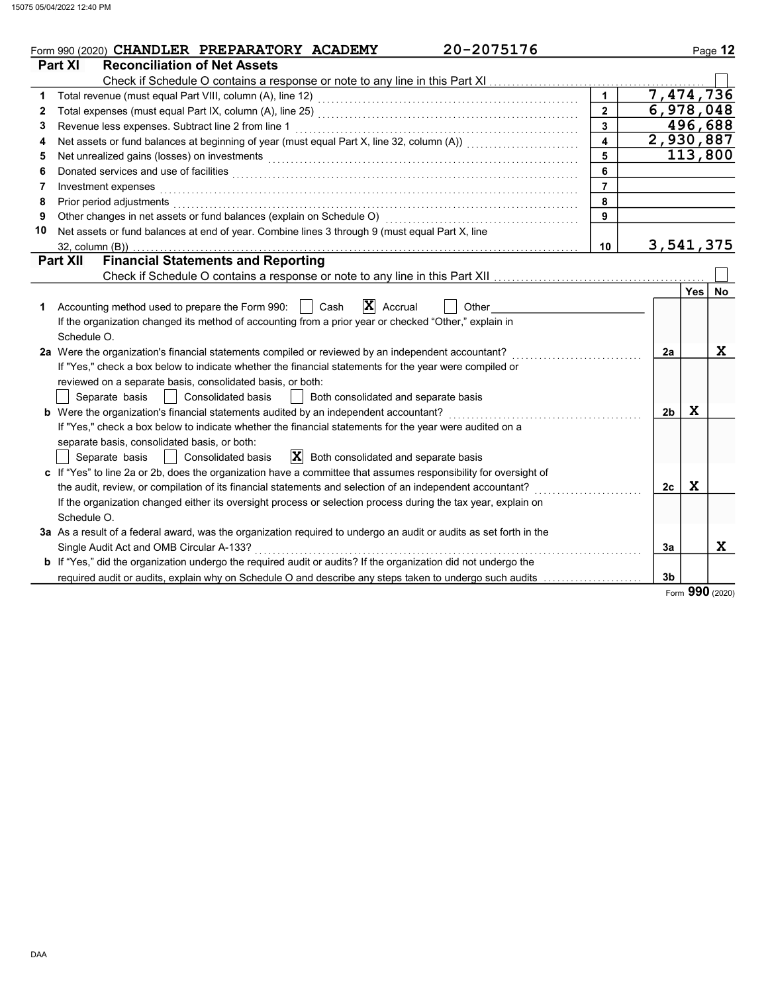|    | 20-2075176<br>Form 990 (2020) CHANDLER PREPARATORY ACADEMY                                                            |                  |                |             | Page 12 |
|----|-----------------------------------------------------------------------------------------------------------------------|------------------|----------------|-------------|---------|
|    | <b>Reconciliation of Net Assets</b><br>Part XI                                                                        |                  |                |             |         |
|    |                                                                                                                       |                  |                |             |         |
| 1  |                                                                                                                       |                  | 7,474,736      |             |         |
| 2  |                                                                                                                       | $2^{\circ}$      | 6,978,048      |             |         |
| 3  | Revenue less expenses. Subtract line 2 from line 1                                                                    | $\mathbf{3}$     |                |             | 496,688 |
| 4  |                                                                                                                       | $\blacktriangle$ | 2,930,887      |             |         |
| 5  | Net unrealized gains (losses) on investments                                                                          | 5                |                |             | 113,800 |
| 6  |                                                                                                                       | 6                |                |             |         |
| 7  | Investment expenses                                                                                                   | $\overline{7}$   |                |             |         |
| 8  | Prior period adjustments                                                                                              | 8                |                |             |         |
| 9  | Other changes in net assets or fund balances (explain on Schedule O)                                                  | 9                |                |             |         |
| 10 | Net assets or fund balances at end of year. Combine lines 3 through 9 (must equal Part X, line                        |                  |                |             |         |
|    | $32$ , column $(B)$ )                                                                                                 | 10               | 3,541,375      |             |         |
|    | <b>Financial Statements and Reporting</b><br><b>Part XII</b>                                                          |                  |                |             |         |
|    |                                                                                                                       |                  |                |             |         |
|    |                                                                                                                       |                  |                | <b>Yes</b>  | No      |
| 1  | X Accrual<br>Accounting method used to prepare the Form 990:<br>Cash<br>Other                                         |                  |                |             |         |
|    | If the organization changed its method of accounting from a prior year or checked "Other," explain in                 |                  |                |             |         |
|    | Schedule O.                                                                                                           |                  |                |             |         |
|    | 2a Were the organization's financial statements compiled or reviewed by an independent accountant?                    |                  | 2a             |             | X       |
|    | If "Yes," check a box below to indicate whether the financial statements for the year were compiled or                |                  |                |             |         |
|    | reviewed on a separate basis, consolidated basis, or both:                                                            |                  |                |             |         |
|    | <b>Consolidated basis</b><br>Separate basis<br>Both consolidated and separate basis                                   |                  |                |             |         |
|    | b Were the organization's financial statements audited by an independent accountant?                                  |                  | 2 <sub>b</sub> | X           |         |
|    | If "Yes," check a box below to indicate whether the financial statements for the year were audited on a               |                  |                |             |         |
|    | separate basis, consolidated basis, or both:                                                                          |                  |                |             |         |
|    | $ \mathbf{X} $ Both consolidated and separate basis<br><b>Consolidated basis</b><br>Separate basis                    |                  |                |             |         |
|    | c If "Yes" to line 2a or 2b, does the organization have a committee that assumes responsibility for oversight of      |                  |                |             |         |
|    | the audit, review, or compilation of its financial statements and selection of an independent accountant?             |                  | 2c             | $\mathbf x$ |         |
|    | If the organization changed either its oversight process or selection process during the tax year, explain on         |                  |                |             |         |
|    | Schedule O.                                                                                                           |                  |                |             |         |
|    | 3a As a result of a federal award, was the organization required to undergo an audit or audits as set forth in the    |                  |                |             |         |
|    | Single Audit Act and OMB Circular A-133?                                                                              |                  | 3a             |             | X       |
|    | <b>b</b> If "Yes," did the organization undergo the required audit or audits? If the organization did not undergo the |                  |                |             |         |
|    | required audit or audits, explain why on Schedule O and describe any steps taken to undergo such audits               |                  | 3 <sub>b</sub> |             |         |
|    |                                                                                                                       |                  |                | nnn         |         |

Form 990 (2020)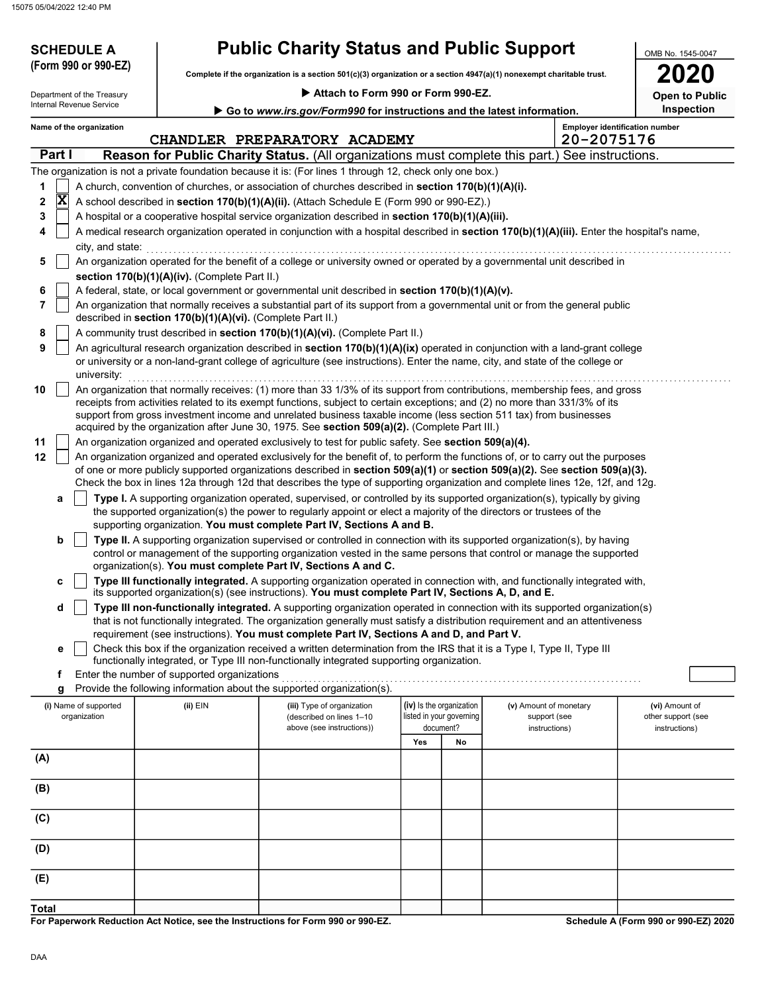15075 05/04/2022 12:40 PM

| <b>SCHEDULE A</b>                     |                                                                                                                                                                                                | <b>Public Charity Status and Public Support</b>                                                                                                                                                                                                                                                                                                   |                          |                                       |                                                         | OMB No. 1545-0047                                     |  |  |
|---------------------------------------|------------------------------------------------------------------------------------------------------------------------------------------------------------------------------------------------|---------------------------------------------------------------------------------------------------------------------------------------------------------------------------------------------------------------------------------------------------------------------------------------------------------------------------------------------------|--------------------------|---------------------------------------|---------------------------------------------------------|-------------------------------------------------------|--|--|
| (Form 990 or 990-EZ)                  |                                                                                                                                                                                                | Complete if the organization is a section 501(c)(3) organization or a section 4947(a)(1) nonexempt charitable trust.                                                                                                                                                                                                                              |                          |                                       |                                                         |                                                       |  |  |
| Department of the Treasury            |                                                                                                                                                                                                | Attach to Form 990 or Form 990-EZ.                                                                                                                                                                                                                                                                                                                |                          |                                       |                                                         | <b>Open to Public</b>                                 |  |  |
| Internal Revenue Service              |                                                                                                                                                                                                | Go to www.irs.gov/Form990 for instructions and the latest information.                                                                                                                                                                                                                                                                            |                          |                                       |                                                         | Inspection                                            |  |  |
| Name of the organization              |                                                                                                                                                                                                |                                                                                                                                                                                                                                                                                                                                                   |                          |                                       |                                                         | <b>Employer identification number</b>                 |  |  |
|                                       |                                                                                                                                                                                                | CHANDLER PREPARATORY ACADEMY                                                                                                                                                                                                                                                                                                                      |                          |                                       | 20-2075176                                              |                                                       |  |  |
| Part I                                |                                                                                                                                                                                                | <b>Reason for Public Charity Status.</b> (All organizations must complete this part.) See instructions.                                                                                                                                                                                                                                           |                          |                                       |                                                         |                                                       |  |  |
|                                       |                                                                                                                                                                                                | The organization is not a private foundation because it is: (For lines 1 through 12, check only one box.)                                                                                                                                                                                                                                         |                          |                                       |                                                         |                                                       |  |  |
| 1<br>$\overline{\mathbf{x}}$<br>2     |                                                                                                                                                                                                | A church, convention of churches, or association of churches described in section 170(b)(1)(A)(i).                                                                                                                                                                                                                                                |                          |                                       |                                                         |                                                       |  |  |
| 3                                     | A school described in section 170(b)(1)(A)(ii). (Attach Schedule E (Form 990 or 990-EZ).)<br>A hospital or a cooperative hospital service organization described in section 170(b)(1)(A)(iii). |                                                                                                                                                                                                                                                                                                                                                   |                          |                                       |                                                         |                                                       |  |  |
| 4                                     | A medical research organization operated in conjunction with a hospital described in section 170(b)(1)(A)(iii). Enter the hospital's name,                                                     |                                                                                                                                                                                                                                                                                                                                                   |                          |                                       |                                                         |                                                       |  |  |
| city, and state:                      |                                                                                                                                                                                                |                                                                                                                                                                                                                                                                                                                                                   |                          |                                       |                                                         |                                                       |  |  |
| 5                                     |                                                                                                                                                                                                | An organization operated for the benefit of a college or university owned or operated by a governmental unit described in                                                                                                                                                                                                                         |                          |                                       |                                                         |                                                       |  |  |
|                                       | section 170(b)(1)(A)(iv). (Complete Part II.)                                                                                                                                                  |                                                                                                                                                                                                                                                                                                                                                   |                          |                                       |                                                         |                                                       |  |  |
| 6                                     |                                                                                                                                                                                                | A federal, state, or local government or governmental unit described in section 170(b)(1)(A)(v).                                                                                                                                                                                                                                                  |                          |                                       |                                                         |                                                       |  |  |
| 7                                     | described in section 170(b)(1)(A)(vi). (Complete Part II.)                                                                                                                                     | An organization that normally receives a substantial part of its support from a governmental unit or from the general public                                                                                                                                                                                                                      |                          |                                       |                                                         |                                                       |  |  |
| 8                                     |                                                                                                                                                                                                | A community trust described in section 170(b)(1)(A)(vi). (Complete Part II.)                                                                                                                                                                                                                                                                      |                          |                                       |                                                         |                                                       |  |  |
| 9<br>university:                      |                                                                                                                                                                                                | An agricultural research organization described in section 170(b)(1)(A)(ix) operated in conjunction with a land-grant college<br>or university or a non-land-grant college of agriculture (see instructions). Enter the name, city, and state of the college or                                                                                   |                          |                                       |                                                         |                                                       |  |  |
| 10                                    |                                                                                                                                                                                                | An organization that normally receives: (1) more than 33 1/3% of its support from contributions, membership fees, and gross                                                                                                                                                                                                                       |                          |                                       |                                                         |                                                       |  |  |
|                                       |                                                                                                                                                                                                | receipts from activities related to its exempt functions, subject to certain exceptions; and (2) no more than 331/3% of its<br>support from gross investment income and unrelated business taxable income (less section 511 tax) from businesses<br>acquired by the organization after June 30, 1975. See section 509(a)(2). (Complete Part III.) |                          |                                       |                                                         |                                                       |  |  |
| 11                                    |                                                                                                                                                                                                | An organization organized and operated exclusively to test for public safety. See section 509(a)(4).                                                                                                                                                                                                                                              |                          |                                       |                                                         |                                                       |  |  |
| 12                                    |                                                                                                                                                                                                | An organization organized and operated exclusively for the benefit of, to perform the functions of, or to carry out the purposes                                                                                                                                                                                                                  |                          |                                       |                                                         |                                                       |  |  |
|                                       |                                                                                                                                                                                                | of one or more publicly supported organizations described in section 509(a)(1) or section 509(a)(2). See section 509(a)(3).                                                                                                                                                                                                                       |                          |                                       |                                                         |                                                       |  |  |
|                                       |                                                                                                                                                                                                | Check the box in lines 12a through 12d that describes the type of supporting organization and complete lines 12e, 12f, and 12g.                                                                                                                                                                                                                   |                          |                                       |                                                         |                                                       |  |  |
| a                                     |                                                                                                                                                                                                | Type I. A supporting organization operated, supervised, or controlled by its supported organization(s), typically by giving<br>the supported organization(s) the power to regularly appoint or elect a majority of the directors or trustees of the<br>supporting organization. You must complete Part IV, Sections A and B.                      |                          |                                       |                                                         |                                                       |  |  |
| b                                     |                                                                                                                                                                                                | Type II. A supporting organization supervised or controlled in connection with its supported organization(s), by having                                                                                                                                                                                                                           |                          |                                       |                                                         |                                                       |  |  |
|                                       |                                                                                                                                                                                                | control or management of the supporting organization vested in the same persons that control or manage the supported                                                                                                                                                                                                                              |                          |                                       |                                                         |                                                       |  |  |
|                                       |                                                                                                                                                                                                | organization(s). You must complete Part IV, Sections A and C.                                                                                                                                                                                                                                                                                     |                          |                                       |                                                         |                                                       |  |  |
| c                                     |                                                                                                                                                                                                | Type III functionally integrated. A supporting organization operated in connection with, and functionally integrated with,<br>its supported organization(s) (see instructions). You must complete Part IV, Sections A, D, and E.                                                                                                                  |                          |                                       |                                                         |                                                       |  |  |
| d                                     |                                                                                                                                                                                                | Type III non-functionally integrated. A supporting organization operated in connection with its supported organization(s)                                                                                                                                                                                                                         |                          |                                       |                                                         |                                                       |  |  |
|                                       |                                                                                                                                                                                                | that is not functionally integrated. The organization generally must satisfy a distribution requirement and an attentiveness                                                                                                                                                                                                                      |                          |                                       |                                                         |                                                       |  |  |
|                                       |                                                                                                                                                                                                | requirement (see instructions). You must complete Part IV, Sections A and D, and Part V.<br>Check this box if the organization received a written determination from the IRS that it is a Type I, Type II, Type III                                                                                                                               |                          |                                       |                                                         |                                                       |  |  |
| е                                     |                                                                                                                                                                                                | functionally integrated, or Type III non-functionally integrated supporting organization.                                                                                                                                                                                                                                                         |                          |                                       |                                                         |                                                       |  |  |
| f                                     | Enter the number of supported organizations                                                                                                                                                    |                                                                                                                                                                                                                                                                                                                                                   |                          |                                       |                                                         |                                                       |  |  |
| g                                     |                                                                                                                                                                                                | Provide the following information about the supported organization(s).                                                                                                                                                                                                                                                                            |                          |                                       |                                                         |                                                       |  |  |
| (i) Name of supported<br>organization | (ii) EIN                                                                                                                                                                                       | (iii) Type of organization<br>(described on lines 1-10<br>above (see instructions))                                                                                                                                                                                                                                                               | (iv) Is the organization | listed in your governing<br>document? | (v) Amount of monetary<br>support (see<br>instructions) | (vi) Amount of<br>other support (see<br>instructions) |  |  |
|                                       |                                                                                                                                                                                                |                                                                                                                                                                                                                                                                                                                                                   | Yes                      | No                                    |                                                         |                                                       |  |  |
| (A)                                   |                                                                                                                                                                                                |                                                                                                                                                                                                                                                                                                                                                   |                          |                                       |                                                         |                                                       |  |  |
|                                       |                                                                                                                                                                                                |                                                                                                                                                                                                                                                                                                                                                   |                          |                                       |                                                         |                                                       |  |  |
| (B)                                   |                                                                                                                                                                                                |                                                                                                                                                                                                                                                                                                                                                   |                          |                                       |                                                         |                                                       |  |  |
| (C)                                   |                                                                                                                                                                                                |                                                                                                                                                                                                                                                                                                                                                   |                          |                                       |                                                         |                                                       |  |  |
| (D)                                   |                                                                                                                                                                                                |                                                                                                                                                                                                                                                                                                                                                   |                          |                                       |                                                         |                                                       |  |  |
| (E)                                   |                                                                                                                                                                                                |                                                                                                                                                                                                                                                                                                                                                   |                          |                                       |                                                         |                                                       |  |  |
| <b>Total</b>                          |                                                                                                                                                                                                |                                                                                                                                                                                                                                                                                                                                                   |                          |                                       |                                                         |                                                       |  |  |

For Paperwork Reduction Act Notice, see the Instructions for Form 990 or 990-EZ.

Schedule A (Form 990 or 990-EZ) 2020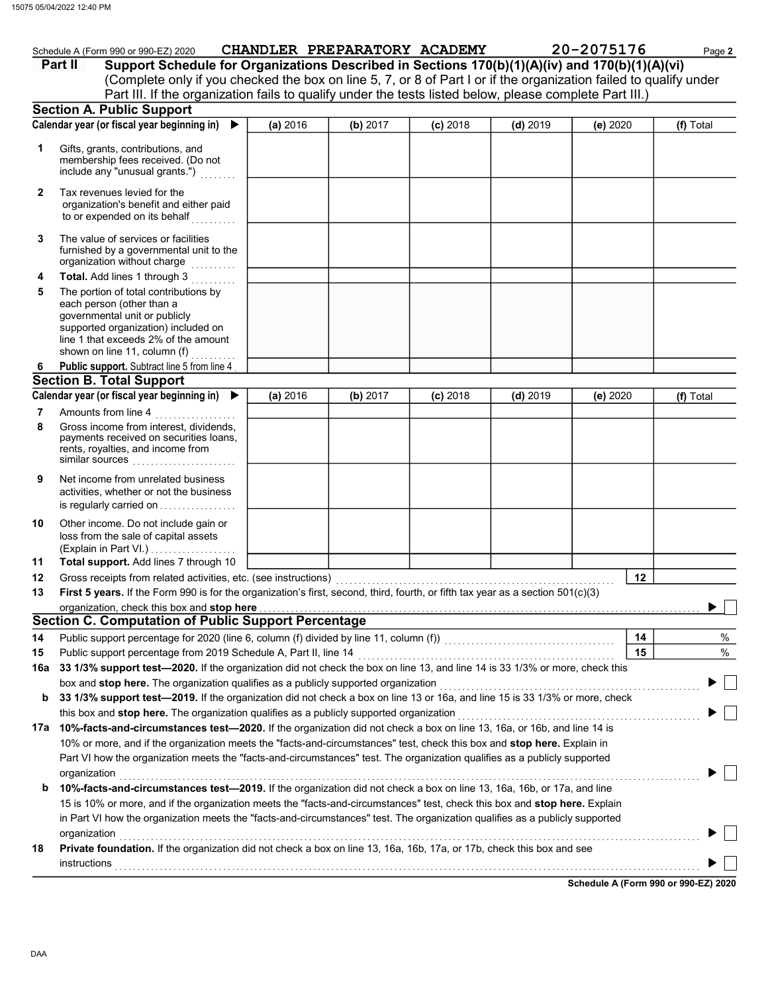|              | Schedule A (Form 990 or 990-EZ) 2020<br>Support Schedule for Organizations Described in Sections 170(b)(1)(A)(iv) and 170(b)(1)(A)(vi)<br>Part II<br>(Complete only if you checked the box on line 5, 7, or 8 of Part I or if the organization failed to qualify under |          |          | CHANDLER PREPARATORY ACADEMY |            | 20-2075176 | Page 2    |
|--------------|------------------------------------------------------------------------------------------------------------------------------------------------------------------------------------------------------------------------------------------------------------------------|----------|----------|------------------------------|------------|------------|-----------|
|              | Part III. If the organization fails to qualify under the tests listed below, please complete Part III.)                                                                                                                                                                |          |          |                              |            |            |           |
|              | <b>Section A. Public Support</b>                                                                                                                                                                                                                                       |          |          |                              |            |            |           |
|              | Calendar year (or fiscal year beginning in)<br>$\blacktriangleright$                                                                                                                                                                                                   | (a) 2016 | (b) 2017 | $(c)$ 2018                   | $(d)$ 2019 | (e) 2020   | (f) Total |
| 1            | Gifts, grants, contributions, and<br>membership fees received. (Do not<br>include any "unusual grants.")                                                                                                                                                               |          |          |                              |            |            |           |
| $\mathbf{2}$ | Tax revenues levied for the<br>organization's benefit and either paid<br>to or expended on its behalf                                                                                                                                                                  |          |          |                              |            |            |           |
| 3            | The value of services or facilities<br>furnished by a governmental unit to the<br>organization without charge                                                                                                                                                          |          |          |                              |            |            |           |
| 4            | Total. Add lines 1 through 3                                                                                                                                                                                                                                           |          |          |                              |            |            |           |
| 5            | The portion of total contributions by<br>each person (other than a<br>governmental unit or publicly<br>supported organization) included on<br>line 1 that exceeds 2% of the amount<br>shown on line 11, column $(f)$                                                   |          |          |                              |            |            |           |
| 6            | Public support. Subtract line 5 from line 4                                                                                                                                                                                                                            |          |          |                              |            |            |           |
|              | <b>Section B. Total Support</b>                                                                                                                                                                                                                                        |          |          |                              |            |            |           |
|              | Calendar year (or fiscal year beginning in)                                                                                                                                                                                                                            | (a) 2016 | (b) 2017 | $(c)$ 2018                   | $(d)$ 2019 | (e) 2020   | (f) Total |
| 7<br>8       | Amounts from line 4<br>Gross income from interest, dividends,<br>payments received on securities loans,<br>rents, royalties, and income from<br>similar sources                                                                                                        |          |          |                              |            |            |           |
| 9            | Net income from unrelated business<br>activities, whether or not the business<br>is regularly carried on                                                                                                                                                               |          |          |                              |            |            |           |
| 10<br>11     | Other income. Do not include gain or<br>loss from the sale of capital assets<br>Total support. Add lines 7 through 10                                                                                                                                                  |          |          |                              |            |            |           |
| 12           | Gross receipts from related activities, etc. (see instructions)                                                                                                                                                                                                        |          |          |                              |            | 12         |           |
| 13           | First 5 years. If the Form 990 is for the organization's first, second, third, fourth, or fifth tax year as a section 501(c)(3)                                                                                                                                        |          |          |                              |            |            |           |
|              | organization, check this box and stop here<br><b>Section C. Computation of Public Support Percentage</b>                                                                                                                                                               |          |          |                              |            |            | ▶         |
| 14           |                                                                                                                                                                                                                                                                        |          |          |                              |            | 14         | %         |
| 15           | Public support percentage from 2019 Schedule A, Part II, line 14                                                                                                                                                                                                       |          |          |                              |            | 15         | %         |
| 16a          | 33 1/3% support test-2020. If the organization did not check the box on line 13, and line 14 is 33 1/3% or more, check this                                                                                                                                            |          |          |                              |            |            |           |
|              | box and stop here. The organization qualifies as a publicly supported organization                                                                                                                                                                                     |          |          |                              |            |            |           |
| b            | 33 1/3% support test—2019. If the organization did not check a box on line 13 or 16a, and line 15 is 33 1/3% or more, check                                                                                                                                            |          |          |                              |            |            |           |
|              | this box and stop here. The organization qualifies as a publicly supported organization                                                                                                                                                                                |          |          |                              |            |            |           |
|              | 17a 10%-facts-and-circumstances test-2020. If the organization did not check a box on line 13, 16a, or 16b, and line 14 is                                                                                                                                             |          |          |                              |            |            |           |
|              | 10% or more, and if the organization meets the "facts-and-circumstances" test, check this box and stop here. Explain in<br>Part VI how the organization meets the "facts-and-circumstances" test. The organization qualifies as a publicly supported                   |          |          |                              |            |            |           |
|              | organization                                                                                                                                                                                                                                                           |          |          |                              |            |            |           |
| b            | 10%-facts-and-circumstances test-2019. If the organization did not check a box on line 13, 16a, 16b, or 17a, and line<br>15 is 10% or more, and if the organization meets the "facts-and-circumstances" test, check this box and stop here. Explain                    |          |          |                              |            |            |           |
|              | in Part VI how the organization meets the "facts-and-circumstances" test. The organization qualifies as a publicly supported                                                                                                                                           |          |          |                              |            |            |           |
|              | organization                                                                                                                                                                                                                                                           |          |          |                              |            |            |           |
| 18           | Private foundation. If the organization did not check a box on line 13, 16a, 16b, 17a, or 17b, check this box and see                                                                                                                                                  |          |          |                              |            |            |           |
|              |                                                                                                                                                                                                                                                                        |          |          |                              |            |            |           |

Schedule A (Form 990 or 990-EZ) 2020

J.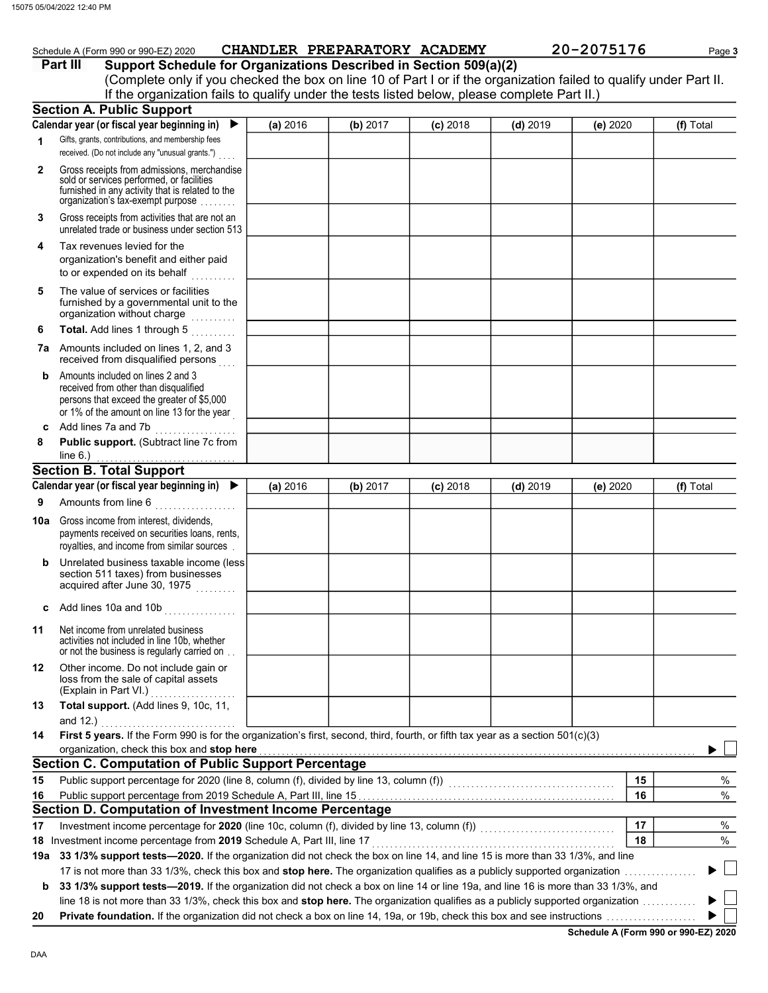|        | 5 05/04/2022 12:40 PM                                                                                                                                                                                                                                                                                                                       |                              |          |            |            |            |           |
|--------|---------------------------------------------------------------------------------------------------------------------------------------------------------------------------------------------------------------------------------------------------------------------------------------------------------------------------------------------|------------------------------|----------|------------|------------|------------|-----------|
|        | Schedule A (Form 990 or 990-EZ) 2020<br>Support Schedule for Organizations Described in Section 509(a)(2)<br>Part III<br>(Complete only if you checked the box on line 10 of Part I or if the organization failed to qualify under Part II.<br>If the organization fails to qualify under the tests listed below, please complete Part II.) | CHANDLER PREPARATORY ACADEMY |          |            |            | 20-2075176 | Page 3    |
|        | <b>Section A. Public Support</b>                                                                                                                                                                                                                                                                                                            |                              |          |            |            |            |           |
|        | Calendar year (or fiscal year beginning in)<br>▶                                                                                                                                                                                                                                                                                            | (a) 2016                     | (b) 2017 | $(c)$ 2018 | $(d)$ 2019 | (e) 2020   | (f) Total |
| 1      | Gifts, grants, contributions, and membership fees<br>received. (Do not include any "unusual grants.")                                                                                                                                                                                                                                       |                              |          |            |            |            |           |
| 2      | Gross receipts from admissions, merchandise<br>sold or services performed, or facilities<br>furnished in any activity that is related to the<br>organization's tax-exempt purpose                                                                                                                                                           |                              |          |            |            |            |           |
| 3      | Gross receipts from activities that are not an<br>unrelated trade or business under section 513                                                                                                                                                                                                                                             |                              |          |            |            |            |           |
| 4      | Tax revenues levied for the<br>organization's benefit and either paid<br>to or expended on its behalf                                                                                                                                                                                                                                       |                              |          |            |            |            |           |
| 5      | The value of services or facilities<br>furnished by a governmental unit to the<br>organization without charge                                                                                                                                                                                                                               |                              |          |            |            |            |           |
| 6      | Total. Add lines 1 through 5                                                                                                                                                                                                                                                                                                                |                              |          |            |            |            |           |
|        | 7a Amounts included on lines 1, 2, and 3<br>received from disqualified persons                                                                                                                                                                                                                                                              |                              |          |            |            |            |           |
| b      | Amounts included on lines 2 and 3<br>received from other than disqualified<br>persons that exceed the greater of \$5,000<br>or 1% of the amount on line 13 for the year                                                                                                                                                                     |                              |          |            |            |            |           |
| c<br>8 | Add lines 7a and 7b<br>. <b>.</b> .<br>Public support. (Subtract line 7c from<br>line $6.$ )                                                                                                                                                                                                                                                |                              |          |            |            |            |           |
|        | <b>Section B. Total Support</b>                                                                                                                                                                                                                                                                                                             |                              |          |            |            |            |           |
|        | Calendar year (or fiscal year beginning in) $\blacktriangleright$                                                                                                                                                                                                                                                                           | (a) 2016                     | (b) 2017 | $(c)$ 2018 | $(d)$ 2019 | (e) 2020   | (f) Total |
| 9      | Amounts from line 6                                                                                                                                                                                                                                                                                                                         |                              |          |            |            |            |           |
| 10a l  | Gross income from interest, dividends,<br>payments received on securities loans, rents,<br>royalties, and income from similar sources                                                                                                                                                                                                       |                              |          |            |            |            |           |
| b      | Unrelated business taxable income (less<br>section 511 taxes) from businesses<br>acquired after June 30, 1975                                                                                                                                                                                                                               |                              |          |            |            |            |           |
| c      | Add lines 10a and 10b                                                                                                                                                                                                                                                                                                                       |                              |          |            |            |            |           |
| 11     | Net income from unrelated business<br>activities not included in line 10b, whether<br>or not the business is regularly carried on                                                                                                                                                                                                           |                              |          |            |            |            |           |
| 12     | Other income. Do not include gain or<br>loss from the sale of capital assets<br>(Explain in Part VI.)<br>.                                                                                                                                                                                                                                  |                              |          |            |            |            |           |
| 13     | Total support. (Add lines 9, 10c, 11,<br>and 12.)                                                                                                                                                                                                                                                                                           |                              |          |            |            |            |           |
| 14     | First 5 years. If the Form 990 is for the organization's first, second, third, fourth, or fifth tax year as a section 501(c)(3)                                                                                                                                                                                                             |                              |          |            |            |            |           |
|        | organization, check this box and stop here                                                                                                                                                                                                                                                                                                  |                              |          |            |            |            |           |
|        | <b>Section C. Computation of Public Support Percentage</b>                                                                                                                                                                                                                                                                                  |                              |          |            |            |            |           |
| 15     | Public support percentage for 2020 (line 8, column (f), divided by line 13, column (f)) [[[[[[[[[[[[[[[[[[[[[                                                                                                                                                                                                                               |                              |          |            |            | 15         | $\%$      |
| 16     |                                                                                                                                                                                                                                                                                                                                             |                              |          |            |            | 16         | %         |

## Section D. Computation of Investment Income Percentage

**17** Investment income percentage for **2020** (line 10c, column (f), divided by line 13, column (f))  $\ldots$ 

18 Investment income percentage from 2019 Schedule A, Part III, line 17 . . . . . . . . . . . . . . . . . . . . . . . . . . . . . . . . . . . . . . . . . . . . . . . . . . . . . .

19a 33 1/3% support tests—2020. If the organization did not check the box on line 14, and line 15 is more than 33 1/3%, and line 17 is not more than 33 1/3%, check this box and stop here. The organization qualifies as a publicly supported organization . . . . . . . . . . . . . . . .  $\blacktriangleright$ 

b 33 1/3% support tests-2019. If the organization did not check a box on line 14 or line 19a, and line 16 is more than 33 1/3%, and line 18 is not more than 33 1/3%, check this box and stop here. The organization qualifies as a publicly supported organization ............ Þ ▶

20 Private foundation. If the organization did not check a box on line 14, 19a, or 19b, check this box and see instructions . . . . . . . . . . . . . . . . . . . .

Schedule A (Form 990 or 990-EZ) 2020

17 18 % %

 $\mathbb{R}$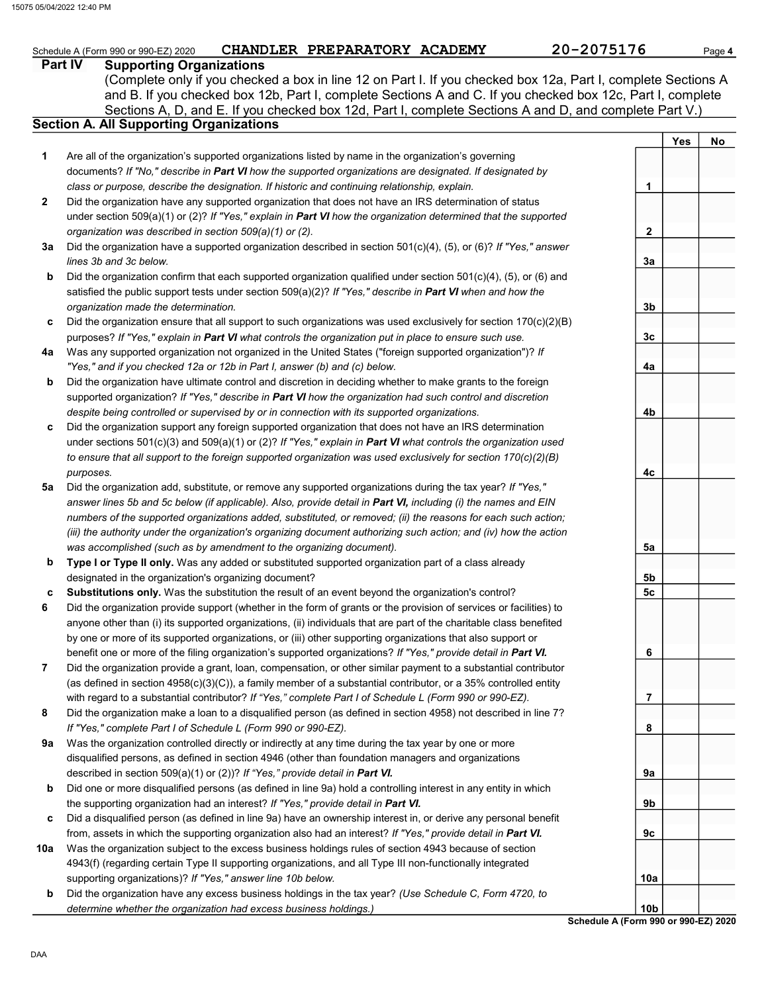## Schedule A (Form 990 or 990-EZ) 2020 CHANDLER PREPARATORY ACADEMY 20-2075176 Page 4

Yes | No

1

2

3a

3b

3c

4a

4b

4c

5a

5b 5c

6

7

8

9a

9b

9c

10a

## Part IV Supporting Organizations

Sections A, D, and E. If you checked box 12d, Part I, complete Sections A and D, and complete Part V.) (Complete only if you checked a box in line 12 on Part I. If you checked box 12a, Part I, complete Sections A and B. If you checked box 12b, Part I, complete Sections A and C. If you checked box 12c, Part I, complete

## Section A. All Supporting Organizations

- Are all of the organization's supported organizations listed by name in the organization's governing documents? If "No," describe in Part VI how the supported organizations are designated. If designated by class or purpose, describe the designation. If historic and continuing relationship, explain. 1
- Did the organization have any supported organization that does not have an IRS determination of status under section 509(a)(1) or (2)? If "Yes," explain in Part VI how the organization determined that the supported organization was described in section 509(a)(1) or (2). 2
- **3a** Did the organization have a supported organization described in section 501(c)(4), (5), or (6)? If "Yes," answer lines 3b and 3c below.
- b Did the organization confirm that each supported organization qualified under section 501(c)(4), (5), or (6) and satisfied the public support tests under section  $509(a)(2)$ ? If "Yes," describe in Part VI when and how the organization made the determination.
- c Did the organization ensure that all support to such organizations was used exclusively for section 170(c)(2)(B) purposes? If "Yes," explain in Part VI what controls the organization put in place to ensure such use.
- 4a Was any supported organization not organized in the United States ("foreign supported organization")? If "Yes," and if you checked 12a or 12b in Part I, answer (b) and (c) below.
- b Did the organization have ultimate control and discretion in deciding whether to make grants to the foreign supported organization? If "Yes," describe in Part VI how the organization had such control and discretion despite being controlled or supervised by or in connection with its supported organizations.
- c Did the organization support any foreign supported organization that does not have an IRS determination under sections  $501(c)(3)$  and  $509(a)(1)$  or (2)? If "Yes," explain in Part VI what controls the organization used to ensure that all support to the foreign supported organization was used exclusively for section 170(c)(2)(B) purposes.
- 5a Did the organization add, substitute, or remove any supported organizations during the tax year? If "Yes," answer lines 5b and 5c below (if applicable). Also, provide detail in Part VI, including (i) the names and EIN numbers of the supported organizations added, substituted, or removed; (ii) the reasons for each such action; (iii) the authority under the organization's organizing document authorizing such action; and (iv) how the action was accomplished (such as by amendment to the organizing document).
- b Type I or Type II only. Was any added or substituted supported organization part of a class already designated in the organization's organizing document?
- c Substitutions only. Was the substitution the result of an event beyond the organization's control?
- 6 Did the organization provide support (whether in the form of grants or the provision of services or facilities) to anyone other than (i) its supported organizations, (ii) individuals that are part of the charitable class benefited by one or more of its supported organizations, or (iii) other supporting organizations that also support or benefit one or more of the filing organization's supported organizations? If "Yes," provide detail in Part VI.
- 7 Did the organization provide a grant, loan, compensation, or other similar payment to a substantial contributor (as defined in section  $4958(c)(3)(C)$ ), a family member of a substantial contributor, or a 35% controlled entity with regard to a substantial contributor? If "Yes," complete Part I of Schedule L (Form 990 or 990-EZ).
- 8 Did the organization make a loan to a disqualified person (as defined in section 4958) not described in line 7? If "Yes," complete Part I of Schedule L (Form 990 or 990-EZ).
- 9a Was the organization controlled directly or indirectly at any time during the tax year by one or more disqualified persons, as defined in section 4946 (other than foundation managers and organizations described in section 509(a)(1) or (2))? If "Yes," provide detail in Part VI.
- b Did one or more disqualified persons (as defined in line 9a) hold a controlling interest in any entity in which the supporting organization had an interest? If "Yes," provide detail in Part VI.
- c Did a disqualified person (as defined in line 9a) have an ownership interest in, or derive any personal benefit from, assets in which the supporting organization also had an interest? If "Yes," provide detail in Part VI.
- 10a Was the organization subject to the excess business holdings rules of section 4943 because of section 4943(f) (regarding certain Type II supporting organizations, and all Type III non-functionally integrated supporting organizations)? If "Yes," answer line 10b below.
- b Did the organization have any excess business holdings in the tax year? (Use Schedule C, Form 4720, to determine whether the organization had excess business holdings.)

Schedule A (Form 990 or 990-EZ) 2020 10b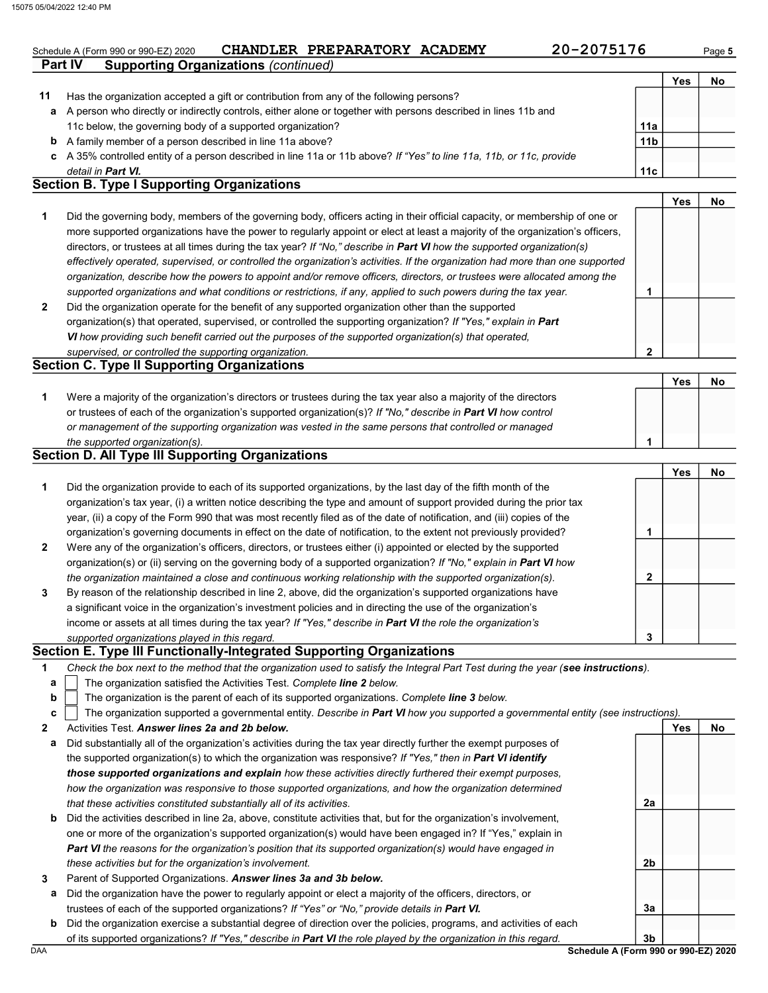## Schedule A (Form 990 or 990-EZ) 2020 CHANDLER PREPARATORY ACADEMY 20-2075176 Page 5

2

Yes No

|    |                                                                                                                      |                 | Yes | No |
|----|----------------------------------------------------------------------------------------------------------------------|-----------------|-----|----|
| 11 | Has the organization accepted a gift or contribution from any of the following persons?                              |                 |     |    |
| a  | A person who directly or indirectly controls, either alone or together with persons described in lines 11b and       |                 |     |    |
|    | 11c below, the governing body of a supported organization?                                                           | 11a             |     |    |
| b  | A family member of a person described in line 11a above?                                                             | 11 <sub>b</sub> |     |    |
|    | c A 35% controlled entity of a person described in line 11a or 11b above? If "Yes" to line 11a, 11b, or 11c, provide |                 |     |    |
|    | detail in <b>Part VI.</b>                                                                                            | 11c             |     |    |
|    | <b>Section B. Type I Supporting Organizations</b>                                                                    |                 |     |    |

| Did the governing body, members of the governing body, officers acting in their official capacity, or membership of one or     |  |
|--------------------------------------------------------------------------------------------------------------------------------|--|
| more supported organizations have the power to regularly appoint or elect at least a majority of the organization's officers,  |  |
| directors, or trustees at all times during the tax year? If "No," describe in Part VI how the supported organization(s)        |  |
| effectively operated, supervised, or controlled the organization's activities. If the organization had more than one supported |  |
| organization, describe how the powers to appoint and/or remove officers, directors, or trustees were allocated among the       |  |
| supported organizations and what conditions or restrictions, if any, applied to such powers during the tax year.               |  |
| Did the organization operate for the benefit of any supported organization other than the supported                            |  |
| organization(s) that operated, supervised, or controlled the supporting organization? If "Yes," explain in Part                |  |

VI how providing such benefit carried out the purposes of the supported organization(s) that operated,

### supervised, or controlled the supporting organization. Section C. Type II Supporting Organizations

**Part IV** Supporting Organizations (continued)

|                                                                                                                      |  | No |
|----------------------------------------------------------------------------------------------------------------------|--|----|
| Were a majority of the organization's directors or trustees during the tax year also a majority of the directors     |  |    |
| or trustees of each of the organization's supported organization(s)? If "No," describe in <b>Part VI</b> how control |  |    |
| or management of the supporting organization was vested in the same persons that controlled or managed               |  |    |
| the supported organization(s).                                                                                       |  |    |

### Section D. All Type III Supporting Organizations

|                |                                                                                                                        |   | Yes | No |
|----------------|------------------------------------------------------------------------------------------------------------------------|---|-----|----|
| 1              | Did the organization provide to each of its supported organizations, by the last day of the fifth month of the         |   |     |    |
|                | organization's tax year, (i) a written notice describing the type and amount of support provided during the prior tax  |   |     |    |
|                | year, (ii) a copy of the Form 990 that was most recently filed as of the date of notification, and (iii) copies of the |   |     |    |
|                | organization's governing documents in effect on the date of notification, to the extent not previously provided?       |   |     |    |
| $\overline{2}$ | Were any of the organization's officers, directors, or trustees either (i) appointed or elected by the supported       |   |     |    |
|                | organization(s) or (ii) serving on the governing body of a supported organization? If "No," explain in Part VI how     |   |     |    |
|                | the organization maintained a close and continuous working relationship with the supported organization(s).            | 2 |     |    |
| $\mathbf{3}$   | By reason of the relationship described in line 2, above, did the organization's supported organizations have          |   |     |    |
|                | a significant voice in the organization's investment policies and in directing the use of the organization's           |   |     |    |
|                | income or assets at all times during the tax year? If "Yes," describe in Part VI the role the organization's           |   |     |    |
|                | supported organizations played in this regard.                                                                         | 3 |     |    |

### Section E. Type III Functionally-Integrated Supporting Organizations

| Check the box next to the method that the organization used to satisfy the Integral Part Test during the year (see instructions). |  |
|-----------------------------------------------------------------------------------------------------------------------------------|--|
|-----------------------------------------------------------------------------------------------------------------------------------|--|

- The organization satisfied the Activities Test. Complete line 2 below. a
- The organization is the parent of each of its supported organizations. Complete line 3 below. b

|  | The organization supported a governmental entity. Describe in <b>Part VI</b> how you supported a governmental entity (see instructions). |
|--|------------------------------------------------------------------------------------------------------------------------------------------|
|--|------------------------------------------------------------------------------------------------------------------------------------------|

- 2 Activities Test. Answer lines 2a and 2b below.
- a Did substantially all of the organization's activities during the tax year directly further the exempt purposes of the supported organization(s) to which the organization was responsive? If "Yes," then in Part VI identify those supported organizations and explain how these activities directly furthered their exempt purposes, how the organization was responsive to those supported organizations, and how the organization determined that these activities constituted substantially all of its activities.
- b Did the activities described in line 2a, above, constitute activities that, but for the organization's involvement, one or more of the organization's supported organization(s) would have been engaged in? If "Yes," explain in Part VI the reasons for the organization's position that its supported organization(s) would have engaged in these activities but for the organization's involvement.
- 3 Parent of Supported Organizations. Answer lines 3a and 3b below.
	- a Did the organization have the power to regularly appoint or elect a majority of the officers, directors, or trustees of each of the supported organizations? If "Yes" or "No," provide details in Part VI.
	- b Did the organization exercise a substantial degree of direction over the policies, programs, and activities of each of its supported organizations? If "Yes," describe in Part VI the role played by the organization in this regard.

DAA Schedule A (Form 990 or 990-EZ) 2020 3b

2a

2b

3a

Yes No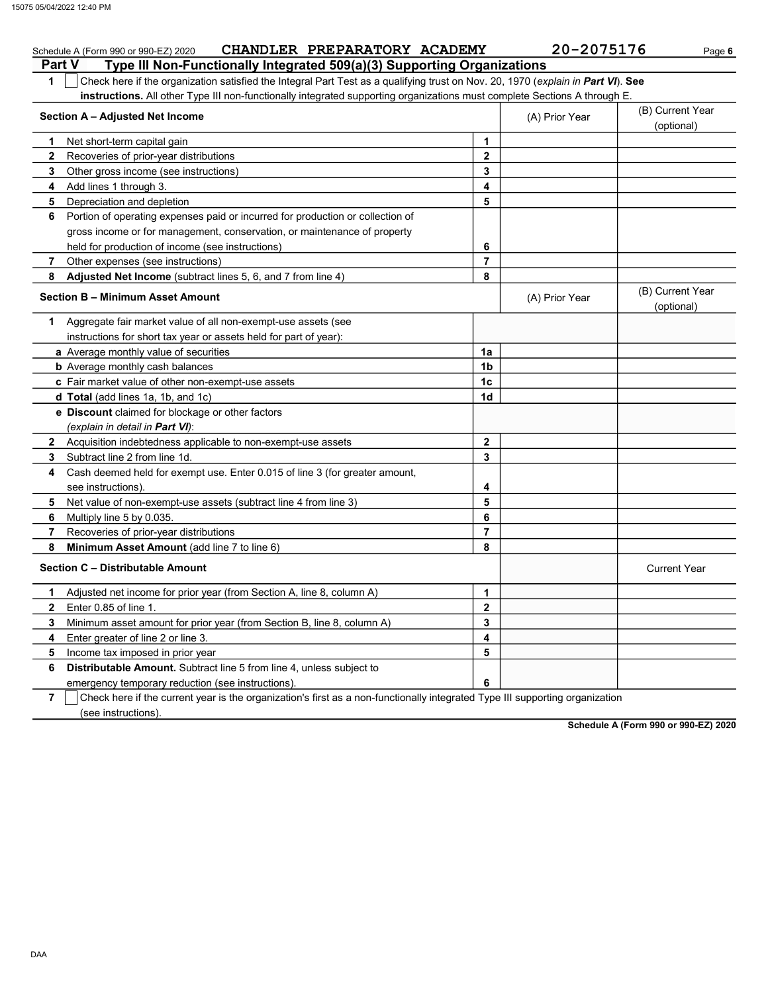#### Part V Type III Non-Functionally Integrated 509(a)(3) Supporting Organizations Schedule A (Form 990 or 990-EZ) 2020 CHANDLER PREPARATORY ACADEMY 20-2075176 Page 6 1 Check here if the organization satisfied the Integral Part Test as a qualifying trust on Nov. 20, 1970 (explain in Part VI). See instructions. All other Type III non-functionally integrated supporting organizations must complete Sections A through E. 1 2 Recoveries of prior-year distributions 3 4 Add lines 1 through 3. 5 Depreciation and depletion 6 Portion of operating expenses paid or incurred for production or collection of 7 8 1 Aggregate fair market value of all non-exempt-use assets (see Section A – Adjusted Net Income Net short-term capital gain Other gross income (see instructions) gross income or for management, conservation, or maintenance of property held for production of income (see instructions) Other expenses (see instructions) Adjusted Net Income (subtract lines 5, 6, and 7 from line 4) Section B – Minimum Asset Amount instructions for short tax year or assets held for part of year): a Average monthly value of securities **b** Average monthly cash balances c Fair market value of other non-exempt-use assets d Total (add lines 1a, 1b, and 1c) **e Discount** claimed for blockage or other factors (explain in detail in Part VI): 8 Minimum Asset Amount (add line 7 to line 6) 7 6 5 4 3 2 Acquisition indebtedness applicable to non-exempt-use assets Subtract line 2 from line 1d. Cash deemed held for exempt use. Enter 0.015 of line 3 (for greater amount, see instructions). Net value of non-exempt-use assets (subtract line 4 from line 3) Multiply line 5 by 0.035. Recoveries of prior-year distributions Section C – Distributable Amount 6 5 4 Enter greater of line 2 or line 3. 3 2 1 Adjusted net income for prior year (from Section A, line 8, column A) Enter 0.85 of line 1. Minimum asset amount for prior year (from Section B, line 8, column A) Income tax imposed in prior year Distributable Amount. Subtract line 5 from line 4, unless subject to emergency temporary reduction (see instructions). 8 7 6 5 4 3 2 1 (A) Prior Year (B) Current Year (optional) (optional) (B) Current Year (A) Prior Year 1a 1b 1c 1d 2 3 4 5 6 7 8 3 2 1 6 5 4 Current Year

7 (see instructions). Check here if the current year is the organization's first as a non-functionally integrated Type III supporting organization

Schedule A (Form 990 or 990-EZ) 2020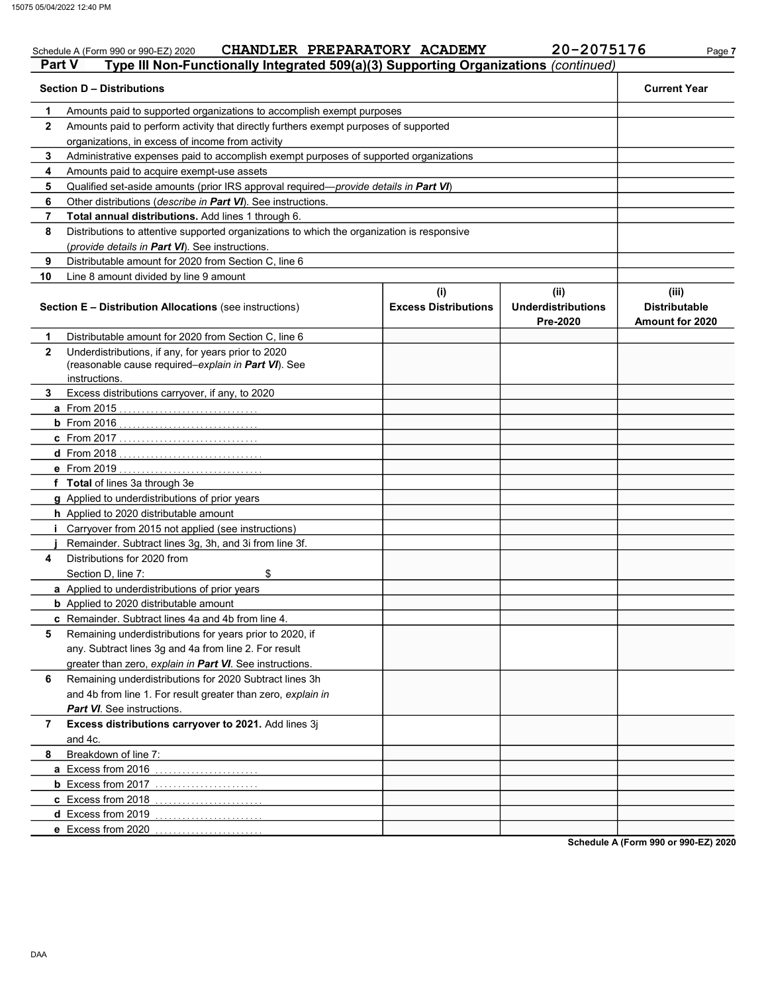### Schedule A (Form 990 or 990-EZ) 2020 CHANDLER PREPARATORY ACADEMY 20-2075176 Page 7 Part V Type III Non-Functionally Integrated 509(a)(3) Supporting Organizations (continued) Section D – Distributions Current Year 1 2 3 4 5 6 7 8 9 10 Amounts paid to supported organizations to accomplish exempt purposes Amounts paid to perform activity that directly furthers exempt purposes of supported organizations, in excess of income from activity Administrative expenses paid to accomplish exempt purposes of supported organizations Amounts paid to acquire exempt-use assets Qualified set-aside amounts (prior IRS approval required—provide details in Part VI) Other distributions (describe in Part VI). See instructions. Total annual distributions. Add lines 1 through 6. Distributions to attentive supported organizations to which the organization is responsive (provide details in Part VI). See instructions. Distributable amount for 2020 from Section C, line 6 Line 8 amount divided by line 9 amount Section E – Distribution Allocations (see instructions) Excess Distributions (i) (ii) Underdistributions Pre-2020 (iii) Distributable Amount for 2020 5 4 3 2 1 a From 2015 . . . . . . . . . . . . . . . . . . . . . . . . . . . . . . . b From 2016 . . . . . . . . . . . . . . . . . . . . . . . . . . . . . . . c From 2017 . . . . . . . . . . . . . . . . . . . . . . . . . . . . . . . d From 2018 . . . . . . . . . . . . . . . . . . . . . . . . . . . . . . . . e From 2019 . . . . . . . . . . . . . . . . . . . . . . . . . . . . . . . . f Total of lines 3a through 3e g Applied to underdistributions of prior years h Applied to 2020 distributable amount i Carryover from 2015 not applied (see instructions) j Remainder. Subtract lines 3g, 3h, and 3i from line 3f. a Applied to underdistributions of prior years **b** Applied to 2020 distributable amount c Remainder. Subtract lines 4a and 4b from line 4. Distributable amount for 2020 from Section C, line 6 Underdistributions, if any, for years prior to 2020 (reasonable cause required–explain in Part VI). See Excess distributions carryover, if any, to 2020 Distributions for 2020 from Section D, line 7: \$ Remaining underdistributions for years prior to 2020, if any. Subtract lines 3g and 4a from line 2. For result greater than zero, explain in Part VI. See instructions. instructions.

8 7 6 Remaining underdistributions for 2020 Subtract lines 3h a Excess from 2016 ........................ **b** Excess from 2017 ........................ c Excess from 2018 . . . . . . . . . . . . . . . . . . . . . . . . d Excess from 2019 ......................... e Excess from 2020 . . . . . . . . . . . . . . . . . . . . . . . . and 4b from line 1. For result greater than zero, explain in Part VI. See instructions. Excess distributions carryover to 2021. Add lines 3j and 4c. Breakdown of line 7:

Schedule A (Form 990 or 990-EZ) 2020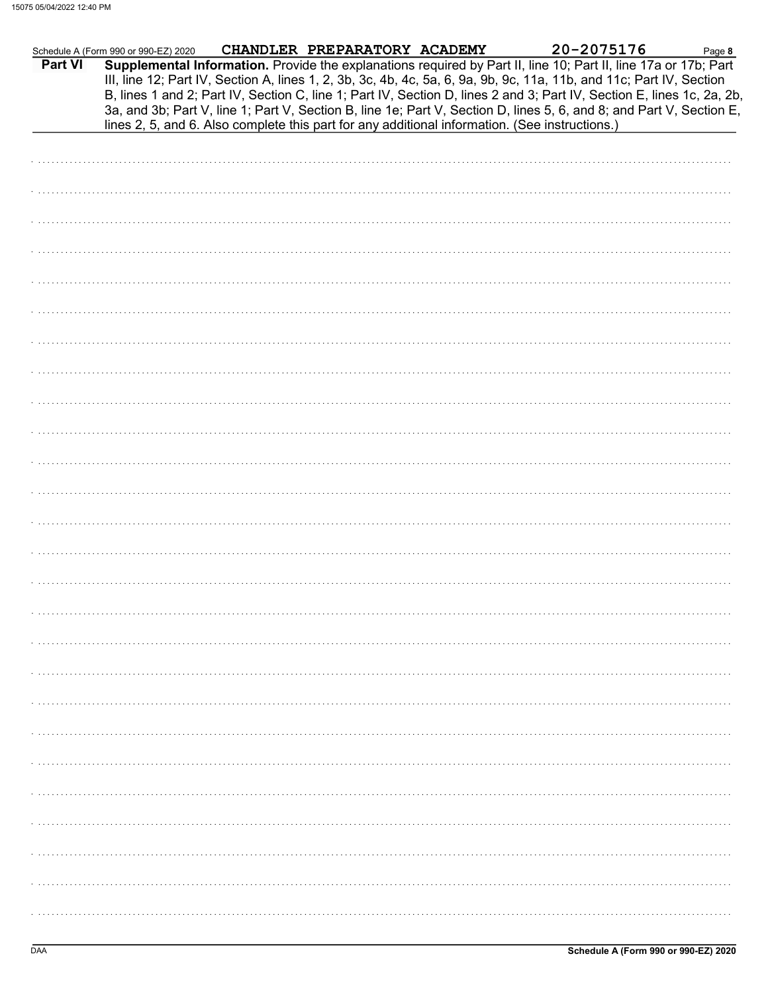|         | Schedule A (Form 990 or 990-EZ) 2020 CHANDLER PREPARATORY ACADEMY |                                                                                                | 20-2075176                                                                                                                                                                                                                                                                                                                                                                                                                                                                                | Page 8 |
|---------|-------------------------------------------------------------------|------------------------------------------------------------------------------------------------|-------------------------------------------------------------------------------------------------------------------------------------------------------------------------------------------------------------------------------------------------------------------------------------------------------------------------------------------------------------------------------------------------------------------------------------------------------------------------------------------|--------|
| Part VI |                                                                   | lines 2, 5, and 6. Also complete this part for any additional information. (See instructions.) | Supplemental Information. Provide the explanations required by Part II, line 10; Part II, line 17a or 17b; Part<br>III, line 12; Part IV, Section A, lines 1, 2, 3b, 3c, 4b, 4c, 5a, 6, 9a, 9b, 9c, 11a, 11b, and 11c; Part IV, Section<br>B, lines 1 and 2; Part IV, Section C, line 1; Part IV, Section D, lines 2 and 3; Part IV, Section E, lines 1c, 2a, 2b,<br>3a, and 3b; Part V, line 1; Part V, Section B, line 1e; Part V, Section D, lines 5, 6, and 8; and Part V, Section E, |        |
|         |                                                                   |                                                                                                |                                                                                                                                                                                                                                                                                                                                                                                                                                                                                           |        |
|         |                                                                   |                                                                                                |                                                                                                                                                                                                                                                                                                                                                                                                                                                                                           |        |
|         |                                                                   |                                                                                                |                                                                                                                                                                                                                                                                                                                                                                                                                                                                                           |        |
|         |                                                                   |                                                                                                |                                                                                                                                                                                                                                                                                                                                                                                                                                                                                           |        |
|         |                                                                   |                                                                                                |                                                                                                                                                                                                                                                                                                                                                                                                                                                                                           |        |
|         |                                                                   |                                                                                                |                                                                                                                                                                                                                                                                                                                                                                                                                                                                                           |        |
|         |                                                                   |                                                                                                |                                                                                                                                                                                                                                                                                                                                                                                                                                                                                           |        |
|         |                                                                   |                                                                                                |                                                                                                                                                                                                                                                                                                                                                                                                                                                                                           |        |
|         |                                                                   |                                                                                                |                                                                                                                                                                                                                                                                                                                                                                                                                                                                                           |        |
|         |                                                                   |                                                                                                |                                                                                                                                                                                                                                                                                                                                                                                                                                                                                           |        |
|         |                                                                   |                                                                                                |                                                                                                                                                                                                                                                                                                                                                                                                                                                                                           |        |
|         |                                                                   |                                                                                                |                                                                                                                                                                                                                                                                                                                                                                                                                                                                                           |        |
|         |                                                                   |                                                                                                |                                                                                                                                                                                                                                                                                                                                                                                                                                                                                           |        |
|         |                                                                   |                                                                                                |                                                                                                                                                                                                                                                                                                                                                                                                                                                                                           |        |
|         |                                                                   |                                                                                                |                                                                                                                                                                                                                                                                                                                                                                                                                                                                                           |        |
|         |                                                                   |                                                                                                |                                                                                                                                                                                                                                                                                                                                                                                                                                                                                           |        |
|         |                                                                   |                                                                                                |                                                                                                                                                                                                                                                                                                                                                                                                                                                                                           |        |
|         |                                                                   |                                                                                                |                                                                                                                                                                                                                                                                                                                                                                                                                                                                                           |        |
|         |                                                                   |                                                                                                |                                                                                                                                                                                                                                                                                                                                                                                                                                                                                           |        |
|         |                                                                   |                                                                                                |                                                                                                                                                                                                                                                                                                                                                                                                                                                                                           |        |
|         |                                                                   |                                                                                                |                                                                                                                                                                                                                                                                                                                                                                                                                                                                                           |        |
|         |                                                                   |                                                                                                |                                                                                                                                                                                                                                                                                                                                                                                                                                                                                           |        |
|         |                                                                   |                                                                                                |                                                                                                                                                                                                                                                                                                                                                                                                                                                                                           |        |
|         |                                                                   |                                                                                                |                                                                                                                                                                                                                                                                                                                                                                                                                                                                                           |        |
|         |                                                                   |                                                                                                |                                                                                                                                                                                                                                                                                                                                                                                                                                                                                           |        |
|         |                                                                   |                                                                                                |                                                                                                                                                                                                                                                                                                                                                                                                                                                                                           |        |
|         |                                                                   |                                                                                                |                                                                                                                                                                                                                                                                                                                                                                                                                                                                                           |        |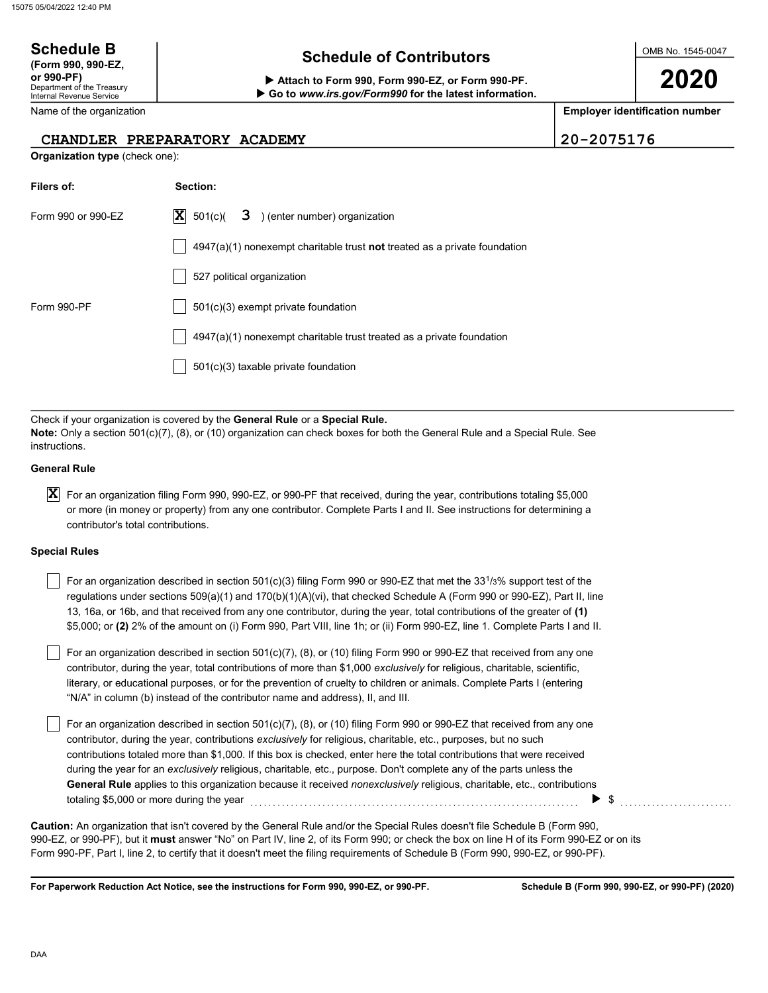## Schedule B  $\overline{S}$  Schedule of Contributors

Attach to Form 990, Form 990-EZ, or Form 990-PF. Go to www.irs.gov/Form990 for the latest information. OMB No. 1545-0047

2020

Employer identification number

CHANDLER PREPARATORY ACADEMY 20-2075176

| Section:<br>3 ) (enter number) organization<br>X<br>501(c)<br>4947(a)(1) nonexempt charitable trust not treated as a private foundation<br>527 political organization<br>501(c)(3) exempt private foundation                                                                                                                                                                                                                                                                                                                                                                                                                                                                                                                                                                                                                                                                                          |
|-------------------------------------------------------------------------------------------------------------------------------------------------------------------------------------------------------------------------------------------------------------------------------------------------------------------------------------------------------------------------------------------------------------------------------------------------------------------------------------------------------------------------------------------------------------------------------------------------------------------------------------------------------------------------------------------------------------------------------------------------------------------------------------------------------------------------------------------------------------------------------------------------------|
|                                                                                                                                                                                                                                                                                                                                                                                                                                                                                                                                                                                                                                                                                                                                                                                                                                                                                                       |
|                                                                                                                                                                                                                                                                                                                                                                                                                                                                                                                                                                                                                                                                                                                                                                                                                                                                                                       |
|                                                                                                                                                                                                                                                                                                                                                                                                                                                                                                                                                                                                                                                                                                                                                                                                                                                                                                       |
|                                                                                                                                                                                                                                                                                                                                                                                                                                                                                                                                                                                                                                                                                                                                                                                                                                                                                                       |
|                                                                                                                                                                                                                                                                                                                                                                                                                                                                                                                                                                                                                                                                                                                                                                                                                                                                                                       |
| 4947(a)(1) nonexempt charitable trust treated as a private foundation                                                                                                                                                                                                                                                                                                                                                                                                                                                                                                                                                                                                                                                                                                                                                                                                                                 |
| 501(c)(3) taxable private foundation                                                                                                                                                                                                                                                                                                                                                                                                                                                                                                                                                                                                                                                                                                                                                                                                                                                                  |
| Check if your organization is covered by the General Rule or a Special Rule.<br>Note: Only a section 501(c)(7), (8), or (10) organization can check boxes for both the General Rule and a Special Rule. See                                                                                                                                                                                                                                                                                                                                                                                                                                                                                                                                                                                                                                                                                           |
|                                                                                                                                                                                                                                                                                                                                                                                                                                                                                                                                                                                                                                                                                                                                                                                                                                                                                                       |
| For an organization filing Form 990, 990-EZ, or 990-PF that received, during the year, contributions totaling \$5,000<br>or more (in money or property) from any one contributor. Complete Parts I and II. See instructions for determining a<br>contributor's total contributions.                                                                                                                                                                                                                                                                                                                                                                                                                                                                                                                                                                                                                   |
|                                                                                                                                                                                                                                                                                                                                                                                                                                                                                                                                                                                                                                                                                                                                                                                                                                                                                                       |
| For an organization described in section 501(c)(3) filing Form 990 or 990-EZ that met the 33 <sup>1</sup> /3% support test of the<br>regulations under sections 509(a)(1) and 170(b)(1)(A)(vi), that checked Schedule A (Form 990 or 990-EZ), Part II, line<br>13, 16a, or 16b, and that received from any one contributor, during the year, total contributions of the greater of (1)<br>\$5,000; or (2) 2% of the amount on (i) Form 990, Part VIII, line 1h; or (ii) Form 990-EZ, line 1. Complete Parts I and II.<br>For an organization described in section 501(c)(7), (8), or (10) filing Form 990 or 990-EZ that received from any one<br>contributor, during the year, total contributions of more than \$1,000 exclusively for religious, charitable, scientific,<br>literary, or educational purposes, or for the prevention of cruelty to children or animals. Complete Parts I (entering |
| "N/A" in column (b) instead of the contributor name and address), II, and III.                                                                                                                                                                                                                                                                                                                                                                                                                                                                                                                                                                                                                                                                                                                                                                                                                        |
| For an organization described in section 501(c)(7), (8), or (10) filing Form 990 or 990-EZ that received from any one<br>contributor, during the year, contributions exclusively for religious, charitable, etc., purposes, but no such<br>contributions totaled more than \$1,000. If this box is checked, enter here the total contributions that were received<br>during the year for an exclusively religious, charitable, etc., purpose. Don't complete any of the parts unless the<br>General Rule applies to this organization because it received nonexclusively religious, charitable, etc., contributions<br>totaling \$5,000 or more during the year<br>\$                                                                                                                                                                                                                                 |
| Caution: An organization that isn't covered by the General Rule and/or the Special Rules doesn't file Schedule B (Form 990,                                                                                                                                                                                                                                                                                                                                                                                                                                                                                                                                                                                                                                                                                                                                                                           |

For Paperwork Reduction Act Notice, see the instructions for Form 990, 990-EZ, or 990-PF.

Department of the Treasury Internal Revenue Service (Form 990, 990-EZ,

Name of the organization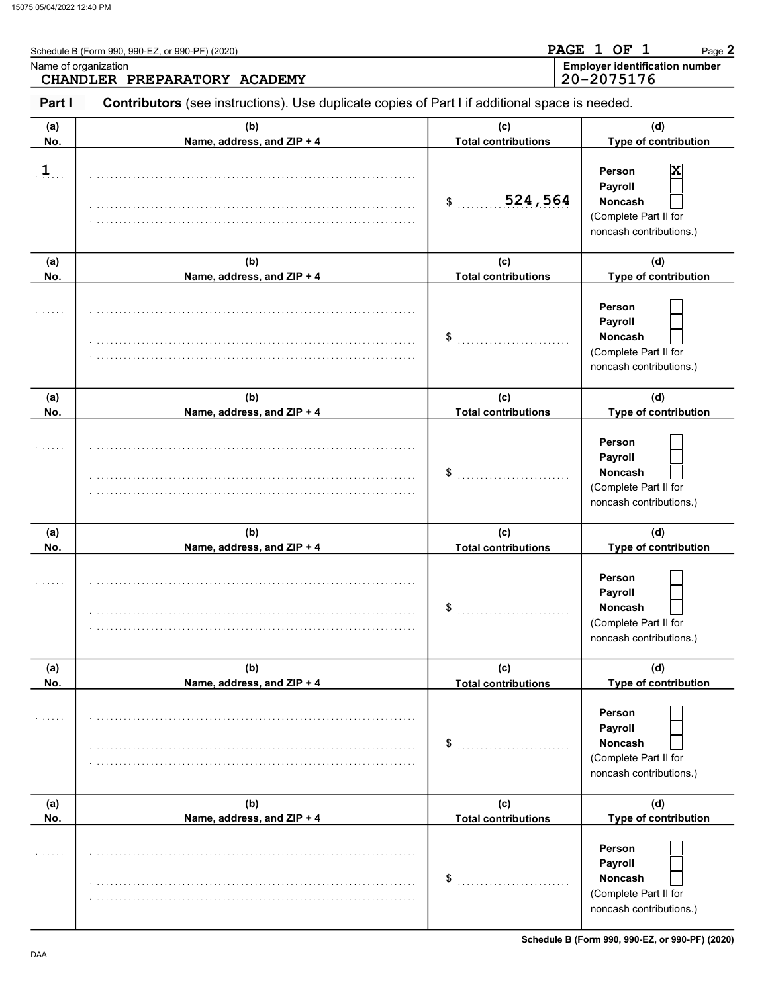| Name of organization | Schedule B (Form 990, 990-EZ, or 990-PF) (2020)<br>CHANDLER PREPARATORY ACADEMY                |                                   | PAGE 1 OF 1<br>Page 2<br><b>Employer identification number</b><br>20-2075176                 |
|----------------------|------------------------------------------------------------------------------------------------|-----------------------------------|----------------------------------------------------------------------------------------------|
| Part I               | Contributors (see instructions). Use duplicate copies of Part I if additional space is needed. |                                   |                                                                                              |
| (a)<br>No.           | (b)<br>Name, address, and ZIP + 4                                                              | (c)<br><b>Total contributions</b> | (d)<br>Type of contribution                                                                  |
| $\mathbf{1}$         |                                                                                                | 524,564<br>\$                     | Person<br>X<br>Payroll<br><b>Noncash</b><br>(Complete Part II for<br>noncash contributions.) |
| (a)<br>No.           | (b)<br>Name, address, and ZIP + 4                                                              | (c)<br><b>Total contributions</b> | (d)<br>Type of contribution                                                                  |
|                      |                                                                                                | \$                                | Person<br>Payroll<br><b>Noncash</b><br>(Complete Part II for<br>noncash contributions.)      |
| (a)<br>No.           | (b)<br>Name, address, and ZIP + 4                                                              | (c)<br><b>Total contributions</b> | (d)<br>Type of contribution                                                                  |
|                      |                                                                                                | \$                                | Person<br>Payroll<br><b>Noncash</b><br>(Complete Part II for<br>noncash contributions.)      |
| (a)<br>No.           | (b)<br>Name, address, and ZIP + 4                                                              | (c)<br><b>Total contributions</b> | (d)<br>Type of contribution                                                                  |
|                      |                                                                                                | \$                                | Person<br>Payroll<br>Noncash<br>(Complete Part II for<br>noncash contributions.)             |
| (a)<br>No.           | (b)<br>Name, address, and ZIP + 4                                                              | (c)<br><b>Total contributions</b> | (d)<br>Type of contribution                                                                  |
|                      |                                                                                                | \$                                | Person<br>Payroll<br><b>Noncash</b><br>(Complete Part II for<br>noncash contributions.)      |
| (a)<br>No.           | (b)<br>Name, address, and ZIP + 4                                                              | (c)<br><b>Total contributions</b> | (d)<br>Type of contribution                                                                  |
|                      |                                                                                                | \$                                | Person<br>Payroll<br>Noncash<br>(Complete Part II for<br>noncash contributions.)             |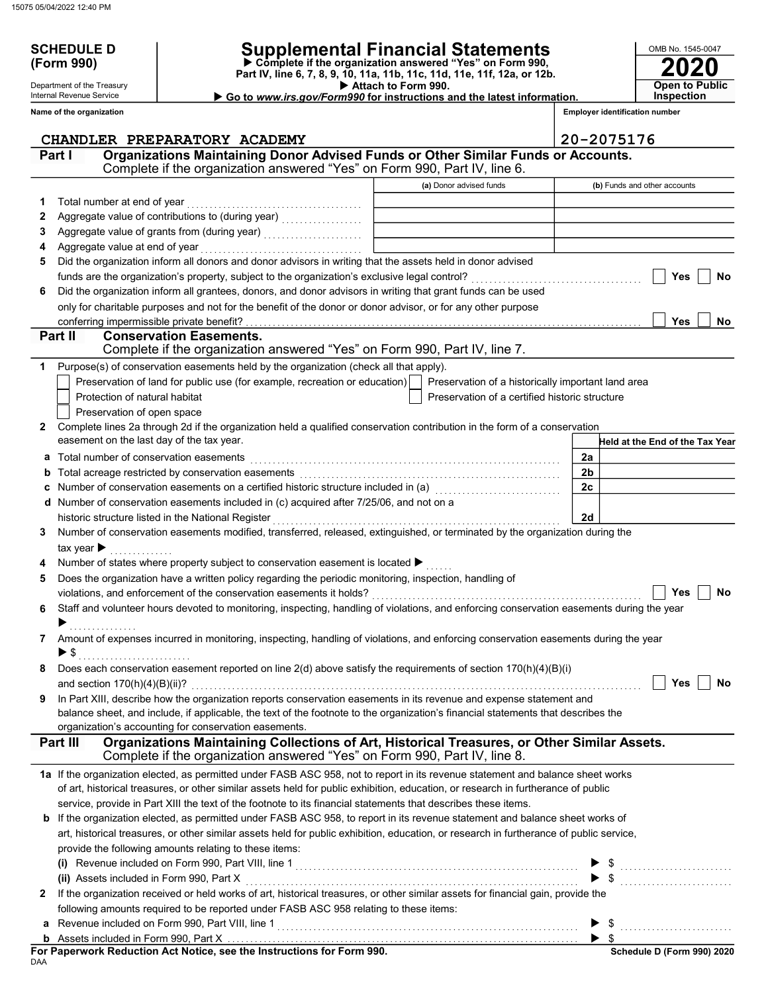SCHEDULE D<br>(Form 990)

Department of the Treasury Internal Revenue Service

## SCHEDULE D | Supplemental Financial Statements

 Attach to Form 990. Part IV, line 6, 7, 8, 9, 10, 11a, 11b, 11c, 11d, 11e, 11f, 12a, or 12b. Complete if the organization answered "Yes" on Form 990,

Go to www.irs.gov/Form990 for instructions and the latest information.

2020 **Open to Public Inspection** 

OMB No. 1545-0047

|   | Name of the organization                                                                                                                                                                                                                                             |                                                    |                | <b>Employer identification number</b>                                                                                                                                                                                                                                                                                                                                                                                                                                                                                                                  |            |     |
|---|----------------------------------------------------------------------------------------------------------------------------------------------------------------------------------------------------------------------------------------------------------------------|----------------------------------------------------|----------------|--------------------------------------------------------------------------------------------------------------------------------------------------------------------------------------------------------------------------------------------------------------------------------------------------------------------------------------------------------------------------------------------------------------------------------------------------------------------------------------------------------------------------------------------------------|------------|-----|
|   | CHANDLER PREPARATORY ACADEMY                                                                                                                                                                                                                                         |                                                    |                | 20-2075176                                                                                                                                                                                                                                                                                                                                                                                                                                                                                                                                             |            |     |
|   | Organizations Maintaining Donor Advised Funds or Other Similar Funds or Accounts.<br>Part I<br>Complete if the organization answered "Yes" on Form 990, Part IV, line 6.                                                                                             |                                                    |                |                                                                                                                                                                                                                                                                                                                                                                                                                                                                                                                                                        |            |     |
|   |                                                                                                                                                                                                                                                                      | (a) Donor advised funds                            |                | (b) Funds and other accounts                                                                                                                                                                                                                                                                                                                                                                                                                                                                                                                           |            |     |
| 1 | Total number at end of year                                                                                                                                                                                                                                          |                                                    |                |                                                                                                                                                                                                                                                                                                                                                                                                                                                                                                                                                        |            |     |
| 2 |                                                                                                                                                                                                                                                                      |                                                    |                |                                                                                                                                                                                                                                                                                                                                                                                                                                                                                                                                                        |            |     |
| З |                                                                                                                                                                                                                                                                      |                                                    |                |                                                                                                                                                                                                                                                                                                                                                                                                                                                                                                                                                        |            |     |
| 4 | Aggregate value at end of year                                                                                                                                                                                                                                       |                                                    |                |                                                                                                                                                                                                                                                                                                                                                                                                                                                                                                                                                        |            |     |
| 5 | Did the organization inform all donors and donor advisors in writing that the assets held in donor advised                                                                                                                                                           |                                                    |                |                                                                                                                                                                                                                                                                                                                                                                                                                                                                                                                                                        |            |     |
|   | funds are the organization's property, subject to the organization's exclusive legal control?                                                                                                                                                                        |                                                    |                |                                                                                                                                                                                                                                                                                                                                                                                                                                                                                                                                                        | Yes        | No  |
| 6 | Did the organization inform all grantees, donors, and donor advisors in writing that grant funds can be used                                                                                                                                                         |                                                    |                |                                                                                                                                                                                                                                                                                                                                                                                                                                                                                                                                                        |            |     |
|   | only for charitable purposes and not for the benefit of the donor or donor advisor, or for any other purpose                                                                                                                                                         |                                                    |                |                                                                                                                                                                                                                                                                                                                                                                                                                                                                                                                                                        |            |     |
|   | conferring impermissible private benefit?                                                                                                                                                                                                                            |                                                    |                |                                                                                                                                                                                                                                                                                                                                                                                                                                                                                                                                                        | <b>Yes</b> | No. |
|   | Part II<br><b>Conservation Easements.</b>                                                                                                                                                                                                                            |                                                    |                |                                                                                                                                                                                                                                                                                                                                                                                                                                                                                                                                                        |            |     |
|   | Complete if the organization answered "Yes" on Form 990, Part IV, line 7.                                                                                                                                                                                            |                                                    |                |                                                                                                                                                                                                                                                                                                                                                                                                                                                                                                                                                        |            |     |
|   | Purpose(s) of conservation easements held by the organization (check all that apply).                                                                                                                                                                                |                                                    |                |                                                                                                                                                                                                                                                                                                                                                                                                                                                                                                                                                        |            |     |
|   | Preservation of land for public use (for example, recreation or education)                                                                                                                                                                                           | Preservation of a historically important land area |                |                                                                                                                                                                                                                                                                                                                                                                                                                                                                                                                                                        |            |     |
|   | Protection of natural habitat                                                                                                                                                                                                                                        | Preservation of a certified historic structure     |                |                                                                                                                                                                                                                                                                                                                                                                                                                                                                                                                                                        |            |     |
|   | Preservation of open space                                                                                                                                                                                                                                           |                                                    |                |                                                                                                                                                                                                                                                                                                                                                                                                                                                                                                                                                        |            |     |
| 2 | Complete lines 2a through 2d if the organization held a qualified conservation contribution in the form of a conservation                                                                                                                                            |                                                    |                |                                                                                                                                                                                                                                                                                                                                                                                                                                                                                                                                                        |            |     |
|   | easement on the last day of the tax year.                                                                                                                                                                                                                            |                                                    |                | Held at the End of the Tax Year                                                                                                                                                                                                                                                                                                                                                                                                                                                                                                                        |            |     |
| а | Total number of conservation easements                                                                                                                                                                                                                               |                                                    | 2a             |                                                                                                                                                                                                                                                                                                                                                                                                                                                                                                                                                        |            |     |
|   |                                                                                                                                                                                                                                                                      |                                                    | 2 <sub>b</sub> |                                                                                                                                                                                                                                                                                                                                                                                                                                                                                                                                                        |            |     |
|   | Number of conservation easements on a certified historic structure included in (a) [[[[[[[[[[[[[[[[[[[[[[[[[]]                                                                                                                                                       |                                                    | 2c             |                                                                                                                                                                                                                                                                                                                                                                                                                                                                                                                                                        |            |     |
|   | Number of conservation easements included in (c) acquired after 7/25/06, and not on a                                                                                                                                                                                |                                                    |                |                                                                                                                                                                                                                                                                                                                                                                                                                                                                                                                                                        |            |     |
|   | historic structure listed in the National Register                                                                                                                                                                                                                   |                                                    | 2d             |                                                                                                                                                                                                                                                                                                                                                                                                                                                                                                                                                        |            |     |
| 3 | Number of conservation easements modified, transferred, released, extinguished, or terminated by the organization during the                                                                                                                                         |                                                    |                |                                                                                                                                                                                                                                                                                                                                                                                                                                                                                                                                                        |            |     |
|   | tax year $\blacktriangleright$                                                                                                                                                                                                                                       |                                                    |                |                                                                                                                                                                                                                                                                                                                                                                                                                                                                                                                                                        |            |     |
|   | Number of states where property subject to conservation easement is located ▶                                                                                                                                                                                        |                                                    |                |                                                                                                                                                                                                                                                                                                                                                                                                                                                                                                                                                        |            |     |
| 5 | Does the organization have a written policy regarding the periodic monitoring, inspection, handling of                                                                                                                                                               |                                                    |                |                                                                                                                                                                                                                                                                                                                                                                                                                                                                                                                                                        |            |     |
|   |                                                                                                                                                                                                                                                                      |                                                    |                |                                                                                                                                                                                                                                                                                                                                                                                                                                                                                                                                                        | Yes        | No  |
| 6 | Staff and volunteer hours devoted to monitoring, inspecting, handling of violations, and enforcing conservation easements during the year                                                                                                                            |                                                    |                |                                                                                                                                                                                                                                                                                                                                                                                                                                                                                                                                                        |            |     |
|   |                                                                                                                                                                                                                                                                      |                                                    |                |                                                                                                                                                                                                                                                                                                                                                                                                                                                                                                                                                        |            |     |
| 7 | Amount of expenses incurred in monitoring, inspecting, handling of violations, and enforcing conservation easements during the year                                                                                                                                  |                                                    |                |                                                                                                                                                                                                                                                                                                                                                                                                                                                                                                                                                        |            |     |
|   | ▶ \$                                                                                                                                                                                                                                                                 |                                                    |                |                                                                                                                                                                                                                                                                                                                                                                                                                                                                                                                                                        |            |     |
|   | Does each conservation easement reported on line 2(d) above satisfy the requirements of section 170(h)(4)(B)(i)                                                                                                                                                      |                                                    |                |                                                                                                                                                                                                                                                                                                                                                                                                                                                                                                                                                        |            |     |
|   | and section $170(h)(4)(B)(ii)?$                                                                                                                                                                                                                                      |                                                    |                |                                                                                                                                                                                                                                                                                                                                                                                                                                                                                                                                                        | Yes        | No  |
| 9 | In Part XIII, describe how the organization reports conservation easements in its revenue and expense statement and                                                                                                                                                  |                                                    |                |                                                                                                                                                                                                                                                                                                                                                                                                                                                                                                                                                        |            |     |
|   | balance sheet, and include, if applicable, the text of the footnote to the organization's financial statements that describes the                                                                                                                                    |                                                    |                |                                                                                                                                                                                                                                                                                                                                                                                                                                                                                                                                                        |            |     |
|   | organization's accounting for conservation easements.                                                                                                                                                                                                                |                                                    |                |                                                                                                                                                                                                                                                                                                                                                                                                                                                                                                                                                        |            |     |
|   | Organizations Maintaining Collections of Art, Historical Treasures, or Other Similar Assets.<br>Part III<br>Complete if the organization answered "Yes" on Form 990, Part IV, line 8.                                                                                |                                                    |                |                                                                                                                                                                                                                                                                                                                                                                                                                                                                                                                                                        |            |     |
|   |                                                                                                                                                                                                                                                                      |                                                    |                |                                                                                                                                                                                                                                                                                                                                                                                                                                                                                                                                                        |            |     |
|   | 1a If the organization elected, as permitted under FASB ASC 958, not to report in its revenue statement and balance sheet works<br>of art, historical treasures, or other similar assets held for public exhibition, education, or research in furtherance of public |                                                    |                |                                                                                                                                                                                                                                                                                                                                                                                                                                                                                                                                                        |            |     |
|   |                                                                                                                                                                                                                                                                      |                                                    |                |                                                                                                                                                                                                                                                                                                                                                                                                                                                                                                                                                        |            |     |
|   | service, provide in Part XIII the text of the footnote to its financial statements that describes these items.                                                                                                                                                       |                                                    |                |                                                                                                                                                                                                                                                                                                                                                                                                                                                                                                                                                        |            |     |
| b | If the organization elected, as permitted under FASB ASC 958, to report in its revenue statement and balance sheet works of                                                                                                                                          |                                                    |                |                                                                                                                                                                                                                                                                                                                                                                                                                                                                                                                                                        |            |     |
|   | art, historical treasures, or other similar assets held for public exhibition, education, or research in furtherance of public service,                                                                                                                              |                                                    |                |                                                                                                                                                                                                                                                                                                                                                                                                                                                                                                                                                        |            |     |
|   | provide the following amounts relating to these items:                                                                                                                                                                                                               |                                                    |                |                                                                                                                                                                                                                                                                                                                                                                                                                                                                                                                                                        |            |     |
|   |                                                                                                                                                                                                                                                                      |                                                    |                | $$\begin{array}{l} $ & $ \\ $ & $ \\ $ & $ \\ \end{array}$\normalsize\begin{array}{l} \begin{array}{l} \begin{array}{l} \begin{array}{l} \end{array} \\ \end{array} \\ \begin{array}{l} \end{array} \\ \begin{array}{l} \end{array} \end{array} \end{array} \begin{array}{l} \begin{array}{l} \end{array} \\ \begin{array}{l} \end{array} \end{array} \end{array} \begin{array}{l} \begin{array}{l} \end{array} \end{array} \end{array} \begin{array}{l} \begin{array}{l} \end{array} \end{array} \end{array} \begin{array}{l} \begin{array}{l} \end{$ |            |     |
|   | (ii) Assets included in Form 990, Part X<br>If the organization received or held works of art, historical treasures, or other similar assets for financial gain, provide the                                                                                         |                                                    |                |                                                                                                                                                                                                                                                                                                                                                                                                                                                                                                                                                        |            |     |
| 2 |                                                                                                                                                                                                                                                                      |                                                    |                |                                                                                                                                                                                                                                                                                                                                                                                                                                                                                                                                                        |            |     |
|   | following amounts required to be reported under FASB ASC 958 relating to these items:                                                                                                                                                                                |                                                    |                |                                                                                                                                                                                                                                                                                                                                                                                                                                                                                                                                                        |            |     |
|   | Revenue included on Form 990, Part VIII, line 1                                                                                                                                                                                                                      |                                                    |                |                                                                                                                                                                                                                                                                                                                                                                                                                                                                                                                                                        |            |     |
|   |                                                                                                                                                                                                                                                                      |                                                    |                |                                                                                                                                                                                                                                                                                                                                                                                                                                                                                                                                                        |            |     |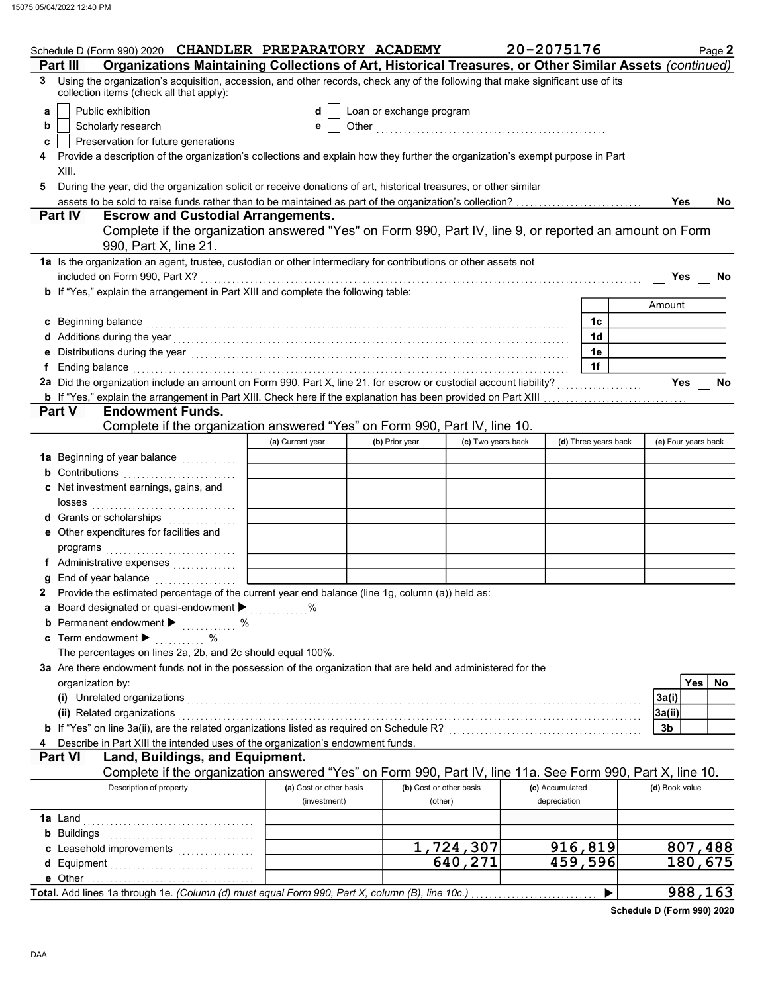|   | Schedule D (Form 990) 2020 CHANDLER PREPARATORY ACADEMY                                                                                                                                                                              |                         |                         |                    | 20-2075176      |                      |                     | Page 2     |
|---|--------------------------------------------------------------------------------------------------------------------------------------------------------------------------------------------------------------------------------------|-------------------------|-------------------------|--------------------|-----------------|----------------------|---------------------|------------|
|   | Organizations Maintaining Collections of Art, Historical Treasures, or Other Similar Assets (continued)<br>Part III                                                                                                                  |                         |                         |                    |                 |                      |                     |            |
| 3 | Using the organization's acquisition, accession, and other records, check any of the following that make significant use of its<br>collection items (check all that apply):                                                          |                         |                         |                    |                 |                      |                     |            |
| a | Public exhibition<br>Loan or exchange program<br>d                                                                                                                                                                                   |                         |                         |                    |                 |                      |                     |            |
| b | Scholarly research                                                                                                                                                                                                                   | е                       |                         |                    |                 |                      |                     |            |
| c | Preservation for future generations                                                                                                                                                                                                  |                         |                         |                    |                 |                      |                     |            |
|   | Provide a description of the organization's collections and explain how they further the organization's exempt purpose in Part                                                                                                       |                         |                         |                    |                 |                      |                     |            |
|   | XIII.                                                                                                                                                                                                                                |                         |                         |                    |                 |                      |                     |            |
| 5 | During the year, did the organization solicit or receive donations of art, historical treasures, or other similar                                                                                                                    |                         |                         |                    |                 |                      |                     |            |
|   |                                                                                                                                                                                                                                      |                         |                         |                    |                 |                      | <b>Yes</b>          | <b>No</b>  |
|   | <b>Escrow and Custodial Arrangements.</b><br><b>Part IV</b>                                                                                                                                                                          |                         |                         |                    |                 |                      |                     |            |
|   | Complete if the organization answered "Yes" on Form 990, Part IV, line 9, or reported an amount on Form                                                                                                                              |                         |                         |                    |                 |                      |                     |            |
|   | 990, Part X, line 21.                                                                                                                                                                                                                |                         |                         |                    |                 |                      |                     |            |
|   | 1a Is the organization an agent, trustee, custodian or other intermediary for contributions or other assets not                                                                                                                      |                         |                         |                    |                 |                      |                     |            |
|   | included on Form 990, Part X?                                                                                                                                                                                                        |                         |                         |                    |                 |                      | <b>Yes</b>          | No         |
|   | b If "Yes," explain the arrangement in Part XIII and complete the following table:                                                                                                                                                   |                         |                         |                    |                 |                      |                     |            |
|   |                                                                                                                                                                                                                                      |                         |                         |                    |                 |                      | Amount              |            |
|   | c Beginning balance                                                                                                                                                                                                                  |                         |                         |                    |                 | 1c                   |                     |            |
|   |                                                                                                                                                                                                                                      |                         |                         |                    |                 | 1d                   |                     |            |
|   | Distributions during the year material contact the set of the year material contact the year material contact the year material contact the year material contact the year material contact the year of the year and year of t       |                         |                         |                    |                 | 1e                   |                     |            |
| f | Ending balance with a construction of the construction of the construction of the construction of the construction of the construction of the construction of the construction of the construction of the construction of the        |                         |                         |                    |                 | 1f                   |                     |            |
|   | 2a Did the organization include an amount on Form 990, Part X, line 21, for escrow or custodial account liability?                                                                                                                   |                         |                         |                    |                 |                      | <b>Yes</b>          | No         |
|   |                                                                                                                                                                                                                                      |                         |                         |                    |                 |                      |                     |            |
|   | <b>Part V</b><br><b>Endowment Funds.</b>                                                                                                                                                                                             |                         |                         |                    |                 |                      |                     |            |
|   | Complete if the organization answered "Yes" on Form 990, Part IV, line 10.                                                                                                                                                           |                         |                         |                    |                 |                      |                     |            |
|   |                                                                                                                                                                                                                                      | (a) Current year        | (b) Prior year          | (c) Two years back |                 | (d) Three years back | (e) Four years back |            |
|   | 1a Beginning of year balance <i>[[[[[[[[[[[[[[[[[[[[[[[[[[[[[[[]]]]]</i>                                                                                                                                                             |                         |                         |                    |                 |                      |                     |            |
|   | <b>b</b> Contributions                                                                                                                                                                                                               |                         |                         |                    |                 |                      |                     |            |
|   | c Net investment earnings, gains, and                                                                                                                                                                                                |                         |                         |                    |                 |                      |                     |            |
|   |                                                                                                                                                                                                                                      |                         |                         |                    |                 |                      |                     |            |
|   | d Grants or scholarships                                                                                                                                                                                                             |                         |                         |                    |                 |                      |                     |            |
|   | e Other expenditures for facilities and                                                                                                                                                                                              |                         |                         |                    |                 |                      |                     |            |
|   |                                                                                                                                                                                                                                      |                         |                         |                    |                 |                      |                     |            |
|   | f Administrative expenses                                                                                                                                                                                                            |                         |                         |                    |                 |                      |                     |            |
| g | End of year balance                                                                                                                                                                                                                  |                         |                         |                    |                 |                      |                     |            |
| 2 | Provide the estimated percentage of the current year end balance (line 1g, column (a)) held as:                                                                                                                                      |                         |                         |                    |                 |                      |                     |            |
|   | a Board designated or quasi-endowment $\blacktriangleright$                                                                                                                                                                          |                         |                         |                    |                 |                      |                     |            |
|   | <b>b</b> Permanent endowment $\blacktriangleright$<br>$\sim$ $\%$                                                                                                                                                                    |                         |                         |                    |                 |                      |                     |            |
|   | c Term endowment $\blacktriangleright$<br>$\%$                                                                                                                                                                                       |                         |                         |                    |                 |                      |                     |            |
|   | The percentages on lines 2a, 2b, and 2c should equal 100%.                                                                                                                                                                           |                         |                         |                    |                 |                      |                     |            |
|   | 3a Are there endowment funds not in the possession of the organization that are held and administered for the                                                                                                                        |                         |                         |                    |                 |                      |                     |            |
|   | organization by:                                                                                                                                                                                                                     |                         |                         |                    |                 |                      |                     | Yes <br>No |
|   | (i) Unrelated organizations <b>contained a set of the contact of the contact of the contact of the contact of the contact of the contact of the contact of the contact of the contact of the contact of the contact of the conta</b> |                         |                         |                    |                 |                      | 3a(i)               |            |
|   | (ii) Related organizations                                                                                                                                                                                                           |                         |                         |                    |                 |                      | 3a(ii)              |            |
|   |                                                                                                                                                                                                                                      |                         |                         |                    |                 |                      | 3b                  |            |
|   | Describe in Part XIII the intended uses of the organization's endowment funds.                                                                                                                                                       |                         |                         |                    |                 |                      |                     |            |
|   | Land, Buildings, and Equipment.<br><b>Part VI</b>                                                                                                                                                                                    |                         |                         |                    |                 |                      |                     |            |
|   | Complete if the organization answered "Yes" on Form 990, Part IV, line 11a. See Form 990, Part X, line 10.                                                                                                                           |                         |                         |                    |                 |                      |                     |            |
|   | Description of property                                                                                                                                                                                                              | (a) Cost or other basis | (b) Cost or other basis |                    | (c) Accumulated |                      | (d) Book value      |            |
|   |                                                                                                                                                                                                                                      | (investment)            | (other)                 |                    | depreciation    |                      |                     |            |
|   |                                                                                                                                                                                                                                      |                         |                         |                    |                 |                      |                     |            |
|   |                                                                                                                                                                                                                                      |                         |                         |                    |                 |                      |                     |            |
|   | c Leasehold improvements                                                                                                                                                                                                             |                         |                         | 1,724,307          |                 | 916,819              |                     | 807,488    |
|   |                                                                                                                                                                                                                                      |                         |                         | 640,271            |                 | 459,596              |                     | 180,675    |
|   |                                                                                                                                                                                                                                      |                         |                         |                    |                 |                      |                     |            |
|   |                                                                                                                                                                                                                                      |                         |                         |                    |                 |                      |                     |            |
|   | Total. Add lines 1a through 1e. (Column (d) must equal Form 990, Part X, column (B), line 10c.)                                                                                                                                      |                         |                         |                    |                 | ▶                    |                     | 988,163    |

Schedule D (Form 990) 2020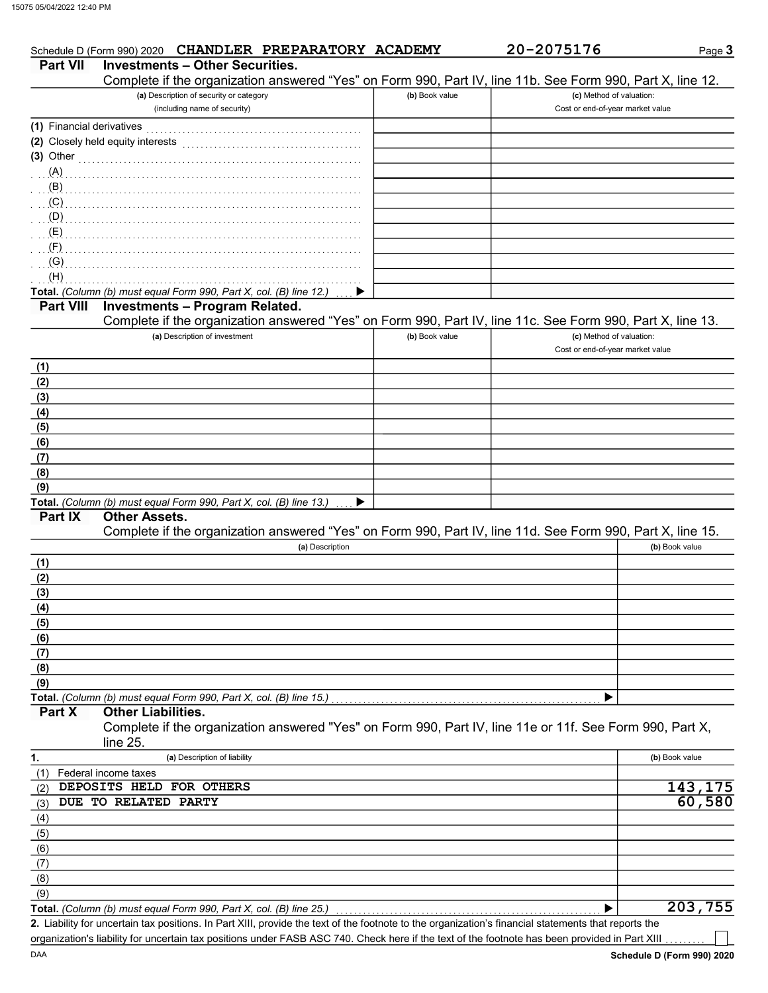| <b>Part VII</b>           | <b>Investments - Other Securities.</b>                                                                     |                |                                  | Page 3            |
|---------------------------|------------------------------------------------------------------------------------------------------------|----------------|----------------------------------|-------------------|
|                           | Complete if the organization answered "Yes" on Form 990, Part IV, line 11b. See Form 990, Part X, line 12. |                |                                  |                   |
|                           | (a) Description of security or category                                                                    | (b) Book value | (c) Method of valuation:         |                   |
|                           | (including name of security)                                                                               |                | Cost or end-of-year market value |                   |
| (1) Financial derivatives |                                                                                                            |                |                                  |                   |
|                           | (2) Closely held equity interests                                                                          |                |                                  |                   |
|                           | (3) Other                                                                                                  |                |                                  |                   |
| (A)                       |                                                                                                            |                |                                  |                   |
| (B)                       |                                                                                                            |                |                                  |                   |
| $\overline{C}$            |                                                                                                            |                |                                  |                   |
| (D)                       |                                                                                                            |                |                                  |                   |
| (E)                       |                                                                                                            |                |                                  |                   |
| (F)                       |                                                                                                            |                |                                  |                   |
| (G)                       |                                                                                                            |                |                                  |                   |
| (H)                       |                                                                                                            |                |                                  |                   |
|                           | Total. (Column (b) must equal Form 990, Part X, col. (B) line 12.)<br>▶                                    |                |                                  |                   |
| <b>Part VIII</b>          | <b>Investments - Program Related.</b>                                                                      |                |                                  |                   |
|                           | Complete if the organization answered "Yes" on Form 990, Part IV, line 11c. See Form 990, Part X, line 13. |                |                                  |                   |
|                           | (a) Description of investment                                                                              | (b) Book value | (c) Method of valuation:         |                   |
|                           |                                                                                                            |                | Cost or end-of-year market value |                   |
| (1)                       |                                                                                                            |                |                                  |                   |
| (2)                       |                                                                                                            |                |                                  |                   |
| (3)                       |                                                                                                            |                |                                  |                   |
| (4)                       |                                                                                                            |                |                                  |                   |
| (5)                       |                                                                                                            |                |                                  |                   |
| (6)                       |                                                                                                            |                |                                  |                   |
| (7)                       |                                                                                                            |                |                                  |                   |
| (8)                       |                                                                                                            |                |                                  |                   |
| (9)                       |                                                                                                            |                |                                  |                   |
|                           | Total. (Column (b) must equal Form 990, Part X, col. (B) line 13.)<br>▶                                    |                |                                  |                   |
|                           |                                                                                                            |                |                                  |                   |
| <b>Part IX</b>            | <b>Other Assets.</b>                                                                                       |                |                                  |                   |
|                           | Complete if the organization answered "Yes" on Form 990, Part IV, line 11d. See Form 990, Part X, line 15. |                |                                  |                   |
|                           | (a) Description                                                                                            |                |                                  | (b) Book value    |
| (1)                       |                                                                                                            |                |                                  |                   |
| (2)                       |                                                                                                            |                |                                  |                   |
|                           |                                                                                                            |                |                                  |                   |
| (4)                       |                                                                                                            |                |                                  |                   |
| (5)                       |                                                                                                            |                |                                  |                   |
| (6)                       |                                                                                                            |                |                                  |                   |
| (7)                       |                                                                                                            |                |                                  |                   |
| (8)                       |                                                                                                            |                |                                  |                   |
| (9)                       |                                                                                                            |                |                                  |                   |
| (3)                       | Total. (Column (b) must equal Form 990, Part X, col. (B) line 15.)                                         |                | ▶                                |                   |
| Part X                    | <b>Other Liabilities.</b>                                                                                  |                |                                  |                   |
|                           | Complete if the organization answered "Yes" on Form 990, Part IV, line 11e or 11f. See Form 990, Part X,   |                |                                  |                   |
|                           | line 25.                                                                                                   |                |                                  |                   |
| 1.                        | (a) Description of liability                                                                               |                |                                  | (b) Book value    |
| (1)                       | Federal income taxes                                                                                       |                |                                  |                   |
| (2)                       | DEPOSITS HELD FOR OTHERS                                                                                   |                |                                  |                   |
| (3)                       | DUE TO RELATED PARTY                                                                                       |                |                                  |                   |
| (4)                       |                                                                                                            |                |                                  |                   |
| (5)                       |                                                                                                            |                |                                  |                   |
| (6)                       |                                                                                                            |                |                                  |                   |
| (7)                       |                                                                                                            |                |                                  |                   |
| (8)<br>(9)                |                                                                                                            |                |                                  | 143,175<br>60,580 |

Liability for uncertain tax positions. In Part XIII, provide the text of the footnote to the organization's financial statements that reports the 2. organization's liability for uncertain tax positions under FASB ASC 740. Check here if the text of the footnote has been provided in Part XIII

┓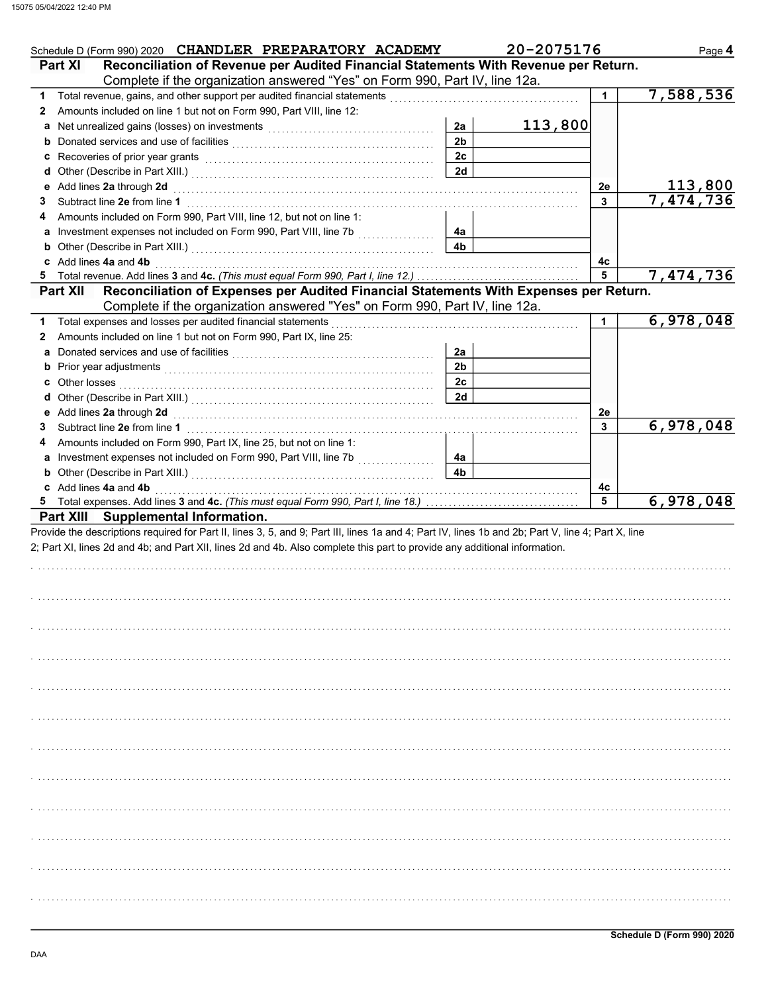| Schedule D (Form 990) 2020 CHANDLER PREPARATORY ACADEMY                                                                                                                                                         |                      | 20-2075176 |         | Page 4    |
|-----------------------------------------------------------------------------------------------------------------------------------------------------------------------------------------------------------------|----------------------|------------|---------|-----------|
| Reconciliation of Revenue per Audited Financial Statements With Revenue per Return.<br>Part XI                                                                                                                  |                      |            |         |           |
| Complete if the organization answered "Yes" on Form 990, Part IV, line 12a.                                                                                                                                     |                      |            |         |           |
| 1                                                                                                                                                                                                               |                      |            | 1.      | 7,588,536 |
| Amounts included on line 1 but not on Form 990, Part VIII, line 12:<br>$\mathbf{2}$                                                                                                                             |                      |            |         |           |
|                                                                                                                                                                                                                 | 2a                   | 113,800    |         |           |
|                                                                                                                                                                                                                 | 2 <sub>b</sub>       |            |         |           |
|                                                                                                                                                                                                                 | 2c                   |            |         |           |
|                                                                                                                                                                                                                 | 2d                   |            |         |           |
| e Add lines 2a through 2d (a) and the contract of the Add lines 2a through the Add lines 2a through 2d                                                                                                          |                      |            | 2e      | 113,800   |
| 3                                                                                                                                                                                                               |                      |            | 3       | 7,474,736 |
| Amounts included on Form 990, Part VIII, line 12, but not on line 1:<br>4                                                                                                                                       |                      |            |         |           |
|                                                                                                                                                                                                                 | 4a<br>4 <sub>b</sub> |            |         |           |
| <b>b</b> Other (Describe in Part XIII.) <b>CONSIDENT DESCRIPTION DESCRIPTION DESCRIPTION DESCRIPTION DESCRIPTION DESCRIPTION DESCRIPTION DESCRIPTION DESCRIPTION DESCRIPTION DESCRIPTION DESCRIPTION DESCRI</b> |                      |            |         |           |
| c Add lines 4a and 4b                                                                                                                                                                                           |                      |            | 4c<br>5 | 7,474,736 |
| 5<br>Reconciliation of Expenses per Audited Financial Statements With Expenses per Return.<br><b>Part XII</b>                                                                                                   |                      |            |         |           |
| Complete if the organization answered "Yes" on Form 990, Part IV, line 12a.                                                                                                                                     |                      |            |         |           |
| Total expenses and losses per audited financial statements<br>1                                                                                                                                                 |                      |            | 1.      | 6,978,048 |
| Amounts included on line 1 but not on Form 990, Part IX, line 25:<br>$\mathbf{2}$                                                                                                                               |                      |            |         |           |
|                                                                                                                                                                                                                 | 2a                   |            |         |           |
|                                                                                                                                                                                                                 | 2 <sub>b</sub>       |            |         |           |
|                                                                                                                                                                                                                 | 2 <sub>c</sub>       |            |         |           |
|                                                                                                                                                                                                                 | 2d                   |            |         |           |
|                                                                                                                                                                                                                 |                      |            | 2e      |           |
| 3                                                                                                                                                                                                               |                      |            | 3       | 6,978,048 |
| Amounts included on Form 990, Part IX, line 25, but not on line 1:<br>4                                                                                                                                         |                      |            |         |           |
| a Investment expenses not included on Form 990, Part VIII, line 7b                                                                                                                                              | 4a                   |            |         |           |
|                                                                                                                                                                                                                 | 4 <sub>b</sub>       |            |         |           |
|                                                                                                                                                                                                                 |                      |            |         |           |
|                                                                                                                                                                                                                 |                      |            |         |           |
| c Add lines 4a and 4b                                                                                                                                                                                           |                      |            | 4c      |           |
| 5.                                                                                                                                                                                                              |                      |            | 5       |           |
| Part XIII Supplemental Information.                                                                                                                                                                             |                      |            |         |           |
| Provide the descriptions required for Part II, lines 3, 5, and 9; Part III, lines 1a and 4; Part IV, lines 1b and 2b; Part V, line 4; Part X, line                                                              |                      |            |         |           |
| 2; Part XI, lines 2d and 4b; and Part XII, lines 2d and 4b. Also complete this part to provide any additional information.                                                                                      |                      |            |         |           |
|                                                                                                                                                                                                                 |                      |            |         |           |
|                                                                                                                                                                                                                 |                      |            |         |           |
|                                                                                                                                                                                                                 |                      |            |         |           |
|                                                                                                                                                                                                                 |                      |            |         |           |
|                                                                                                                                                                                                                 |                      |            |         |           |
|                                                                                                                                                                                                                 |                      |            |         |           |
|                                                                                                                                                                                                                 |                      |            |         |           |
|                                                                                                                                                                                                                 |                      |            |         |           |
|                                                                                                                                                                                                                 |                      |            |         |           |
|                                                                                                                                                                                                                 |                      |            |         |           |
|                                                                                                                                                                                                                 |                      |            |         |           |
|                                                                                                                                                                                                                 |                      |            |         |           |
|                                                                                                                                                                                                                 |                      |            |         |           |
|                                                                                                                                                                                                                 |                      |            |         |           |
|                                                                                                                                                                                                                 |                      |            |         |           |
|                                                                                                                                                                                                                 |                      |            |         |           |
|                                                                                                                                                                                                                 |                      |            |         |           |
|                                                                                                                                                                                                                 |                      |            |         |           |
|                                                                                                                                                                                                                 |                      |            |         |           |
|                                                                                                                                                                                                                 |                      |            |         |           |
|                                                                                                                                                                                                                 |                      |            |         | 6,978,048 |
|                                                                                                                                                                                                                 |                      |            |         |           |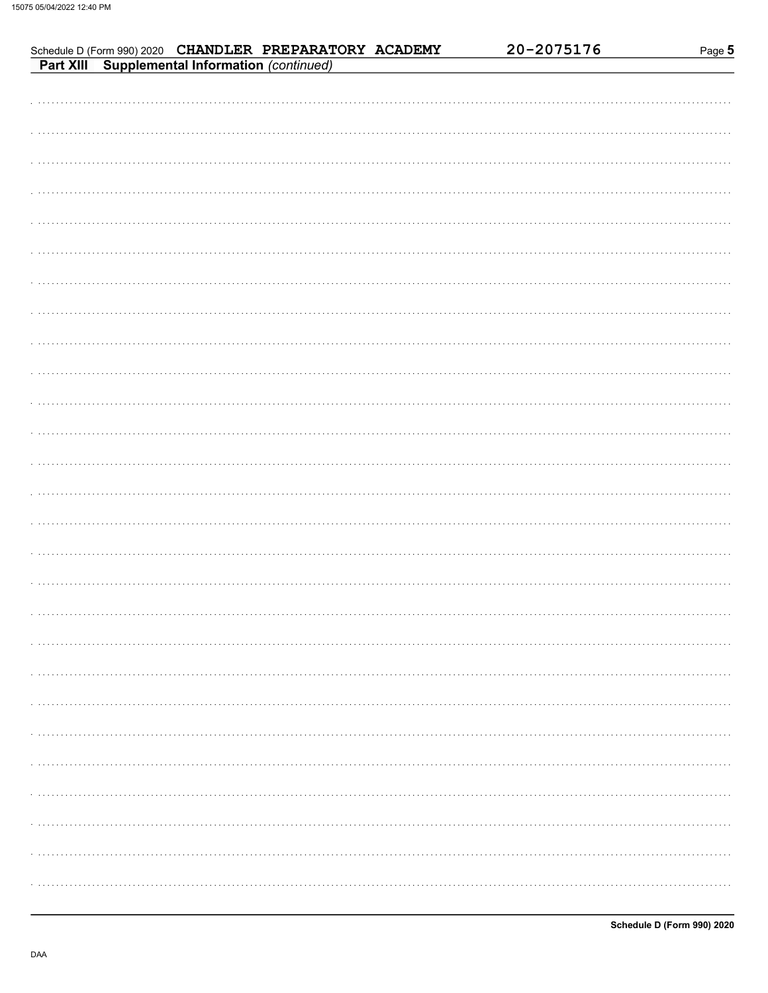| Schedule D (Form 990) 2020 CHANDLER PREPARATORY ACADEMY<br>Part XIII Supplemental Information (continued) | 20-2075176 | Page 5 |
|-----------------------------------------------------------------------------------------------------------|------------|--------|
|                                                                                                           |            |        |
|                                                                                                           |            |        |
|                                                                                                           |            |        |
|                                                                                                           |            |        |
|                                                                                                           |            |        |
|                                                                                                           |            |        |
|                                                                                                           |            |        |
|                                                                                                           |            |        |
|                                                                                                           |            |        |
|                                                                                                           |            |        |
|                                                                                                           |            |        |
|                                                                                                           |            |        |
|                                                                                                           |            |        |
|                                                                                                           |            |        |
|                                                                                                           |            |        |
|                                                                                                           |            |        |
|                                                                                                           |            |        |
|                                                                                                           |            |        |
|                                                                                                           |            |        |
|                                                                                                           |            |        |
|                                                                                                           |            |        |
|                                                                                                           |            |        |
|                                                                                                           |            |        |
|                                                                                                           |            | .      |
|                                                                                                           |            |        |
|                                                                                                           |            |        |
|                                                                                                           |            |        |
|                                                                                                           |            |        |
|                                                                                                           |            |        |
|                                                                                                           |            |        |
|                                                                                                           |            |        |
|                                                                                                           |            |        |
|                                                                                                           |            | .      |
|                                                                                                           |            |        |
|                                                                                                           |            | .      |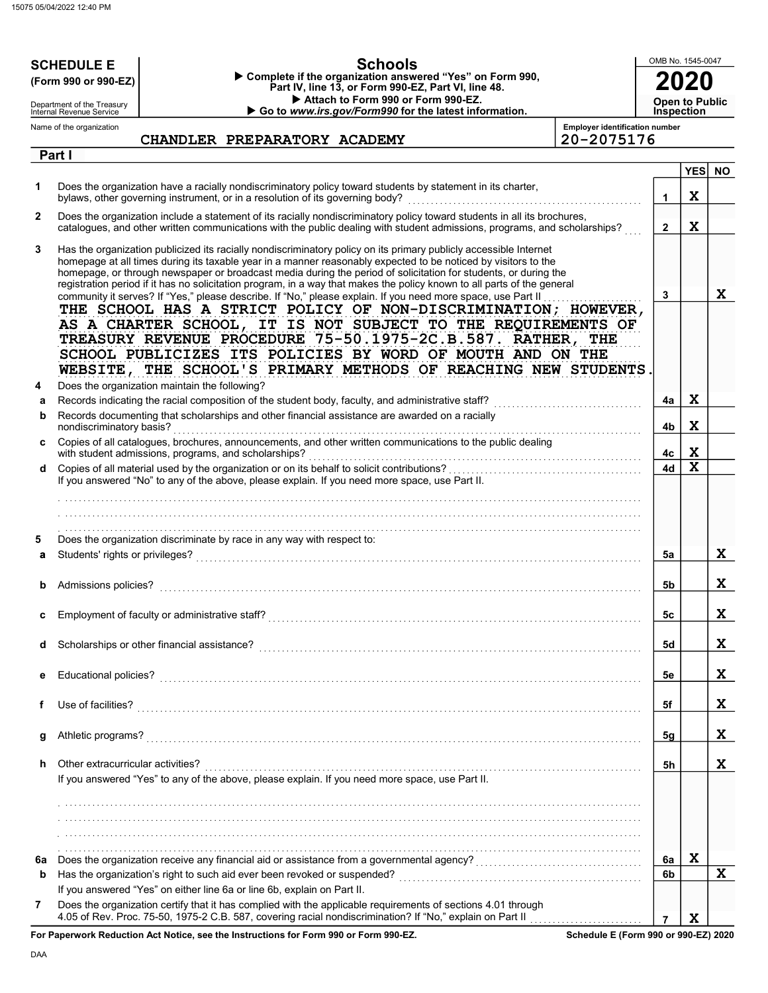|         | <b>Schools</b><br><b>SCHEDULE E</b>                                                                                                                                                                                                                                                                                                                    | OMB No. 1545-0047 |             |           |
|---------|--------------------------------------------------------------------------------------------------------------------------------------------------------------------------------------------------------------------------------------------------------------------------------------------------------------------------------------------------------|-------------------|-------------|-----------|
|         | Complete if the organization answered "Yes" on Form 990,<br>(Form 990 or 990-EZ)<br>Part IV, line 13, or Form 990-EZ, Part VI, line 48.                                                                                                                                                                                                                |                   |             |           |
|         | Attach to Form 990 or Form 990-EZ.<br>Department of the Treasury                                                                                                                                                                                                                                                                                       | Open to Public    |             |           |
|         | Go to www.irs.gov/Form990 for the latest information.<br>Internal Revenue Service<br><b>Employer identification number</b><br>Name of the organization                                                                                                                                                                                                 | <b>Inspection</b> |             |           |
|         | 20-2075176<br>CHANDLER PREPARATORY ACADEMY                                                                                                                                                                                                                                                                                                             |                   |             |           |
|         | Part I                                                                                                                                                                                                                                                                                                                                                 |                   |             |           |
| 1       | Does the organization have a racially nondiscriminatory policy toward students by statement in its charter,                                                                                                                                                                                                                                            |                   | <b>YES</b>  | <b>NO</b> |
|         | bylaws, other governing instrument, or in a resolution of its governing body?                                                                                                                                                                                                                                                                          | 1                 | X           |           |
| 2       | Does the organization include a statement of its racially nondiscriminatory policy toward students in all its brochures,<br>catalogues, and other written communications with the public dealing with student admissions, programs, and scholarships?                                                                                                  | $\mathbf{2}$      | $\mathbf x$ |           |
| 3       | Has the organization publicized its racially nondiscriminatory policy on its primary publicly accessible Internet<br>homepage at all times during its taxable year in a manner reasonably expected to be noticed by visitors to the<br>homepage, or through newspaper or broadcast media during the period of solicitation for students, or during the |                   |             |           |
|         | registration period if it has no solicitation program, in a way that makes the policy known to all parts of the general                                                                                                                                                                                                                                |                   |             |           |
|         | community it serves? If "Yes," please describe. If "No," please explain. If you need more space, use Part II<br>THE SCHOOL HAS A STRICT POLICY OF NON-DISCRIMINATION; HOWEVER,                                                                                                                                                                         | $\mathbf{3}$      |             | X         |
|         | AS A CHARTER SCHOOL, IT IS NOT SUBJECT TO THE REQUIREMENTS OF                                                                                                                                                                                                                                                                                          |                   |             |           |
|         | TREASURY REVENUE PROCEDURE 75-50.1975-2C.B.587. RATHER, THE                                                                                                                                                                                                                                                                                            |                   |             |           |
|         | SCHOOL PUBLICIZES ITS POLICIES BY WORD OF MOUTH AND ON THE                                                                                                                                                                                                                                                                                             |                   |             |           |
|         | WEBSITE, THE SCHOOL'S PRIMARY METHODS OF REACHING NEW STUDENTS                                                                                                                                                                                                                                                                                         |                   |             |           |
| 4       | Does the organization maintain the following?                                                                                                                                                                                                                                                                                                          |                   | X           |           |
| а<br>b  | Records documenting that scholarships and other financial assistance are awarded on a racially                                                                                                                                                                                                                                                         | 4a                |             |           |
|         | nondiscriminatory basis?                                                                                                                                                                                                                                                                                                                               | 4b                | $\mathbf x$ |           |
| c       | Copies of all catalogues, brochures, announcements, and other written communications to the public dealing<br>with student admissions, programs, and scholarships?                                                                                                                                                                                     | 4с                | X           |           |
| d       |                                                                                                                                                                                                                                                                                                                                                        | 4d                | X           |           |
|         | If you answered "No" to any of the above, please explain. If you need more space, use Part II.                                                                                                                                                                                                                                                         |                   |             |           |
|         |                                                                                                                                                                                                                                                                                                                                                        |                   |             |           |
|         |                                                                                                                                                                                                                                                                                                                                                        |                   |             |           |
| 5       | Does the organization discriminate by race in any way with respect to:                                                                                                                                                                                                                                                                                 |                   |             |           |
| a       | Students' rights or privileges?                                                                                                                                                                                                                                                                                                                        | 5a                |             | X         |
|         | Admissions policies?                                                                                                                                                                                                                                                                                                                                   | 5b                |             | X         |
|         |                                                                                                                                                                                                                                                                                                                                                        |                   |             |           |
| c       |                                                                                                                                                                                                                                                                                                                                                        | 5с                |             | X         |
| d       |                                                                                                                                                                                                                                                                                                                                                        | <b>5d</b>         |             | X         |
|         |                                                                                                                                                                                                                                                                                                                                                        |                   |             |           |
| е       |                                                                                                                                                                                                                                                                                                                                                        | 5e                |             | X         |
| f       |                                                                                                                                                                                                                                                                                                                                                        | 5f                |             | X         |
|         |                                                                                                                                                                                                                                                                                                                                                        |                   |             |           |
| g       |                                                                                                                                                                                                                                                                                                                                                        | 5g                |             | X         |
| h       | Other extracurricular activities?                                                                                                                                                                                                                                                                                                                      | 5h                |             | X         |
|         | If you answered "Yes" to any of the above, please explain. If you need more space, use Part II.                                                                                                                                                                                                                                                        |                   |             |           |
|         |                                                                                                                                                                                                                                                                                                                                                        |                   |             |           |
|         |                                                                                                                                                                                                                                                                                                                                                        |                   |             |           |
|         |                                                                                                                                                                                                                                                                                                                                                        |                   |             |           |
|         |                                                                                                                                                                                                                                                                                                                                                        | 6a                | X           |           |
| 6a<br>b |                                                                                                                                                                                                                                                                                                                                                        | 6b                |             | X         |
|         | If you answered "Yes" on either line 6a or line 6b, explain on Part II.                                                                                                                                                                                                                                                                                |                   |             |           |
| 7       | Does the organization certify that it has complied with the applicable requirements of sections 4.01 through                                                                                                                                                                                                                                           |                   |             |           |
|         | 4.05 of Rev. Proc. 75-50, 1975-2 C.B. 587, covering racial nondiscrimination? If "No," explain on Part II<br>de Deduction, Act Notice, and the Instructions for Form 000 or Form 000 F7.                                                                                                                                                               | $\overline{7}$    | X           |           |

For Paperwork Reduction Act Notice, see the Instructions for Form 990 or Form 990-EZ.

Schedule E (Form 990 or 990-EZ) 2020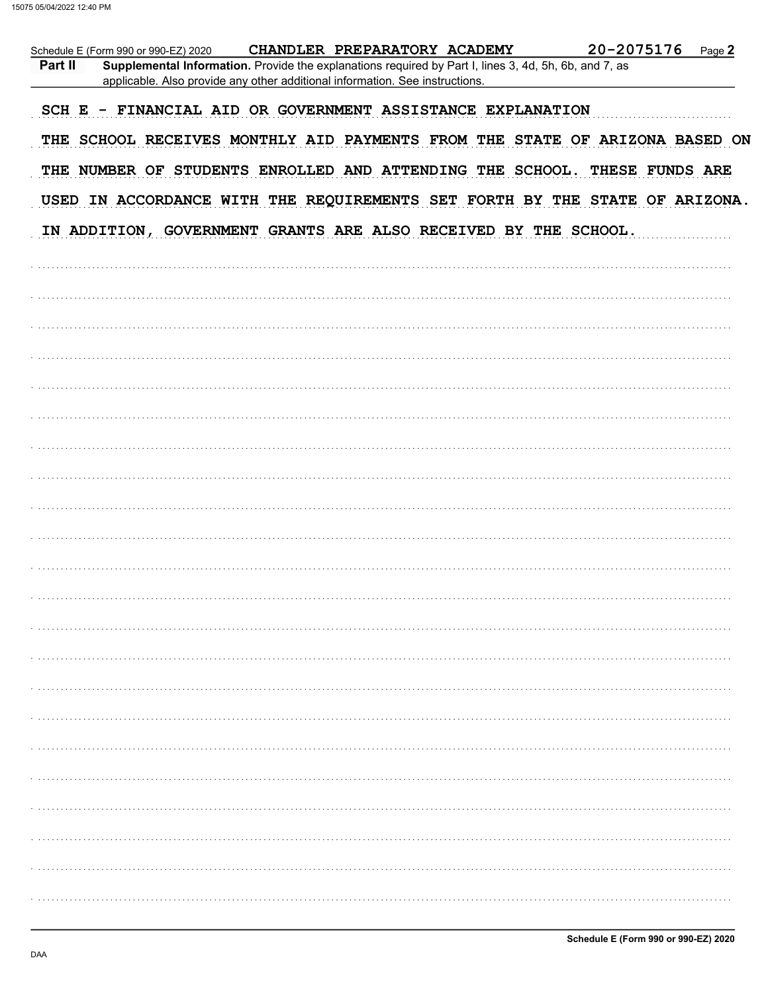|         | Schedule E (Form 990 or 990-EZ) 2020                            |                                                                                                                                                                                       | CHANDLER PREPARATORY ACADEMY | 20-2075176                                                                  | Page 2 |
|---------|-----------------------------------------------------------------|---------------------------------------------------------------------------------------------------------------------------------------------------------------------------------------|------------------------------|-----------------------------------------------------------------------------|--------|
| Part II |                                                                 | Supplemental Information. Provide the explanations required by Part I, lines 3, 4d, 5h, 6b, and 7, as<br>applicable. Also provide any other additional information. See instructions. |                              |                                                                             |        |
|         | SCH E - FINANCIAL AID OR GOVERNMENT ASSISTANCE EXPLANATION      |                                                                                                                                                                                       |                              |                                                                             |        |
|         |                                                                 |                                                                                                                                                                                       |                              | THE SCHOOL RECEIVES MONTHLY AID PAYMENTS FROM THE STATE OF ARIZONA BASED ON |        |
|         |                                                                 |                                                                                                                                                                                       |                              | THE NUMBER OF STUDENTS ENROLLED AND ATTENDING THE SCHOOL. THESE FUNDS ARE   |        |
|         |                                                                 |                                                                                                                                                                                       |                              | USED IN ACCORDANCE WITH THE REQUIREMENTS SET FORTH BY THE STATE OF ARIZONA. |        |
|         | IN ADDITION, GOVERNMENT GRANTS ARE ALSO RECEIVED BY THE SCHOOL. |                                                                                                                                                                                       |                              |                                                                             |        |
|         |                                                                 |                                                                                                                                                                                       |                              |                                                                             |        |
|         |                                                                 |                                                                                                                                                                                       |                              |                                                                             |        |
|         |                                                                 |                                                                                                                                                                                       |                              |                                                                             |        |
|         |                                                                 |                                                                                                                                                                                       |                              |                                                                             |        |
|         |                                                                 |                                                                                                                                                                                       |                              |                                                                             |        |
|         |                                                                 |                                                                                                                                                                                       |                              |                                                                             |        |
|         |                                                                 |                                                                                                                                                                                       |                              |                                                                             |        |
|         |                                                                 |                                                                                                                                                                                       |                              |                                                                             |        |
|         |                                                                 |                                                                                                                                                                                       |                              |                                                                             |        |
|         |                                                                 |                                                                                                                                                                                       |                              |                                                                             |        |
|         |                                                                 |                                                                                                                                                                                       |                              |                                                                             |        |
|         |                                                                 |                                                                                                                                                                                       |                              |                                                                             |        |
|         |                                                                 |                                                                                                                                                                                       |                              |                                                                             |        |
|         |                                                                 |                                                                                                                                                                                       |                              |                                                                             |        |
|         |                                                                 |                                                                                                                                                                                       |                              |                                                                             |        |
|         |                                                                 |                                                                                                                                                                                       |                              |                                                                             |        |
|         |                                                                 |                                                                                                                                                                                       |                              |                                                                             |        |
|         |                                                                 |                                                                                                                                                                                       |                              |                                                                             |        |
|         |                                                                 |                                                                                                                                                                                       |                              |                                                                             |        |
|         |                                                                 |                                                                                                                                                                                       |                              |                                                                             |        |
|         |                                                                 |                                                                                                                                                                                       |                              |                                                                             |        |
|         |                                                                 |                                                                                                                                                                                       |                              |                                                                             |        |
|         |                                                                 |                                                                                                                                                                                       |                              |                                                                             |        |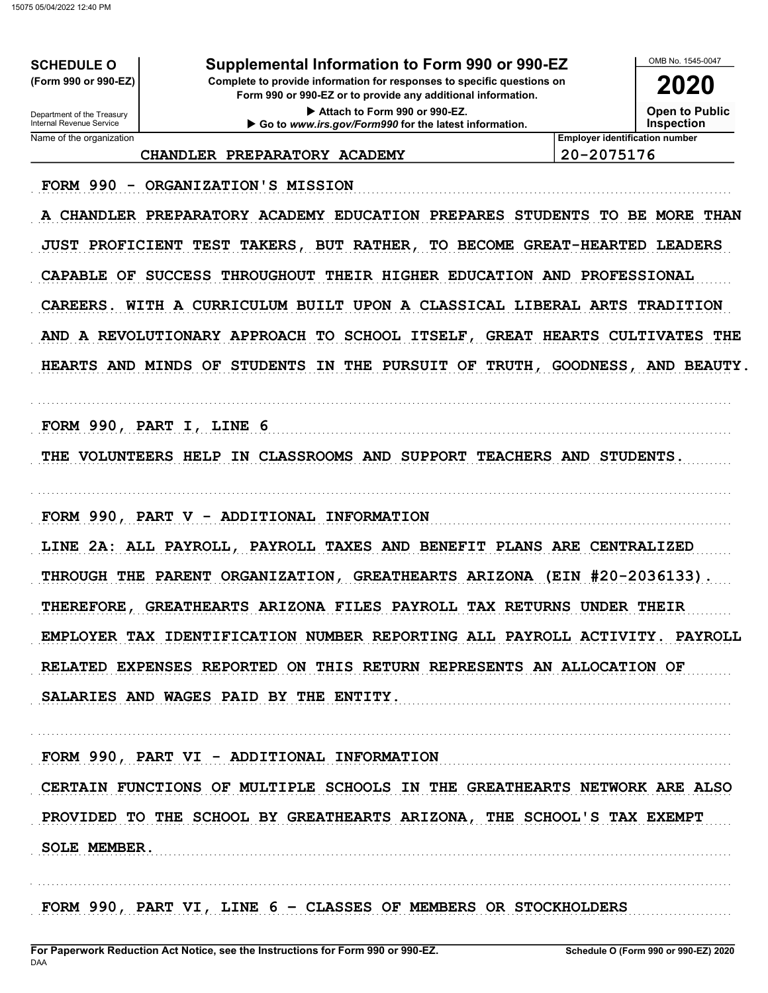**SCHEDULE O** (Form 990 or 990-EZ)

Supplemental Information to Form 990 or 990-EZ

Complete to provide information for responses to specific questions on Form 990 or 990-EZ or to provide any additional information.

> Attach to Form 990 or 990-EZ. Go to www.irs.gov/Form990 for the latest information.

OMB No 1545-0047 2020

**Open to Public** 

**Inspection** 

Department of the Treasury<br>Internal Revenue Service Name of the organization

CHANDLER PREPARATORY ACADEMY

20-2075176

**Employer identification number** 

FORM 990 - ORGANIZATION'S MISSION

A CHANDLER PREPARATORY ACADEMY EDUCATION PREPARES STUDENTS TO BE MORE THAN JUST PROFICIENT TEST TAKERS, BUT RATHER, TO BECOME GREAT-HEARTED LEADERS CAPABLE OF SUCCESS THROUGHOUT THEIR HIGHER EDUCATION AND PROFESSIONAL CAREERS. WITH A CURRICULUM BUILT UPON A CLASSICAL LIBERAL ARTS TRADITION AND A REVOLUTIONARY APPROACH TO SCHOOL ITSELF, GREAT HEARTS CULTIVATES THE HEARTS AND MINDS OF STUDENTS IN THE PURSUIT OF TRUTH, GOODNESS, AND BEAUTY.

FORM 990, PART I, LINE 6

THE VOLUNTEERS HELP IN CLASSROOMS AND SUPPORT TEACHERS AND STUDENTS.

FORM 990, PART V - ADDITIONAL INFORMATION

LINE 2A: ALL PAYROLL, PAYROLL TAXES AND BENEFIT PLANS ARE CENTRALIZED THROUGH THE PARENT ORGANIZATION, GREATHEARTS ARIZONA (EIN #20-2036133). THEREFORE, GREATHEARTS ARIZONA FILES PAYROLL TAX RETURNS UNDER THEIR EMPLOYER TAX IDENTIFICATION NUMBER REPORTING ALL PAYROLL ACTIVITY. PAYROLL RELATED EXPENSES REPORTED ON THIS RETURN REPRESENTS AN ALLOCATION OF SALARIES AND WAGES PAID BY THE ENTITY.

FORM 990, PART VI - ADDITIONAL INFORMATION CERTAIN FUNCTIONS OF MULTIPLE SCHOOLS IN THE GREATHEARTS NETWORK ARE ALSO PROVIDED TO THE SCHOOL BY GREATHEARTS ARIZONA, THE SCHOOL'S TAX EXEMPT SOLE MEMBER.

FORM 990, PART VI, LINE 6 - CLASSES OF MEMBERS OR STOCKHOLDERS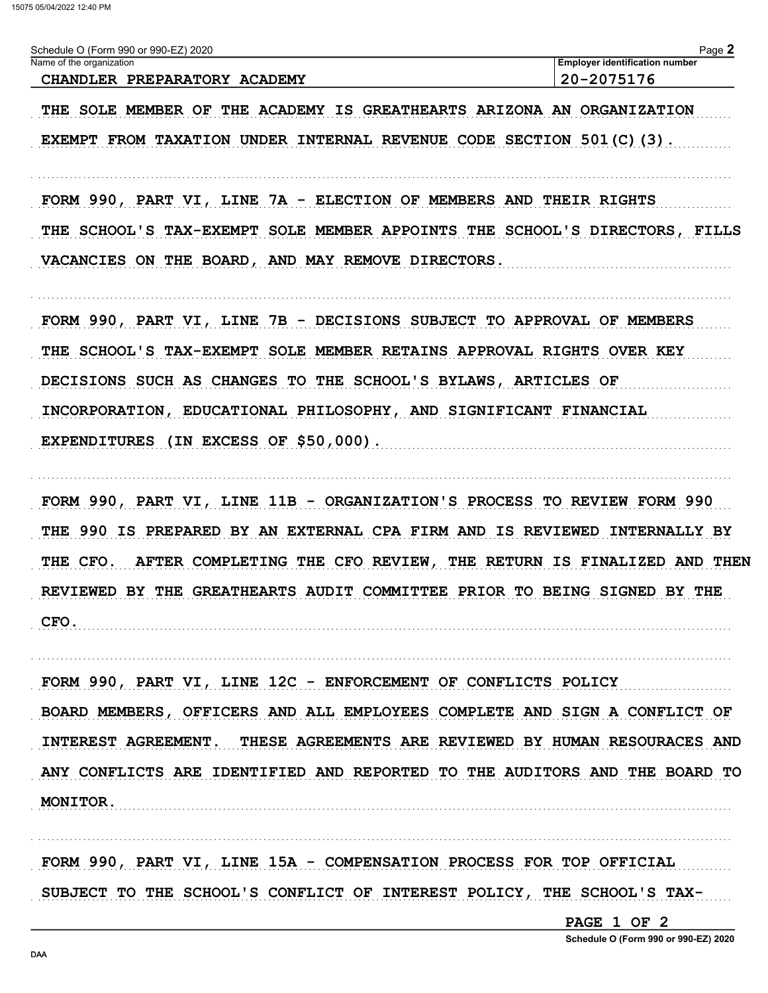| Schedule O (Form 990 or 990-EZ) 2020 | $Page \triangle$                      |
|--------------------------------------|---------------------------------------|
| Name of the organization             | <b>Employer identification number</b> |
| CHANDLER PREPARATORY ACADEMY         | 20-2075176                            |

THE SOLE MEMBER OF THE ACADEMY IS GREATHEARTS ARIZONA AN ORGANIZATION EXEMPT FROM TAXATION UNDER INTERNAL REVENUE CODE SECTION 501(C)(3).

FORM 990, PART VI, LINE 7A - ELECTION OF MEMBERS AND THEIR RIGHTS THE SCHOOL'S TAX-EXEMPT SOLE MEMBER APPOINTS THE SCHOOL'S DIRECTORS, FILLS VACANCIES ON THE BOARD, AND MAY REMOVE DIRECTORS.

FORM 990, PART VI, LINE 7B - DECISIONS SUBJECT TO APPROVAL OF MEMBERS THE SCHOOL'S TAX-EXEMPT SOLE MEMBER RETAINS APPROVAL RIGHTS OVER KEY DECISIONS SUCH AS CHANGES TO THE SCHOOL'S BYLAWS, ARTICLES OF INCORPORATION, EDUCATIONAL PHILOSOPHY, AND SIGNIFICANT FINANCIAL EXPENDITURES (IN EXCESS OF \$50,000).

FORM 990, PART VI, LINE 11B - ORGANIZATION'S PROCESS TO REVIEW FORM 990 THE 990 IS PREPARED BY AN EXTERNAL CPA FIRM AND IS REVIEWED INTERNALLY BY THE CFO. AFTER COMPLETING THE CFO REVIEW, THE RETURN IS FINALIZED AND THEN REVIEWED BY THE GREATHEARTS AUDIT COMMITTEE PRIOR TO BEING SIGNED BY THE CFO.

FORM 990, PART VI, LINE 12C - ENFORCEMENT OF CONFLICTS POLICY BOARD MEMBERS, OFFICERS AND ALL EMPLOYEES COMPLETE AND SIGN A CONFLICT OF INTEREST AGREEMENT. THESE AGREEMENTS ARE REVIEWED BY HUMAN RESOURACES AND ANY CONFLICTS ARE IDENTIFIED AND REPORTED TO THE AUDITORS AND THE BOARD TO MONITOR.

FORM 990, PART VI, LINE 15A - COMPENSATION PROCESS FOR TOP OFFICIAL SUBJECT TO THE SCHOOL'S CONFLICT OF INTEREST POLICY, THE SCHOOL'S TAX-

PAGE 1 OF 2

Schedule O (Form 990 or 990-EZ) 2020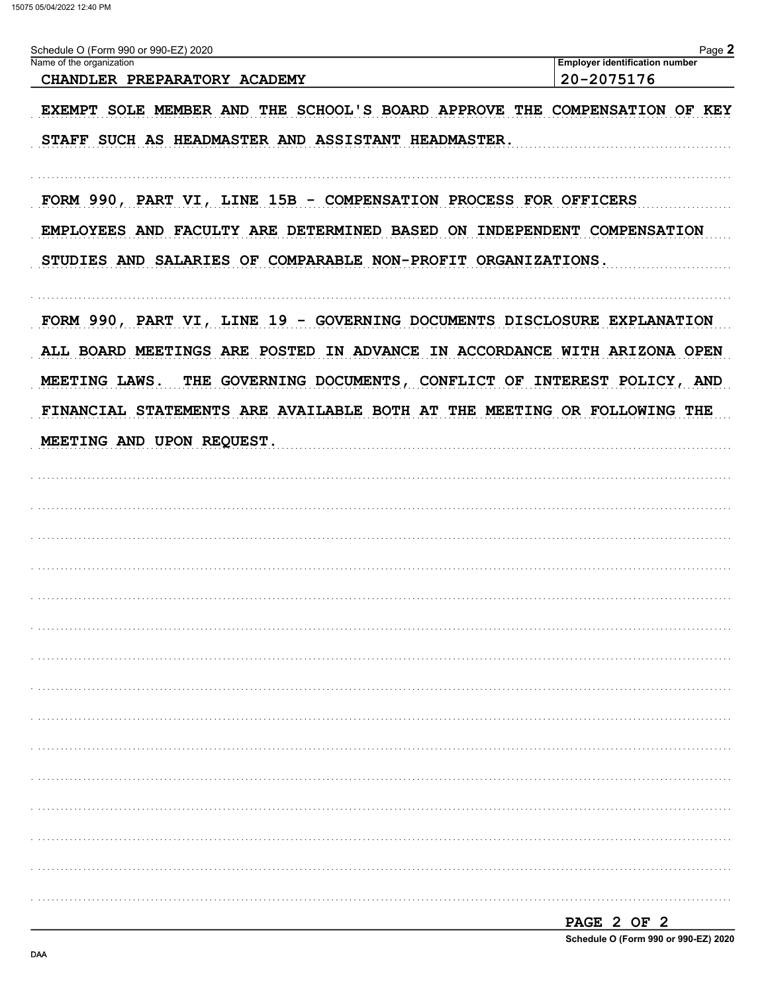| Schedule O (Form 990 or 990-EZ) 2020<br>Name of the organization                                                                                                                                                                  | Page 2<br><b>Employer identification number</b> |
|-----------------------------------------------------------------------------------------------------------------------------------------------------------------------------------------------------------------------------------|-------------------------------------------------|
| CHANDLER PREPARATORY ACADEMY                                                                                                                                                                                                      | 20-2075176                                      |
| EXEMPT SOLE MEMBER AND THE SCHOOL'S BOARD APPROVE THE COMPENSATION OF KEY                                                                                                                                                         |                                                 |
| STAFF SUCH AS HEADMASTER AND ASSISTANT HEADMASTER.                                                                                                                                                                                |                                                 |
| FORM 990, PART VI, LINE 15B - COMPENSATION PROCESS FOR OFFICERS<br>EMPLOYEES AND FACULTY ARE DETERMINED BASED ON INDEPENDENT COMPENSATION                                                                                         |                                                 |
| STUDIES AND SALARIES OF COMPARABLE NON-PROFIT ORGANIZATIONS.                                                                                                                                                                      |                                                 |
| FORM 990, PART VI, LINE 19 - GOVERNING DOCUMENTS DISCLOSURE EXPLANATION<br>ALL BOARD MEETINGS ARE POSTED IN ADVANCE IN ACCORDANCE WITH ARIZONA OPEN<br>THE GOVERNING DOCUMENTS, CONFLICT OF INTEREST POLICY, AND<br>MEETING LAWS. |                                                 |
| FINANCIAL STATEMENTS ARE AVAILABLE BOTH AT THE MEETING OR FOLLOWING THE                                                                                                                                                           |                                                 |
| MEETING AND UPON REQUEST.                                                                                                                                                                                                         |                                                 |
|                                                                                                                                                                                                                                   |                                                 |
|                                                                                                                                                                                                                                   |                                                 |
|                                                                                                                                                                                                                                   |                                                 |
|                                                                                                                                                                                                                                   |                                                 |
|                                                                                                                                                                                                                                   |                                                 |
|                                                                                                                                                                                                                                   |                                                 |
|                                                                                                                                                                                                                                   |                                                 |
|                                                                                                                                                                                                                                   |                                                 |
|                                                                                                                                                                                                                                   |                                                 |
|                                                                                                                                                                                                                                   |                                                 |
|                                                                                                                                                                                                                                   |                                                 |
|                                                                                                                                                                                                                                   |                                                 |
|                                                                                                                                                                                                                                   |                                                 |
|                                                                                                                                                                                                                                   |                                                 |
|                                                                                                                                                                                                                                   |                                                 |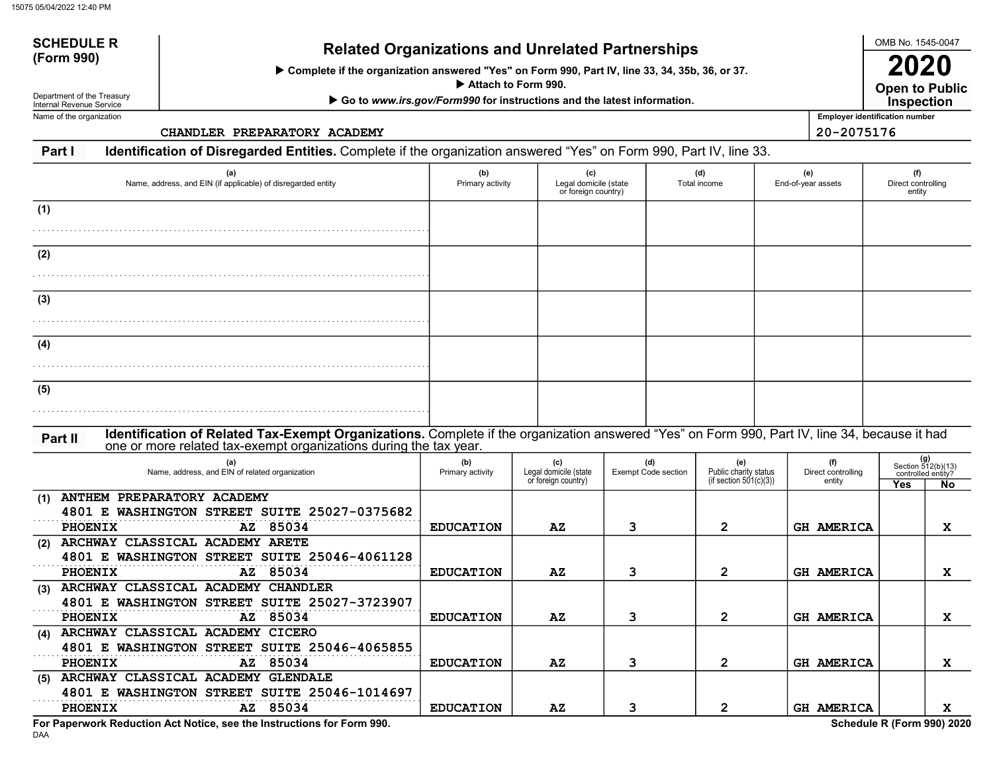Complete if the organization answered "Yes" on Form 990, Part IV, line 33, 34, 35b, 36, or 37.

Attach to Form 990.

▶ Go to www.irs.gov/Form990 for instructions and the latest information.

Department of the Treasury Internal Revenue Service Name of the organization

SCHEDULE R

CHANDLER PREPARATORY ACADEMY 20-2075176

Open to Public 2020 **Inspection** 

OMB No. 1545-0047

Employer identification number

Part I Identification of Disregarded Entities. Complete if the organization answered "Yes" on Form 990, Part IV, line 33.

| (a)<br>Name, address, and EIN (if applicable) of disregarded entity                                                                                      | (b)<br>Primary activity | (c)<br>Legal domicile (state<br>or foreign country) |                                   | (d)<br>Total income                                       | (e)<br>End-of-year assets           | (f)<br>Direct controlling<br>entity                            |
|----------------------------------------------------------------------------------------------------------------------------------------------------------|-------------------------|-----------------------------------------------------|-----------------------------------|-----------------------------------------------------------|-------------------------------------|----------------------------------------------------------------|
| (1)                                                                                                                                                      |                         |                                                     |                                   |                                                           |                                     |                                                                |
| (2)                                                                                                                                                      |                         |                                                     |                                   |                                                           |                                     |                                                                |
| (3)                                                                                                                                                      |                         |                                                     |                                   |                                                           |                                     |                                                                |
| (4)                                                                                                                                                      |                         |                                                     |                                   |                                                           |                                     |                                                                |
| (5)                                                                                                                                                      |                         |                                                     |                                   |                                                           |                                     |                                                                |
| Identification of Related Tax-Exempt Organizations. Complete if the organization answered "Yes" on Form 990, Part IV, line 34, because it had<br>Part II |                         |                                                     |                                   |                                                           |                                     |                                                                |
| one or more related tax-exempt organizations during the tax year.<br>(a)<br>Name, address, and EIN of related organization                               | (b)<br>Primary activity | (c)<br>Legal domicile (state<br>or foreign country) | (d)<br><b>Exempt Code section</b> | (e)<br>Public charity status<br>(if section $501(c)(3)$ ) | (f)<br>Direct controlling<br>entity | $(g)$<br>Section 512(b)(13)<br>controlled entity?<br>Yes<br>No |
| ANTHEM PREPARATORY ACADEMY<br>(1)<br>4801 E WASHINGTON STREET SUITE 25027-0375682<br><b>PHOENIX</b><br>AZ 85034                                          |                         | AZ                                                  | 3                                 | $\overline{2}$                                            | <b>GH AMERICA</b>                   |                                                                |
| ARCHWAY CLASSICAL ACADEMY ARETE<br>(2)<br>4801 E WASHINGTON STREET SUITE 25046-4061128                                                                   | <b>EDUCATION</b>        |                                                     |                                   |                                                           |                                     | x                                                              |
| <b>PHOENIX</b><br>AZ 85034<br>ARCHWAY CLASSICAL ACADEMY CHANDLER<br>(3)<br>4801 E WASHINGTON STREET SUITE 25027-3723907                                  | <b>EDUCATION</b>        | AZ                                                  | 3                                 | $\overline{2}$                                            | <b>GH AMERICA</b>                   | X                                                              |
| PHOENIX<br>AZ 85034<br>(4) ARCHWAY CLASSICAL ACADEMY CICERO                                                                                              | <b>EDUCATION</b>        | AZ                                                  | 3                                 | $\mathbf{2}$                                              | <b>GH AMERICA</b>                   | x                                                              |
| 4801 E WASHINGTON STREET SUITE 25046-4065855<br>PHOENIX<br>85034<br>AZ                                                                                   | <b>EDUCATION</b>        | AZ                                                  | 3                                 | $\mathbf{2}$                                              | <b>GH AMERICA</b>                   | X                                                              |
| (5) ARCHWAY CLASSICAL ACADEMY GLENDALE<br>4801 E WASHINGTON STREET SUITE 25046-1014697<br>AZ 85034<br><b>PHOENIX</b>                                     | <b>EDUCATION</b>        | AZ                                                  | 3                                 | $\mathbf{2}$                                              | <b>GH AMERICA</b>                   | x                                                              |

For Paperwork Reduction Act Notice, see the Instructions for Form 990. Schedule R (Form 990) 2020

DAA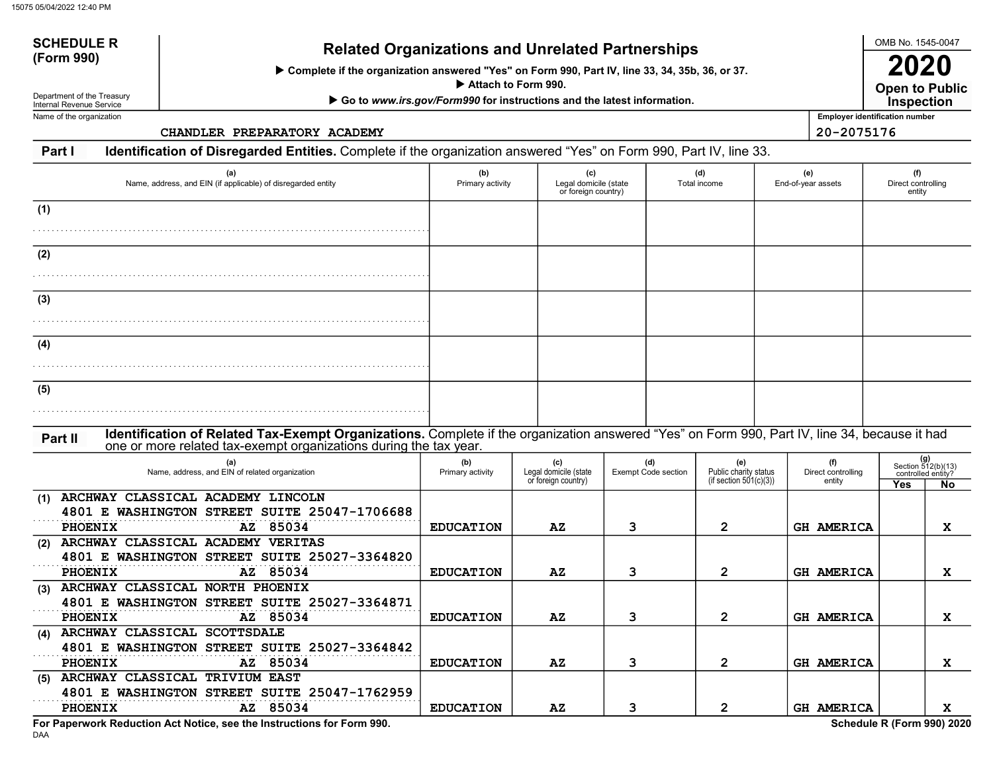Complete if the organization answered "Yes" on Form 990, Part IV, line 33, 34, 35b, 36, or 37.

Attach to Form 990.

▶ Go to www.irs.gov/Form990 for instructions and the latest information.

Department of the Treasury Internal Revenue Service Name of the organization

SCHEDULE R

CHANDLER PREPARATORY ACADEMY 20-2075176

Open to Public 2020 **Inspection** 

OMB No. 1545-0047

Employer identification number

Part I Identification of Disregarded Entities. Complete if the organization answered "Yes" on Form 990, Part IV, line 33.

| (a)<br>Name, address, and EIN (if applicable) of disregarded entity                                                                                                                                                           | (b)<br>Primary activity | (c)                                                 | Legal domicile (state<br>or foreign country) |                                   | (d)<br>Total income                                       | (e)<br>End-of-year assets           | (f)<br>Direct controlling<br>entity |                                                        |
|-------------------------------------------------------------------------------------------------------------------------------------------------------------------------------------------------------------------------------|-------------------------|-----------------------------------------------------|----------------------------------------------|-----------------------------------|-----------------------------------------------------------|-------------------------------------|-------------------------------------|--------------------------------------------------------|
| (1)                                                                                                                                                                                                                           |                         |                                                     |                                              |                                   |                                                           |                                     |                                     |                                                        |
| (2)                                                                                                                                                                                                                           |                         |                                                     |                                              |                                   |                                                           |                                     |                                     |                                                        |
| (3)                                                                                                                                                                                                                           |                         |                                                     |                                              |                                   |                                                           |                                     |                                     |                                                        |
| (4)                                                                                                                                                                                                                           |                         |                                                     |                                              |                                   |                                                           |                                     |                                     |                                                        |
| (5)                                                                                                                                                                                                                           |                         |                                                     |                                              |                                   |                                                           |                                     |                                     |                                                        |
| Identification of Related Tax-Exempt Organizations. Complete if the organization answered "Yes" on Form 990, Part IV, line 34, because it had<br>Part II<br>one or more related tax-exempt organizations during the tax year. |                         |                                                     |                                              |                                   |                                                           |                                     |                                     |                                                        |
| (a)<br>Name, address, and EIN of related organization                                                                                                                                                                         | (b)<br>Primary activity | (c)<br>Legal domicile (state<br>or foreign country) |                                              | (d)<br><b>Exempt Code section</b> | (e)<br>Public charity status<br>(if section $501(c)(3)$ ) | (f)<br>Direct controlling<br>entity | Yes                                 | (g)<br>Section 512(b)(13)<br>controlled entity?<br>No. |
| ARCHWAY CLASSICAL ACADEMY LINCOLN<br>(1)<br>4801 E WASHINGTON STREET SUITE 25047-1706688<br>85034<br><b>PHOENIX</b><br>AZ                                                                                                     | <b>EDUCATION</b>        | AZ                                                  | 3                                            |                                   | $\overline{2}$                                            | <b>GH AMERICA</b>                   |                                     | X                                                      |
| (2) ARCHWAY CLASSICAL ACADEMY VERITAS<br>4801 E WASHINGTON STREET SUITE 25027-3364820<br><b>PHOENIX</b><br>AZ 85034                                                                                                           | <b>EDUCATION</b>        | AZ                                                  | 3                                            |                                   | $\overline{2}$                                            | <b>GH AMERICA</b>                   |                                     | X                                                      |
| (3) ARCHWAY CLASSICAL NORTH PHOENIX<br>4801 E WASHINGTON STREET SUITE 25027-3364871<br>PHOENIX<br>AZ 85034                                                                                                                    | <b>EDUCATION</b>        | AZ                                                  | 3                                            |                                   | $\mathbf{2}$                                              | <b>GH AMERICA</b>                   |                                     | X                                                      |
| (4) ARCHWAY CLASSICAL SCOTTSDALE<br>4801 E WASHINGTON STREET SUITE 25027-3364842<br>PHOENIX<br>AZ 85034                                                                                                                       | <b>EDUCATION</b>        | AZ                                                  | 3                                            |                                   | $\mathbf{2}$                                              | <b>GH AMERICA</b>                   |                                     | X                                                      |
| (5) ARCHWAY CLASSICAL TRIVIUM EAST<br>4801 E WASHINGTON STREET SUITE 25047-1762959<br>AZ 85034<br><b>PHOENIX</b>                                                                                                              | <b>EDUCATION</b>        | AZ                                                  | 3                                            |                                   | $\overline{2}$                                            | GH AMERICA                          |                                     | x                                                      |

DAA For Paperwork Reduction Act Notice, see the Instructions for Form 990. Schedule R (Form 990) 2020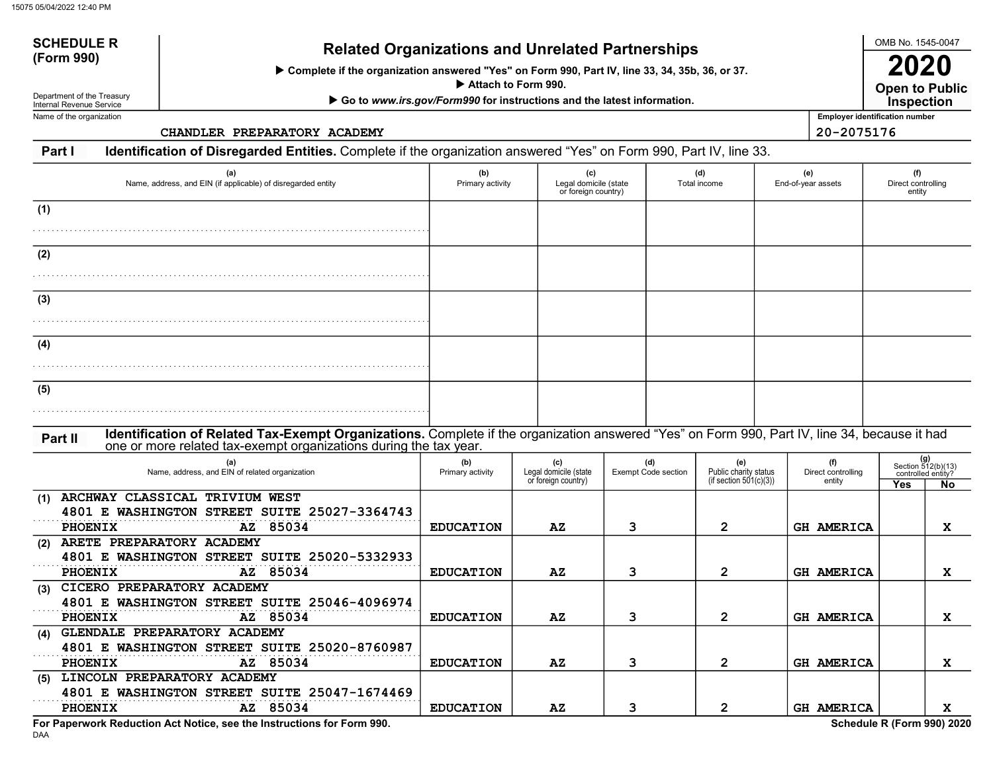Complete if the organization answered "Yes" on Form 990, Part IV, line 33, 34, 35b, 36, or 37.

Attach to Form 990.

▶ Go to www.irs.gov/Form990 for instructions and the latest information.

Department of the Treasury Internal Revenue Service Name of the organization

SCHEDULE R

CHANDLER PREPARATORY ACADEMY 20-2075176

Open to Public 2020 **Inspection** 

OMB No. 1545-0047

Employer identification number

Part I Identification of Disregarded Entities. Complete if the organization answered "Yes" on Form 990, Part IV, line 33.

| (a)<br>Name, address, and EIN (if applicable) of disregarded entity                                                                                                                                                           | (b)<br>Primary activity |                                                     | (c)<br>Legal domicile (state<br>or foreign country) |                                   | (d)<br>Total income                                       | (e)<br>End-of-year assets           | (f)<br>Direct controlling<br>entity |                                                        |
|-------------------------------------------------------------------------------------------------------------------------------------------------------------------------------------------------------------------------------|-------------------------|-----------------------------------------------------|-----------------------------------------------------|-----------------------------------|-----------------------------------------------------------|-------------------------------------|-------------------------------------|--------------------------------------------------------|
| (1)                                                                                                                                                                                                                           |                         |                                                     |                                                     |                                   |                                                           |                                     |                                     |                                                        |
| (2)                                                                                                                                                                                                                           |                         |                                                     |                                                     |                                   |                                                           |                                     |                                     |                                                        |
| (3)                                                                                                                                                                                                                           |                         |                                                     |                                                     |                                   |                                                           |                                     |                                     |                                                        |
| (4)                                                                                                                                                                                                                           |                         |                                                     |                                                     |                                   |                                                           |                                     |                                     |                                                        |
| (5)                                                                                                                                                                                                                           |                         |                                                     |                                                     |                                   |                                                           |                                     |                                     |                                                        |
| Identification of Related Tax-Exempt Organizations. Complete if the organization answered "Yes" on Form 990, Part IV, line 34, because it had<br>Part II<br>one or more related tax-exempt organizations during the tax year. |                         |                                                     |                                                     |                                   |                                                           |                                     |                                     |                                                        |
| (a)<br>Name, address, and EIN of related organization                                                                                                                                                                         | (b)<br>Primary activity | (c)<br>Legal domicile (state<br>or foreign country) |                                                     | (d)<br><b>Exempt Code section</b> | (e)<br>Public charity status<br>(if section $501(c)(3)$ ) | (f)<br>Direct controlling<br>entity | Yes                                 | (g)<br>Section 512(b)(13)<br>controlled entity?<br>No. |
| ARCHWAY CLASSICAL TRIVIUM WEST<br>(1)<br>4801 E WASHINGTON STREET SUITE 25027-3364743<br>85034<br><b>PHOENIX</b><br>AZ                                                                                                        | <b>EDUCATION</b>        | AZ                                                  | 3                                                   |                                   | $\overline{2}$                                            | <b>GH AMERICA</b>                   |                                     | X                                                      |
| (2) ARETE PREPARATORY ACADEMY<br>4801 E WASHINGTON STREET SUITE 25020-5332933<br><b>PHOENIX</b><br>AZ 85034                                                                                                                   | <b>EDUCATION</b>        | AZ                                                  | 3                                                   |                                   | $\mathbf{2}$                                              | <b>GH AMERICA</b>                   |                                     | X                                                      |
| (3) CICERO PREPARATORY ACADEMY<br>4801 E WASHINGTON STREET SUITE 25046-4096974<br>PHOENIX<br>AZ 85034                                                                                                                         | <b>EDUCATION</b>        | AZ                                                  | 3                                                   |                                   | $\mathbf{2}$                                              | <b>GH AMERICA</b>                   |                                     | X                                                      |
| (4) GLENDALE PREPARATORY ACADEMY<br>4801 E WASHINGTON STREET SUITE 25020-8760987<br>PHOENIX<br>AZ 85034                                                                                                                       | <b>EDUCATION</b>        | AZ                                                  | 3                                                   |                                   | $\mathbf{2}$                                              | <b>GH AMERICA</b>                   |                                     | X                                                      |
| (5) LINCOLN PREPARATORY ACADEMY<br>4801 E WASHINGTON STREET SUITE 25047-1674469<br>AZ 85034<br><b>PHOENIX</b>                                                                                                                 | <b>EDUCATION</b>        | AZ                                                  | 3                                                   |                                   | $\overline{2}$                                            | <b>GH AMERICA</b>                   |                                     | x                                                      |

For Paperwork Reduction Act Notice, see the Instructions for Form 990. Schedule R (Form 990) 2020

DAA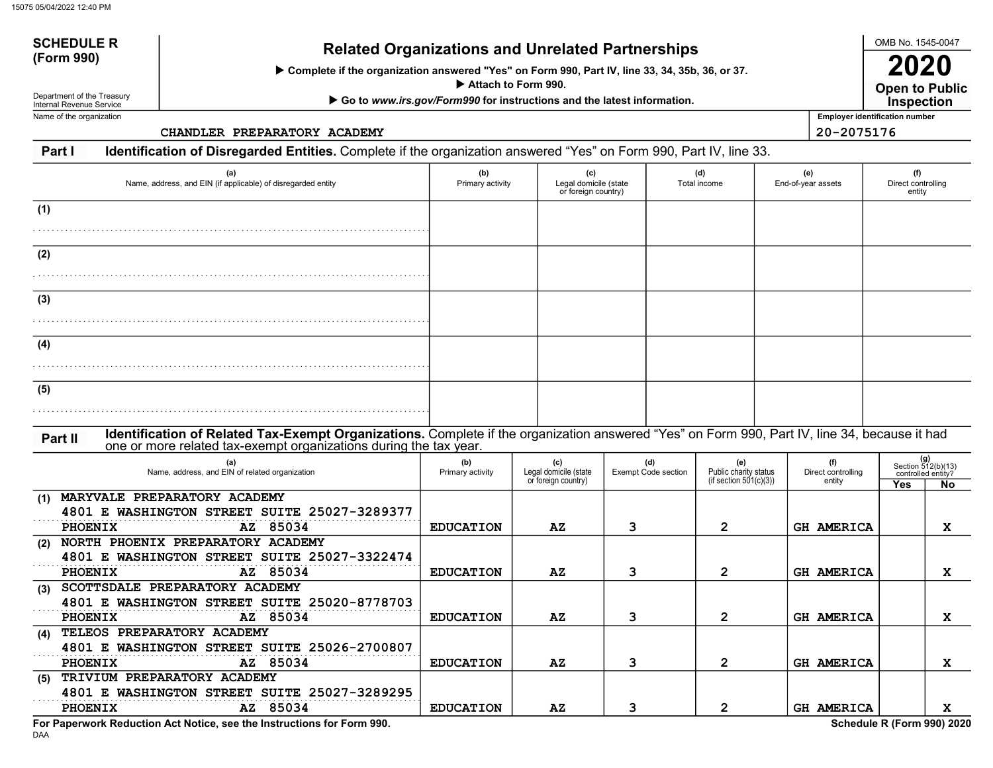Complete if the organization answered "Yes" on Form 990, Part IV, line 33, 34, 35b, 36, or 37.

Attach to Form 990.

▶ Go to www.irs.gov/Form990 for instructions and the latest information.

Department of the Treasury Internal Revenue Service Name of the organization

SCHEDULE R

CHANDLER PREPARATORY ACADEMY 20-2075176

Open to Public 2020 **Inspection** 

OMB No. 1545-0047

Employer identification number

Part I Identification of Disregarded Entities. Complete if the organization answered "Yes" on Form 990, Part IV, line 33.

| (a)<br>Name, address, and EIN (if applicable) of disregarded entity                                                                                                                                                           | (b)<br>Primary activity | (c)                                                 | Legal domicile (state<br>or foreign country) |  | (d)<br>Total income                                    | (e)<br>End-of-year assets           | (f)<br>Direct controlling<br>entity |                                                          |
|-------------------------------------------------------------------------------------------------------------------------------------------------------------------------------------------------------------------------------|-------------------------|-----------------------------------------------------|----------------------------------------------|--|--------------------------------------------------------|-------------------------------------|-------------------------------------|----------------------------------------------------------|
| (1)                                                                                                                                                                                                                           |                         |                                                     |                                              |  |                                                        |                                     |                                     |                                                          |
| (2)                                                                                                                                                                                                                           |                         |                                                     |                                              |  |                                                        |                                     |                                     |                                                          |
| (3)                                                                                                                                                                                                                           |                         |                                                     |                                              |  |                                                        |                                     |                                     |                                                          |
| (4)                                                                                                                                                                                                                           |                         |                                                     |                                              |  |                                                        |                                     |                                     |                                                          |
| (5)                                                                                                                                                                                                                           |                         |                                                     |                                              |  |                                                        |                                     |                                     |                                                          |
| Identification of Related Tax-Exempt Organizations. Complete if the organization answered "Yes" on Form 990, Part IV, line 34, because it had<br>Part II<br>one or more related tax-exempt organizations during the tax year. |                         |                                                     |                                              |  |                                                        |                                     |                                     |                                                          |
| (a)<br>Name, address, and EIN of related organization                                                                                                                                                                         | (b)<br>Primary activity | (c)<br>Legal domicile (state<br>or foreign country) | (d)<br><b>Exempt Code section</b>            |  | (e)<br>Public charity status<br>(if section 501(c)(3)) | (f)<br>Direct controlling<br>entity | Yes                                 | $(g)$<br>Section 512(b)(13)<br>controlled entity?<br>No. |
| MARYVALE PREPARATORY ACADEMY<br>(1)<br>4801 E WASHINGTON STREET SUITE 25027-3289377<br>PHOENIX<br>85034<br>AZ                                                                                                                 | <b>EDUCATION</b>        | AZ                                                  | 3                                            |  | $\overline{2}$                                         | <b>GH AMERICA</b>                   |                                     | $\mathbf{x}$                                             |
| NORTH PHOENIX PREPARATORY ACADEMY<br>(2)<br>4801 E WASHINGTON STREET SUITE 25027-3322474<br>PHOENIX<br>AZ 85034                                                                                                               | <b>EDUCATION</b>        | AZ                                                  | 3                                            |  | $\mathbf{2}$                                           | <b>GH AMERICA</b>                   |                                     | X                                                        |
| SCOTTSDALE PREPARATORY ACADEMY<br>(3)<br>4801 E WASHINGTON STREET SUITE 25020-8778703<br>AZ 85034<br><b>PHOENIX</b>                                                                                                           | <b>EDUCATION</b>        |                                                     | 3                                            |  | $\mathbf{2}$                                           | <b>GH AMERICA</b>                   |                                     | X                                                        |
| TELEOS PREPARATORY ACADEMY<br>(4)<br>4801 E WASHINGTON STREET SUITE 25026-2700807                                                                                                                                             |                         | AZ                                                  |                                              |  |                                                        |                                     |                                     |                                                          |
| PHOENIX<br>AZ 85034<br>TRIVIUM PREPARATORY ACADEMY<br>(5)<br>4801 E WASHINGTON STREET SUITE 25027-3289295                                                                                                                     | <b>EDUCATION</b>        | AZ                                                  | 3                                            |  | $\overline{2}$                                         | <b>GH AMERICA</b>                   |                                     | X                                                        |
| AZ 85034<br><b>PHOENIX</b>                                                                                                                                                                                                    | <b>EDUCATION</b>        | $\mathbf{A} \mathbf{Z}$                             | 3                                            |  | $\mathbf{2}$                                           | <b>GH AMERICA</b>                   |                                     | X                                                        |

For Paperwork Reduction Act Notice, see the Instructions for Form 990. Schedule R (Form 990) 2020

DAA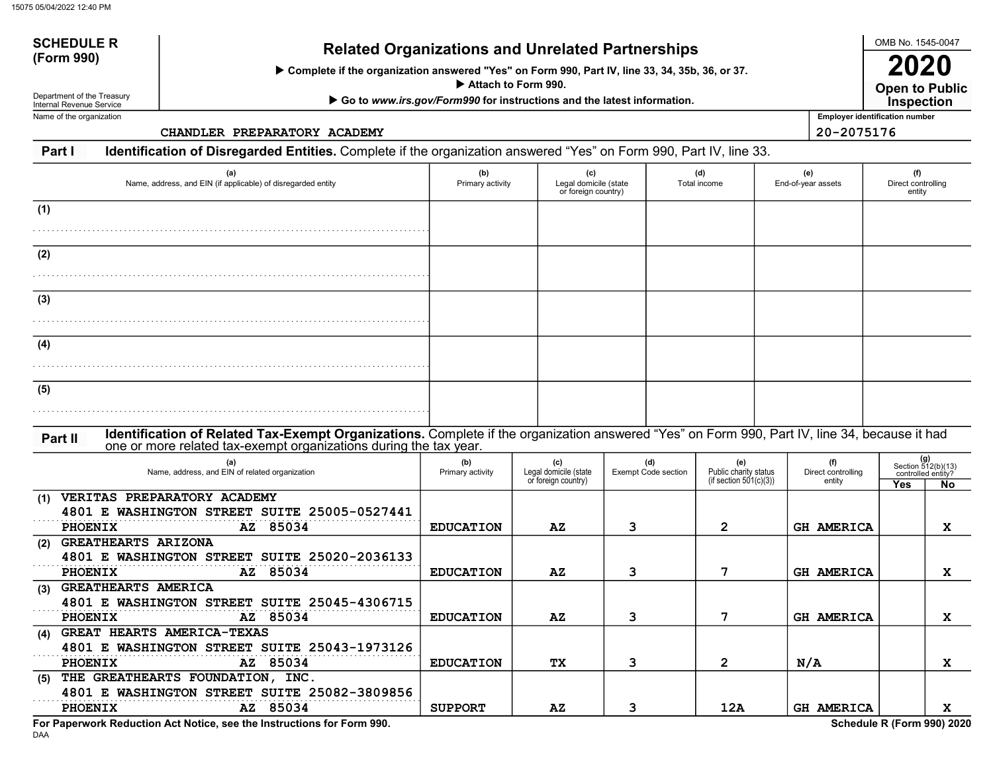# SCHEDULE Related Organizations and Unrelated Partnerships (Form 990)

Complete if the organization answered "Yes" on Form 990, Part IV, line 33, 34, 35b, 36, or 37.

Attach to Form 990.

▶ Go to www.irs.gov/Form990 for instructions and the latest information.

Department of the Treasury Internal Revenue Service Name of the organization

SCHEDULE R

CHANDLER PREPARATORY ACADEMY 20-2075176

Open to Public 2020 **Inspection** 

Employer identification number

Part I Identification of Disregarded Entities. Complete if the organization answered "Yes" on Form 990, Part IV, line 33.

| (a)<br>Name, address, and EIN (if applicable) of disregarded entity                                                                                                                                                           | (b)<br>Primary activity | (c)<br>Legal domicile (state<br>or foreign country) |                                   | (d)<br>Total income |                                                           | (e)<br>End-of-year assets           | (f)<br>Direct controlling<br>entity    |                                                                |
|-------------------------------------------------------------------------------------------------------------------------------------------------------------------------------------------------------------------------------|-------------------------|-----------------------------------------------------|-----------------------------------|---------------------|-----------------------------------------------------------|-------------------------------------|----------------------------------------|----------------------------------------------------------------|
| (1)                                                                                                                                                                                                                           |                         |                                                     |                                   |                     |                                                           |                                     |                                        |                                                                |
| (2)                                                                                                                                                                                                                           |                         |                                                     |                                   |                     |                                                           |                                     |                                        |                                                                |
| (3)                                                                                                                                                                                                                           |                         |                                                     |                                   |                     |                                                           |                                     |                                        |                                                                |
| (4)                                                                                                                                                                                                                           |                         |                                                     |                                   |                     |                                                           |                                     |                                        |                                                                |
| (5)                                                                                                                                                                                                                           |                         |                                                     |                                   |                     |                                                           |                                     |                                        |                                                                |
| Identification of Related Tax-Exempt Organizations. Complete if the organization answered "Yes" on Form 990, Part IV, line 34, because it had<br>Part II<br>one or more related tax-exempt organizations during the tax year. |                         |                                                     |                                   |                     |                                                           |                                     |                                        |                                                                |
| (a)<br>Name, address, and EIN of related organization                                                                                                                                                                         | (b)<br>Primary activity | (c)<br>Legal domicile (state<br>or foreign country) | (d)<br><b>Exempt Code section</b> |                     | (e)<br>Public charity status<br>(if section $501(c)(3)$ ) | (f)<br>Direct controlling<br>entity | Yes                                    | $(g)$<br>Section 512(b)(13)<br>controlled entity?<br><b>No</b> |
| VERITAS PREPARATORY ACADEMY<br>(1)<br>4801 E WASHINGTON STREET SUITE 25005-0527441<br>PHOENIX<br>AZ 85034                                                                                                                     | <b>EDUCATION</b>        | $\mathbf{A} \mathbf{Z}$                             | 3                                 |                     | $\overline{2}$                                            | <b>GH AMERICA</b>                   |                                        | $\mathbf{x}$                                                   |
| (2) GREATHEARTS ARIZONA<br>4801 E WASHINGTON STREET SUITE 25020-2036133<br><b>PHOENIX</b><br>AZ 85034                                                                                                                         | <b>EDUCATION</b>        | AZ                                                  | 3                                 |                     | 7                                                         | <b>GH AMERICA</b>                   |                                        | $\mathbf{x}$                                                   |
| (3) GREATHEARTS AMERICA<br>4801 E WASHINGTON STREET SUITE 25045-4306715<br>AZ 85034<br><b>PHOENIX</b>                                                                                                                         | <b>EDUCATION</b>        | $\mathbf{A} \mathbf{Z}$                             | 3                                 |                     | 7                                                         | <b>GH AMERICA</b>                   |                                        | $\mathbf{x}$                                                   |
| (4) GREAT HEARTS AMERICA-TEXAS<br>4801 E WASHINGTON STREET SUITE 25043-1973126<br>AZ 85034<br>PHOENIX                                                                                                                         | <b>EDUCATION</b>        | <b>TX</b>                                           | 3                                 |                     | $\overline{2}$                                            | N/A                                 |                                        | X                                                              |
| (5) THE GREATHEARTS FOUNDATION, INC.<br>4801 E WASHINGTON STREET SUITE 25082-3809856<br>AZ 85034<br><b>PHOENIX</b><br>Pau Banancial: Badication, Ant Nation, and the Instrumetions for Parm 000.                              | <b>SUPPORT</b>          | $\mathbf{A} \mathbf{Z}$                             | 3                                 |                     | 12A                                                       | GH AMERICA<br>$0 - L$               | $d_{\text{min}} = 5.05 \times 10^{10}$ | x                                                              |

DAA For Paperwork Reduction Act Notice, see the Instructions for Form 990. Schedule R (Form 990) 2020

OMB No. 1545-0047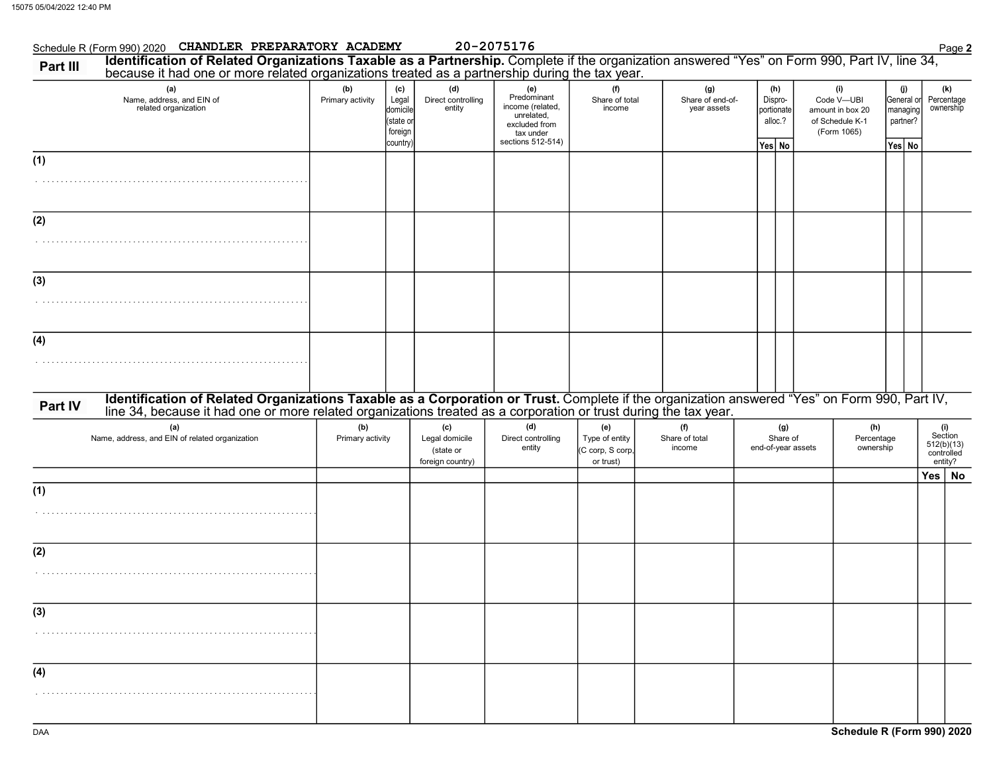|          | Schedule R (Form 990) 2020 CHANDLER PREPARATORY ACADEMY                                                                                                                                                                        |                         |                                                             |                                                        | 20-2075176                                                                                              |                                                        |                                        |                                                   |                                                                         |                                                     | Page 2                                                |
|----------|--------------------------------------------------------------------------------------------------------------------------------------------------------------------------------------------------------------------------------|-------------------------|-------------------------------------------------------------|--------------------------------------------------------|---------------------------------------------------------------------------------------------------------|--------------------------------------------------------|----------------------------------------|---------------------------------------------------|-------------------------------------------------------------------------|-----------------------------------------------------|-------------------------------------------------------|
| Part III | Identification of Related Organizations Taxable as a Partnership. Complete if the organization answered "Yes" on Form 990, Part IV, line 34, because it had one or more related organizations treated as a partnership during  |                         |                                                             |                                                        |                                                                                                         |                                                        |                                        |                                                   |                                                                         |                                                     |                                                       |
|          | (a)<br>Name, address, and EIN of<br>related organization                                                                                                                                                                       | (b)<br>Primary activity | (c)<br>Legal<br>domicile<br>(state or<br>foreign<br>country | (d)<br>Direct controlling<br>entity                    | (e)<br>Predominant<br>income (related,<br>unrelated,<br>excluded from<br>tax under<br>sections 512-514) | (f)<br>Share of total<br>income                        | (g)<br>Share of end-of-<br>year assets | (h)<br>Dispro-<br>portionate<br>alloc.?<br>Yes No | (i)<br>Code V-UBI<br>amount in box 20<br>of Schedule K-1<br>(Form 1065) | (j)<br>General or<br>managing<br>partner?<br>Yes No | (k)<br>Percentage<br>ownership                        |
| (1)      |                                                                                                                                                                                                                                |                         |                                                             |                                                        |                                                                                                         |                                                        |                                        |                                                   |                                                                         |                                                     |                                                       |
| (2)      |                                                                                                                                                                                                                                |                         |                                                             |                                                        |                                                                                                         |                                                        |                                        |                                                   |                                                                         |                                                     |                                                       |
| (3)      |                                                                                                                                                                                                                                |                         |                                                             |                                                        |                                                                                                         |                                                        |                                        |                                                   |                                                                         |                                                     |                                                       |
| (4)      |                                                                                                                                                                                                                                |                         |                                                             |                                                        |                                                                                                         |                                                        |                                        |                                                   |                                                                         |                                                     |                                                       |
| Part IV  | Identification of Related Organizations Taxable as a Corporation or Trust. Complete if the organization answered "Yes" on Form 990, Part IV, line 34, because it had one or more related organizations treated as a corporatio |                         |                                                             |                                                        |                                                                                                         |                                                        |                                        |                                                   |                                                                         |                                                     |                                                       |
|          | (a)<br>Name, address, and EIN of related organization                                                                                                                                                                          | (b)<br>Primary activity |                                                             | (c)<br>Legal domicile<br>(state or<br>foreign country) | (d)<br>Direct controlling<br>entity                                                                     | (e)<br>Type of entity<br>(C corp, S corp,<br>or trust) | (f)<br>Share of total<br>income        | (g)<br>Share of<br>end-of-year assets             | (h)<br>Percentage<br>ownership                                          |                                                     | (i)<br>Section<br>512(b)(13)<br>controlled<br>entity? |
| (1)      |                                                                                                                                                                                                                                |                         |                                                             |                                                        |                                                                                                         |                                                        |                                        |                                                   |                                                                         |                                                     | Yes   No                                              |
| (2)      |                                                                                                                                                                                                                                |                         |                                                             |                                                        |                                                                                                         |                                                        |                                        |                                                   |                                                                         |                                                     |                                                       |
| (3)      |                                                                                                                                                                                                                                |                         |                                                             |                                                        |                                                                                                         |                                                        |                                        |                                                   |                                                                         |                                                     |                                                       |
| (4)      |                                                                                                                                                                                                                                |                         |                                                             |                                                        |                                                                                                         |                                                        |                                        |                                                   |                                                                         |                                                     |                                                       |
|          |                                                                                                                                                                                                                                |                         |                                                             |                                                        |                                                                                                         |                                                        |                                        |                                                   |                                                                         |                                                     |                                                       |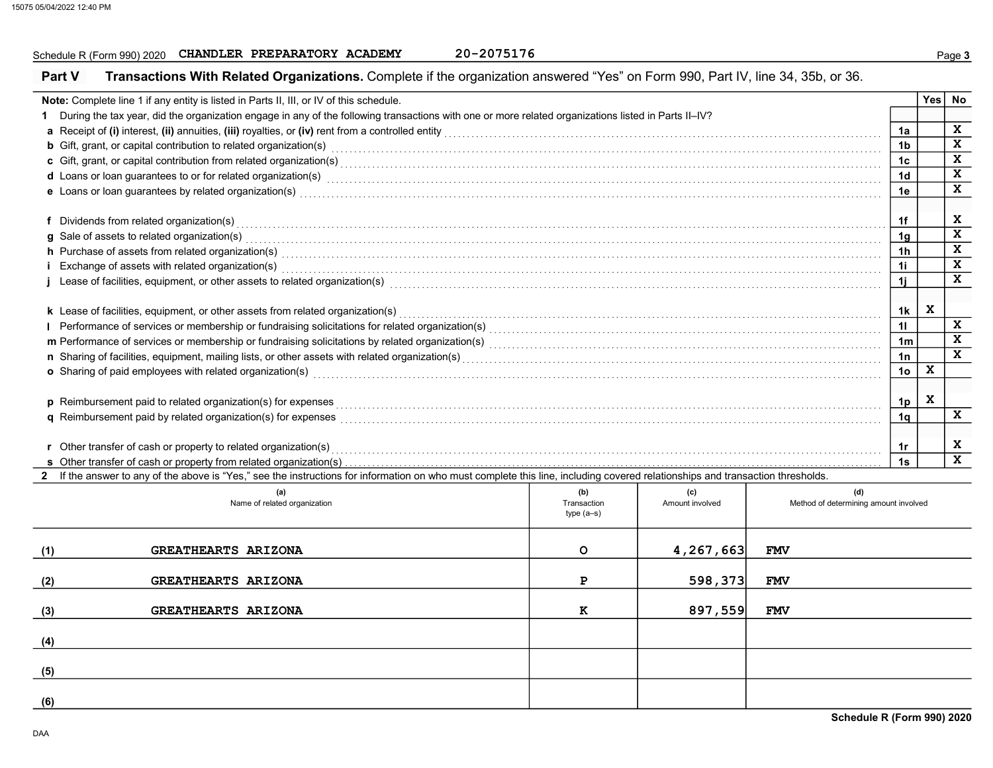## Schedule R (Form 990) 2020 CHANDLER PREPARATORY ACADEMY 20-2075176

| <b>Yes</b><br>Note: Complete line 1 if any entity is listed in Parts II, III, or IV of this schedule.<br>No<br>1 During the tax year, did the organization engage in any of the following transactions with one or more related organizations listed in Parts II-IV?<br>x<br>1a<br>x<br><b>b</b> Gift, grant, or capital contribution to related organization(s) encourance contained and contained a series of the set of the set of the set of the set of the set of the set of the set of the set of the set of the set<br>1 <sub>b</sub><br>$\mathbf{x}$<br>c Gift, grant, or capital contribution from related organization(s) encourance contained and contained and contribution from related organization(s) encourance contained and contribution from related organization(s)<br>1c<br>$\mathbf x$<br>d Loans or loan guarantees to or for related organization(s)<br>interaction contract to contract the contraction of the contract or contract to contract the contract or contract or contract to contract the contract or contra<br>1 <sub>d</sub><br>$\mathbf{x}$<br>e Loans or loan guarantees by related organization(s)<br>1e<br>x<br>f Dividends from related organization(s) encourance contains and contained a series of the Dividends from related organization(s) and contains a series of the Dividends from related organization(s) and contains a series of<br>1f<br>$\mathbf{x}$<br>1 <sub>q</sub><br>$\overline{\mathbf{x}}$<br>h Purchase of assets from related organization(s) encourance contains and contains a container and container and container and container and container and container and container and container and container and container a<br>1 <sub>h</sub><br>$\mathbf{x}$<br>11<br>i Exchange of assets with related organization(s) with an according to the control of the control of the control or control or control or control or control or control or control or control or control or control or control<br>X<br>i Lease of facilities, equipment, or other assets to related organization(s) enconverse contained accommodal contained and facilities, equipment, or other assets to related organization(s) enconverse contained accommodal t<br>1j<br>$\mathbf x$<br>k Lease of facilities, equipment, or other assets from related organization(s)<br>1k<br>$\mathbf x$<br>11<br>X<br>1 <sub>m</sub><br>$\mathbf{x}$<br>1n<br>X<br>o Sharing of paid employees with related organization(s)<br>interaction contains the content content content content content content content content of the content of the content of the content of the content of the content<br>10 <sup>1</sup><br>X<br>p Reimbursement paid to related organization(s) for expenses <i>commences and commences are commences are commences are commences are commences are commences are commenced and the set of <math>\sim</math></i><br>1p<br>x<br>1 <sub>q</sub><br>x<br><b>r</b> Other transfer of cash or property to related organization(s)<br>1r<br>$\mathbf{x}$<br>1s<br>s Other transfer of cash or property from related organization(s)<br>2 If the answer to any of the above is "Yes," see the instructions for information on who must complete this line, including covered relationships and transaction thresholds.<br>(a)<br>(b)<br>(d)<br>(c)<br>Method of determining amount involved<br>Name of related organization<br>Transaction<br>Amount involved<br>type $(a-s)$<br>4,267,663<br>GREATHEARTS ARIZONA<br>$\circ$<br><b>FMV</b><br>598,373<br>GREATHEARTS ARIZONA<br>Ρ<br><b>FMV</b><br><b>GREATHEARTS ARIZONA</b><br>897,559<br>(3)<br>к<br><b>FMV</b> | <b>Part V</b> | Transactions With Related Organizations. Complete if the organization answered "Yes" on Form 990, Part IV, line 34, 35b, or 36. |  |  |  |
|------------------------------------------------------------------------------------------------------------------------------------------------------------------------------------------------------------------------------------------------------------------------------------------------------------------------------------------------------------------------------------------------------------------------------------------------------------------------------------------------------------------------------------------------------------------------------------------------------------------------------------------------------------------------------------------------------------------------------------------------------------------------------------------------------------------------------------------------------------------------------------------------------------------------------------------------------------------------------------------------------------------------------------------------------------------------------------------------------------------------------------------------------------------------------------------------------------------------------------------------------------------------------------------------------------------------------------------------------------------------------------------------------------------------------------------------------------------------------------------------------------------------------------------------------------------------------------------------------------------------------------------------------------------------------------------------------------------------------------------------------------------------------------------------------------------------------------------------------------------------------------------------------------------------------------------------------------------------------------------------------------------------------------------------------------------------------------------------------------------------------------------------------------------------------------------------------------------------------------------------------------------------------------------------------------------------------------------------------------------------------------------------------------------------------------------------------------------------------------------------------------------------------------------------------------------------------------------------------------------------------------------------------------------------------------------------------------------------------------------------------------------------------------------------------------------------------------------------------------------------------------------------------------------------------------------------------------------------------------------------------------------------------------------------------------------------------------------------------------------------------------------------------------------------------------------------------------------------------------------------------------------------------------------------------------------------------------------------------------------------------------------------------------------------------------------------------------------------------------------------------------------------------------------------------------------------------------------------------------------------------|---------------|---------------------------------------------------------------------------------------------------------------------------------|--|--|--|
|                                                                                                                                                                                                                                                                                                                                                                                                                                                                                                                                                                                                                                                                                                                                                                                                                                                                                                                                                                                                                                                                                                                                                                                                                                                                                                                                                                                                                                                                                                                                                                                                                                                                                                                                                                                                                                                                                                                                                                                                                                                                                                                                                                                                                                                                                                                                                                                                                                                                                                                                                                                                                                                                                                                                                                                                                                                                                                                                                                                                                                                                                                                                                                                                                                                                                                                                                                                                                                                                                                                                                                                                                              |               |                                                                                                                                 |  |  |  |
|                                                                                                                                                                                                                                                                                                                                                                                                                                                                                                                                                                                                                                                                                                                                                                                                                                                                                                                                                                                                                                                                                                                                                                                                                                                                                                                                                                                                                                                                                                                                                                                                                                                                                                                                                                                                                                                                                                                                                                                                                                                                                                                                                                                                                                                                                                                                                                                                                                                                                                                                                                                                                                                                                                                                                                                                                                                                                                                                                                                                                                                                                                                                                                                                                                                                                                                                                                                                                                                                                                                                                                                                                              |               |                                                                                                                                 |  |  |  |
|                                                                                                                                                                                                                                                                                                                                                                                                                                                                                                                                                                                                                                                                                                                                                                                                                                                                                                                                                                                                                                                                                                                                                                                                                                                                                                                                                                                                                                                                                                                                                                                                                                                                                                                                                                                                                                                                                                                                                                                                                                                                                                                                                                                                                                                                                                                                                                                                                                                                                                                                                                                                                                                                                                                                                                                                                                                                                                                                                                                                                                                                                                                                                                                                                                                                                                                                                                                                                                                                                                                                                                                                                              |               |                                                                                                                                 |  |  |  |
|                                                                                                                                                                                                                                                                                                                                                                                                                                                                                                                                                                                                                                                                                                                                                                                                                                                                                                                                                                                                                                                                                                                                                                                                                                                                                                                                                                                                                                                                                                                                                                                                                                                                                                                                                                                                                                                                                                                                                                                                                                                                                                                                                                                                                                                                                                                                                                                                                                                                                                                                                                                                                                                                                                                                                                                                                                                                                                                                                                                                                                                                                                                                                                                                                                                                                                                                                                                                                                                                                                                                                                                                                              |               |                                                                                                                                 |  |  |  |
|                                                                                                                                                                                                                                                                                                                                                                                                                                                                                                                                                                                                                                                                                                                                                                                                                                                                                                                                                                                                                                                                                                                                                                                                                                                                                                                                                                                                                                                                                                                                                                                                                                                                                                                                                                                                                                                                                                                                                                                                                                                                                                                                                                                                                                                                                                                                                                                                                                                                                                                                                                                                                                                                                                                                                                                                                                                                                                                                                                                                                                                                                                                                                                                                                                                                                                                                                                                                                                                                                                                                                                                                                              |               |                                                                                                                                 |  |  |  |
|                                                                                                                                                                                                                                                                                                                                                                                                                                                                                                                                                                                                                                                                                                                                                                                                                                                                                                                                                                                                                                                                                                                                                                                                                                                                                                                                                                                                                                                                                                                                                                                                                                                                                                                                                                                                                                                                                                                                                                                                                                                                                                                                                                                                                                                                                                                                                                                                                                                                                                                                                                                                                                                                                                                                                                                                                                                                                                                                                                                                                                                                                                                                                                                                                                                                                                                                                                                                                                                                                                                                                                                                                              |               |                                                                                                                                 |  |  |  |
|                                                                                                                                                                                                                                                                                                                                                                                                                                                                                                                                                                                                                                                                                                                                                                                                                                                                                                                                                                                                                                                                                                                                                                                                                                                                                                                                                                                                                                                                                                                                                                                                                                                                                                                                                                                                                                                                                                                                                                                                                                                                                                                                                                                                                                                                                                                                                                                                                                                                                                                                                                                                                                                                                                                                                                                                                                                                                                                                                                                                                                                                                                                                                                                                                                                                                                                                                                                                                                                                                                                                                                                                                              |               |                                                                                                                                 |  |  |  |
|                                                                                                                                                                                                                                                                                                                                                                                                                                                                                                                                                                                                                                                                                                                                                                                                                                                                                                                                                                                                                                                                                                                                                                                                                                                                                                                                                                                                                                                                                                                                                                                                                                                                                                                                                                                                                                                                                                                                                                                                                                                                                                                                                                                                                                                                                                                                                                                                                                                                                                                                                                                                                                                                                                                                                                                                                                                                                                                                                                                                                                                                                                                                                                                                                                                                                                                                                                                                                                                                                                                                                                                                                              |               |                                                                                                                                 |  |  |  |
|                                                                                                                                                                                                                                                                                                                                                                                                                                                                                                                                                                                                                                                                                                                                                                                                                                                                                                                                                                                                                                                                                                                                                                                                                                                                                                                                                                                                                                                                                                                                                                                                                                                                                                                                                                                                                                                                                                                                                                                                                                                                                                                                                                                                                                                                                                                                                                                                                                                                                                                                                                                                                                                                                                                                                                                                                                                                                                                                                                                                                                                                                                                                                                                                                                                                                                                                                                                                                                                                                                                                                                                                                              |               |                                                                                                                                 |  |  |  |
|                                                                                                                                                                                                                                                                                                                                                                                                                                                                                                                                                                                                                                                                                                                                                                                                                                                                                                                                                                                                                                                                                                                                                                                                                                                                                                                                                                                                                                                                                                                                                                                                                                                                                                                                                                                                                                                                                                                                                                                                                                                                                                                                                                                                                                                                                                                                                                                                                                                                                                                                                                                                                                                                                                                                                                                                                                                                                                                                                                                                                                                                                                                                                                                                                                                                                                                                                                                                                                                                                                                                                                                                                              |               |                                                                                                                                 |  |  |  |
|                                                                                                                                                                                                                                                                                                                                                                                                                                                                                                                                                                                                                                                                                                                                                                                                                                                                                                                                                                                                                                                                                                                                                                                                                                                                                                                                                                                                                                                                                                                                                                                                                                                                                                                                                                                                                                                                                                                                                                                                                                                                                                                                                                                                                                                                                                                                                                                                                                                                                                                                                                                                                                                                                                                                                                                                                                                                                                                                                                                                                                                                                                                                                                                                                                                                                                                                                                                                                                                                                                                                                                                                                              |               |                                                                                                                                 |  |  |  |
|                                                                                                                                                                                                                                                                                                                                                                                                                                                                                                                                                                                                                                                                                                                                                                                                                                                                                                                                                                                                                                                                                                                                                                                                                                                                                                                                                                                                                                                                                                                                                                                                                                                                                                                                                                                                                                                                                                                                                                                                                                                                                                                                                                                                                                                                                                                                                                                                                                                                                                                                                                                                                                                                                                                                                                                                                                                                                                                                                                                                                                                                                                                                                                                                                                                                                                                                                                                                                                                                                                                                                                                                                              |               |                                                                                                                                 |  |  |  |
|                                                                                                                                                                                                                                                                                                                                                                                                                                                                                                                                                                                                                                                                                                                                                                                                                                                                                                                                                                                                                                                                                                                                                                                                                                                                                                                                                                                                                                                                                                                                                                                                                                                                                                                                                                                                                                                                                                                                                                                                                                                                                                                                                                                                                                                                                                                                                                                                                                                                                                                                                                                                                                                                                                                                                                                                                                                                                                                                                                                                                                                                                                                                                                                                                                                                                                                                                                                                                                                                                                                                                                                                                              |               |                                                                                                                                 |  |  |  |
|                                                                                                                                                                                                                                                                                                                                                                                                                                                                                                                                                                                                                                                                                                                                                                                                                                                                                                                                                                                                                                                                                                                                                                                                                                                                                                                                                                                                                                                                                                                                                                                                                                                                                                                                                                                                                                                                                                                                                                                                                                                                                                                                                                                                                                                                                                                                                                                                                                                                                                                                                                                                                                                                                                                                                                                                                                                                                                                                                                                                                                                                                                                                                                                                                                                                                                                                                                                                                                                                                                                                                                                                                              |               |                                                                                                                                 |  |  |  |
|                                                                                                                                                                                                                                                                                                                                                                                                                                                                                                                                                                                                                                                                                                                                                                                                                                                                                                                                                                                                                                                                                                                                                                                                                                                                                                                                                                                                                                                                                                                                                                                                                                                                                                                                                                                                                                                                                                                                                                                                                                                                                                                                                                                                                                                                                                                                                                                                                                                                                                                                                                                                                                                                                                                                                                                                                                                                                                                                                                                                                                                                                                                                                                                                                                                                                                                                                                                                                                                                                                                                                                                                                              |               |                                                                                                                                 |  |  |  |
|                                                                                                                                                                                                                                                                                                                                                                                                                                                                                                                                                                                                                                                                                                                                                                                                                                                                                                                                                                                                                                                                                                                                                                                                                                                                                                                                                                                                                                                                                                                                                                                                                                                                                                                                                                                                                                                                                                                                                                                                                                                                                                                                                                                                                                                                                                                                                                                                                                                                                                                                                                                                                                                                                                                                                                                                                                                                                                                                                                                                                                                                                                                                                                                                                                                                                                                                                                                                                                                                                                                                                                                                                              |               |                                                                                                                                 |  |  |  |
|                                                                                                                                                                                                                                                                                                                                                                                                                                                                                                                                                                                                                                                                                                                                                                                                                                                                                                                                                                                                                                                                                                                                                                                                                                                                                                                                                                                                                                                                                                                                                                                                                                                                                                                                                                                                                                                                                                                                                                                                                                                                                                                                                                                                                                                                                                                                                                                                                                                                                                                                                                                                                                                                                                                                                                                                                                                                                                                                                                                                                                                                                                                                                                                                                                                                                                                                                                                                                                                                                                                                                                                                                              |               |                                                                                                                                 |  |  |  |
|                                                                                                                                                                                                                                                                                                                                                                                                                                                                                                                                                                                                                                                                                                                                                                                                                                                                                                                                                                                                                                                                                                                                                                                                                                                                                                                                                                                                                                                                                                                                                                                                                                                                                                                                                                                                                                                                                                                                                                                                                                                                                                                                                                                                                                                                                                                                                                                                                                                                                                                                                                                                                                                                                                                                                                                                                                                                                                                                                                                                                                                                                                                                                                                                                                                                                                                                                                                                                                                                                                                                                                                                                              |               |                                                                                                                                 |  |  |  |
|                                                                                                                                                                                                                                                                                                                                                                                                                                                                                                                                                                                                                                                                                                                                                                                                                                                                                                                                                                                                                                                                                                                                                                                                                                                                                                                                                                                                                                                                                                                                                                                                                                                                                                                                                                                                                                                                                                                                                                                                                                                                                                                                                                                                                                                                                                                                                                                                                                                                                                                                                                                                                                                                                                                                                                                                                                                                                                                                                                                                                                                                                                                                                                                                                                                                                                                                                                                                                                                                                                                                                                                                                              |               |                                                                                                                                 |  |  |  |
|                                                                                                                                                                                                                                                                                                                                                                                                                                                                                                                                                                                                                                                                                                                                                                                                                                                                                                                                                                                                                                                                                                                                                                                                                                                                                                                                                                                                                                                                                                                                                                                                                                                                                                                                                                                                                                                                                                                                                                                                                                                                                                                                                                                                                                                                                                                                                                                                                                                                                                                                                                                                                                                                                                                                                                                                                                                                                                                                                                                                                                                                                                                                                                                                                                                                                                                                                                                                                                                                                                                                                                                                                              |               |                                                                                                                                 |  |  |  |
|                                                                                                                                                                                                                                                                                                                                                                                                                                                                                                                                                                                                                                                                                                                                                                                                                                                                                                                                                                                                                                                                                                                                                                                                                                                                                                                                                                                                                                                                                                                                                                                                                                                                                                                                                                                                                                                                                                                                                                                                                                                                                                                                                                                                                                                                                                                                                                                                                                                                                                                                                                                                                                                                                                                                                                                                                                                                                                                                                                                                                                                                                                                                                                                                                                                                                                                                                                                                                                                                                                                                                                                                                              |               |                                                                                                                                 |  |  |  |
|                                                                                                                                                                                                                                                                                                                                                                                                                                                                                                                                                                                                                                                                                                                                                                                                                                                                                                                                                                                                                                                                                                                                                                                                                                                                                                                                                                                                                                                                                                                                                                                                                                                                                                                                                                                                                                                                                                                                                                                                                                                                                                                                                                                                                                                                                                                                                                                                                                                                                                                                                                                                                                                                                                                                                                                                                                                                                                                                                                                                                                                                                                                                                                                                                                                                                                                                                                                                                                                                                                                                                                                                                              |               |                                                                                                                                 |  |  |  |
|                                                                                                                                                                                                                                                                                                                                                                                                                                                                                                                                                                                                                                                                                                                                                                                                                                                                                                                                                                                                                                                                                                                                                                                                                                                                                                                                                                                                                                                                                                                                                                                                                                                                                                                                                                                                                                                                                                                                                                                                                                                                                                                                                                                                                                                                                                                                                                                                                                                                                                                                                                                                                                                                                                                                                                                                                                                                                                                                                                                                                                                                                                                                                                                                                                                                                                                                                                                                                                                                                                                                                                                                                              |               |                                                                                                                                 |  |  |  |
|                                                                                                                                                                                                                                                                                                                                                                                                                                                                                                                                                                                                                                                                                                                                                                                                                                                                                                                                                                                                                                                                                                                                                                                                                                                                                                                                                                                                                                                                                                                                                                                                                                                                                                                                                                                                                                                                                                                                                                                                                                                                                                                                                                                                                                                                                                                                                                                                                                                                                                                                                                                                                                                                                                                                                                                                                                                                                                                                                                                                                                                                                                                                                                                                                                                                                                                                                                                                                                                                                                                                                                                                                              |               |                                                                                                                                 |  |  |  |
|                                                                                                                                                                                                                                                                                                                                                                                                                                                                                                                                                                                                                                                                                                                                                                                                                                                                                                                                                                                                                                                                                                                                                                                                                                                                                                                                                                                                                                                                                                                                                                                                                                                                                                                                                                                                                                                                                                                                                                                                                                                                                                                                                                                                                                                                                                                                                                                                                                                                                                                                                                                                                                                                                                                                                                                                                                                                                                                                                                                                                                                                                                                                                                                                                                                                                                                                                                                                                                                                                                                                                                                                                              |               |                                                                                                                                 |  |  |  |
|                                                                                                                                                                                                                                                                                                                                                                                                                                                                                                                                                                                                                                                                                                                                                                                                                                                                                                                                                                                                                                                                                                                                                                                                                                                                                                                                                                                                                                                                                                                                                                                                                                                                                                                                                                                                                                                                                                                                                                                                                                                                                                                                                                                                                                                                                                                                                                                                                                                                                                                                                                                                                                                                                                                                                                                                                                                                                                                                                                                                                                                                                                                                                                                                                                                                                                                                                                                                                                                                                                                                                                                                                              |               |                                                                                                                                 |  |  |  |
|                                                                                                                                                                                                                                                                                                                                                                                                                                                                                                                                                                                                                                                                                                                                                                                                                                                                                                                                                                                                                                                                                                                                                                                                                                                                                                                                                                                                                                                                                                                                                                                                                                                                                                                                                                                                                                                                                                                                                                                                                                                                                                                                                                                                                                                                                                                                                                                                                                                                                                                                                                                                                                                                                                                                                                                                                                                                                                                                                                                                                                                                                                                                                                                                                                                                                                                                                                                                                                                                                                                                                                                                                              |               |                                                                                                                                 |  |  |  |
|                                                                                                                                                                                                                                                                                                                                                                                                                                                                                                                                                                                                                                                                                                                                                                                                                                                                                                                                                                                                                                                                                                                                                                                                                                                                                                                                                                                                                                                                                                                                                                                                                                                                                                                                                                                                                                                                                                                                                                                                                                                                                                                                                                                                                                                                                                                                                                                                                                                                                                                                                                                                                                                                                                                                                                                                                                                                                                                                                                                                                                                                                                                                                                                                                                                                                                                                                                                                                                                                                                                                                                                                                              |               |                                                                                                                                 |  |  |  |
|                                                                                                                                                                                                                                                                                                                                                                                                                                                                                                                                                                                                                                                                                                                                                                                                                                                                                                                                                                                                                                                                                                                                                                                                                                                                                                                                                                                                                                                                                                                                                                                                                                                                                                                                                                                                                                                                                                                                                                                                                                                                                                                                                                                                                                                                                                                                                                                                                                                                                                                                                                                                                                                                                                                                                                                                                                                                                                                                                                                                                                                                                                                                                                                                                                                                                                                                                                                                                                                                                                                                                                                                                              |               |                                                                                                                                 |  |  |  |
|                                                                                                                                                                                                                                                                                                                                                                                                                                                                                                                                                                                                                                                                                                                                                                                                                                                                                                                                                                                                                                                                                                                                                                                                                                                                                                                                                                                                                                                                                                                                                                                                                                                                                                                                                                                                                                                                                                                                                                                                                                                                                                                                                                                                                                                                                                                                                                                                                                                                                                                                                                                                                                                                                                                                                                                                                                                                                                                                                                                                                                                                                                                                                                                                                                                                                                                                                                                                                                                                                                                                                                                                                              |               |                                                                                                                                 |  |  |  |
|                                                                                                                                                                                                                                                                                                                                                                                                                                                                                                                                                                                                                                                                                                                                                                                                                                                                                                                                                                                                                                                                                                                                                                                                                                                                                                                                                                                                                                                                                                                                                                                                                                                                                                                                                                                                                                                                                                                                                                                                                                                                                                                                                                                                                                                                                                                                                                                                                                                                                                                                                                                                                                                                                                                                                                                                                                                                                                                                                                                                                                                                                                                                                                                                                                                                                                                                                                                                                                                                                                                                                                                                                              | (1)           |                                                                                                                                 |  |  |  |
|                                                                                                                                                                                                                                                                                                                                                                                                                                                                                                                                                                                                                                                                                                                                                                                                                                                                                                                                                                                                                                                                                                                                                                                                                                                                                                                                                                                                                                                                                                                                                                                                                                                                                                                                                                                                                                                                                                                                                                                                                                                                                                                                                                                                                                                                                                                                                                                                                                                                                                                                                                                                                                                                                                                                                                                                                                                                                                                                                                                                                                                                                                                                                                                                                                                                                                                                                                                                                                                                                                                                                                                                                              |               |                                                                                                                                 |  |  |  |
|                                                                                                                                                                                                                                                                                                                                                                                                                                                                                                                                                                                                                                                                                                                                                                                                                                                                                                                                                                                                                                                                                                                                                                                                                                                                                                                                                                                                                                                                                                                                                                                                                                                                                                                                                                                                                                                                                                                                                                                                                                                                                                                                                                                                                                                                                                                                                                                                                                                                                                                                                                                                                                                                                                                                                                                                                                                                                                                                                                                                                                                                                                                                                                                                                                                                                                                                                                                                                                                                                                                                                                                                                              | (2)           |                                                                                                                                 |  |  |  |
|                                                                                                                                                                                                                                                                                                                                                                                                                                                                                                                                                                                                                                                                                                                                                                                                                                                                                                                                                                                                                                                                                                                                                                                                                                                                                                                                                                                                                                                                                                                                                                                                                                                                                                                                                                                                                                                                                                                                                                                                                                                                                                                                                                                                                                                                                                                                                                                                                                                                                                                                                                                                                                                                                                                                                                                                                                                                                                                                                                                                                                                                                                                                                                                                                                                                                                                                                                                                                                                                                                                                                                                                                              |               |                                                                                                                                 |  |  |  |
|                                                                                                                                                                                                                                                                                                                                                                                                                                                                                                                                                                                                                                                                                                                                                                                                                                                                                                                                                                                                                                                                                                                                                                                                                                                                                                                                                                                                                                                                                                                                                                                                                                                                                                                                                                                                                                                                                                                                                                                                                                                                                                                                                                                                                                                                                                                                                                                                                                                                                                                                                                                                                                                                                                                                                                                                                                                                                                                                                                                                                                                                                                                                                                                                                                                                                                                                                                                                                                                                                                                                                                                                                              |               |                                                                                                                                 |  |  |  |
|                                                                                                                                                                                                                                                                                                                                                                                                                                                                                                                                                                                                                                                                                                                                                                                                                                                                                                                                                                                                                                                                                                                                                                                                                                                                                                                                                                                                                                                                                                                                                                                                                                                                                                                                                                                                                                                                                                                                                                                                                                                                                                                                                                                                                                                                                                                                                                                                                                                                                                                                                                                                                                                                                                                                                                                                                                                                                                                                                                                                                                                                                                                                                                                                                                                                                                                                                                                                                                                                                                                                                                                                                              | (4)           |                                                                                                                                 |  |  |  |
|                                                                                                                                                                                                                                                                                                                                                                                                                                                                                                                                                                                                                                                                                                                                                                                                                                                                                                                                                                                                                                                                                                                                                                                                                                                                                                                                                                                                                                                                                                                                                                                                                                                                                                                                                                                                                                                                                                                                                                                                                                                                                                                                                                                                                                                                                                                                                                                                                                                                                                                                                                                                                                                                                                                                                                                                                                                                                                                                                                                                                                                                                                                                                                                                                                                                                                                                                                                                                                                                                                                                                                                                                              |               |                                                                                                                                 |  |  |  |
|                                                                                                                                                                                                                                                                                                                                                                                                                                                                                                                                                                                                                                                                                                                                                                                                                                                                                                                                                                                                                                                                                                                                                                                                                                                                                                                                                                                                                                                                                                                                                                                                                                                                                                                                                                                                                                                                                                                                                                                                                                                                                                                                                                                                                                                                                                                                                                                                                                                                                                                                                                                                                                                                                                                                                                                                                                                                                                                                                                                                                                                                                                                                                                                                                                                                                                                                                                                                                                                                                                                                                                                                                              | (5)           |                                                                                                                                 |  |  |  |
|                                                                                                                                                                                                                                                                                                                                                                                                                                                                                                                                                                                                                                                                                                                                                                                                                                                                                                                                                                                                                                                                                                                                                                                                                                                                                                                                                                                                                                                                                                                                                                                                                                                                                                                                                                                                                                                                                                                                                                                                                                                                                                                                                                                                                                                                                                                                                                                                                                                                                                                                                                                                                                                                                                                                                                                                                                                                                                                                                                                                                                                                                                                                                                                                                                                                                                                                                                                                                                                                                                                                                                                                                              | (6)           |                                                                                                                                 |  |  |  |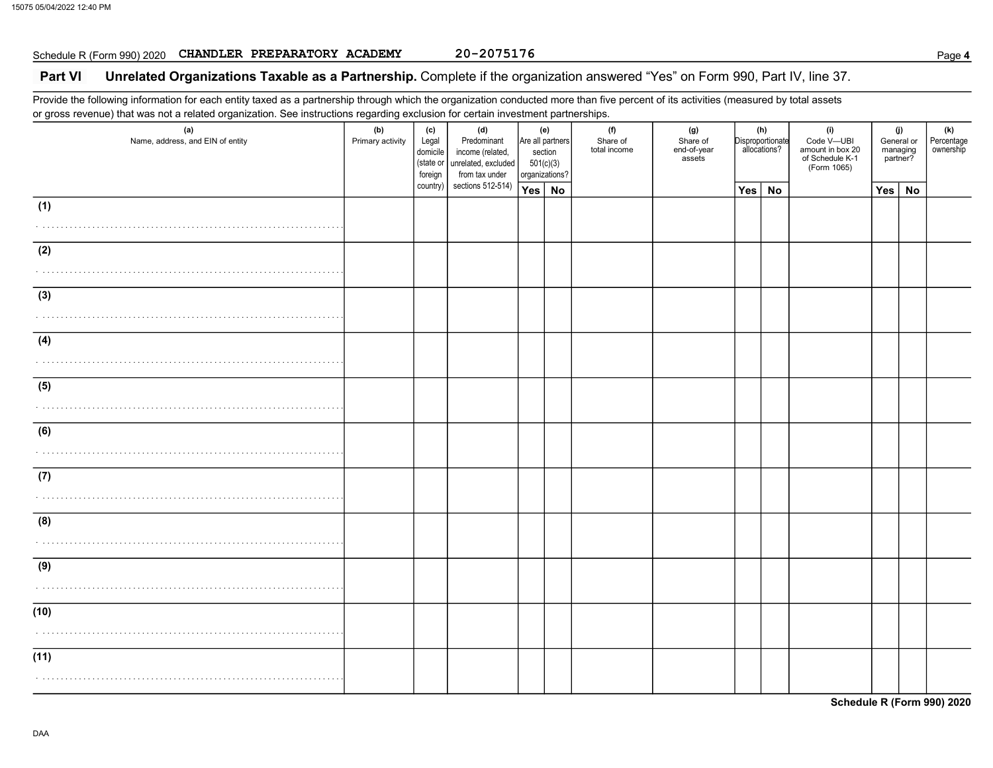## Schedule R (Form 990) 2020 CHANDLER PREPARATORY ACADEMY 20-2075176

## Part VI Unrelated Organizations Taxable as a Partnership. Complete if the organization answered "Yes" on Form 990, Part IV, line 37.

Provide the following information for each entity taxed as a partnership through which the organization conducted more than five percent of its activities (measured by total assets or gross revenue) that was not a related organization. See instructions regarding exclusion for certain investment partnerships.

| (a)<br>Name, address, and EIN of entity | - <del>ه</del><br>(b)<br>Primary activity | (c)<br>Legal<br>domicile<br>(state or<br>foreign | (d)<br>Predominant<br>income (related,<br>unrelated, excluded<br>from tax under | 501(c)(3)<br>organizations? | (e)<br>Are all partners<br>section | (f)<br>Share of<br>total income | (g)<br>Share of<br>end-of-year<br>assets |               | (h)<br>Disproportionate<br>allocations? | (i)<br>Code V-UBI<br>amount in box 20<br>of Schedule K-1<br>(Form 1065) | (j)<br>General or<br>managing<br>partner? |           | (k)<br>Percentage<br>ownership |
|-----------------------------------------|-------------------------------------------|--------------------------------------------------|---------------------------------------------------------------------------------|-----------------------------|------------------------------------|---------------------------------|------------------------------------------|---------------|-----------------------------------------|-------------------------------------------------------------------------|-------------------------------------------|-----------|--------------------------------|
|                                         |                                           | country)                                         | sections 512-514)                                                               | Yes   No                    |                                    |                                 |                                          | $Yes \mid No$ |                                         |                                                                         | Yes                                       | <b>No</b> |                                |
| (1)                                     |                                           |                                                  |                                                                                 |                             |                                    |                                 |                                          |               |                                         |                                                                         |                                           |           |                                |
| (2)<br>.                                |                                           |                                                  |                                                                                 |                             |                                    |                                 |                                          |               |                                         |                                                                         |                                           |           |                                |
| (3)                                     |                                           |                                                  |                                                                                 |                             |                                    |                                 |                                          |               |                                         |                                                                         |                                           |           |                                |
| (4)                                     |                                           |                                                  |                                                                                 |                             |                                    |                                 |                                          |               |                                         |                                                                         |                                           |           |                                |
| (5)                                     |                                           |                                                  |                                                                                 |                             |                                    |                                 |                                          |               |                                         |                                                                         |                                           |           |                                |
| (6)                                     |                                           |                                                  |                                                                                 |                             |                                    |                                 |                                          |               |                                         |                                                                         |                                           |           |                                |
| (7)                                     |                                           |                                                  |                                                                                 |                             |                                    |                                 |                                          |               |                                         |                                                                         |                                           |           |                                |
| (8)                                     |                                           |                                                  |                                                                                 |                             |                                    |                                 |                                          |               |                                         |                                                                         |                                           |           |                                |
| (9)                                     |                                           |                                                  |                                                                                 |                             |                                    |                                 |                                          |               |                                         |                                                                         |                                           |           |                                |
| (10)                                    |                                           |                                                  |                                                                                 |                             |                                    |                                 |                                          |               |                                         |                                                                         |                                           |           |                                |
| (11)                                    |                                           |                                                  |                                                                                 |                             |                                    |                                 |                                          |               |                                         |                                                                         |                                           |           |                                |

Schedule R (Form 990) 2020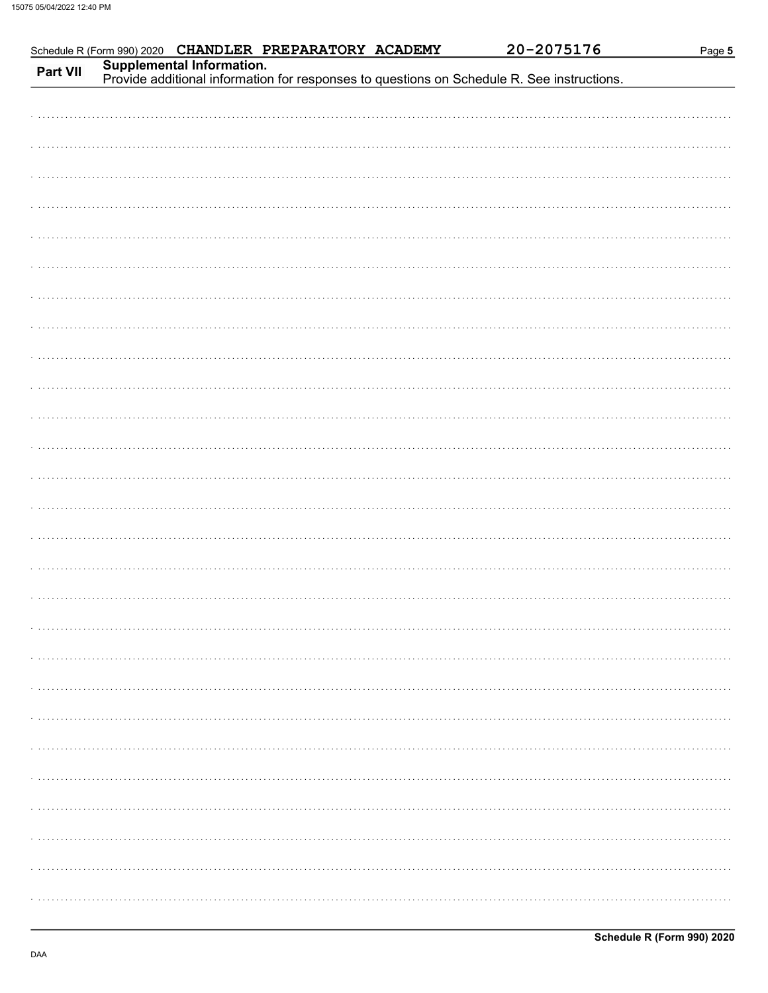| Part VII |  | Schedule R (Form 990) 2020 CHANDLER PREPARATORY ACADEMY |  | 20-2075176                                                                                                              | Page 5 |
|----------|--|---------------------------------------------------------|--|-------------------------------------------------------------------------------------------------------------------------|--------|
|          |  |                                                         |  | Supplemental Information.<br>Provide additional information for responses to questions on Schedule R. See instructions. |        |
|          |  |                                                         |  |                                                                                                                         |        |
|          |  |                                                         |  |                                                                                                                         |        |
|          |  |                                                         |  |                                                                                                                         |        |
|          |  |                                                         |  |                                                                                                                         |        |
|          |  |                                                         |  |                                                                                                                         |        |
|          |  |                                                         |  |                                                                                                                         |        |
|          |  |                                                         |  |                                                                                                                         |        |
|          |  |                                                         |  |                                                                                                                         |        |
|          |  |                                                         |  |                                                                                                                         |        |
|          |  |                                                         |  |                                                                                                                         |        |
|          |  |                                                         |  |                                                                                                                         |        |
|          |  |                                                         |  |                                                                                                                         |        |
|          |  |                                                         |  |                                                                                                                         |        |
|          |  |                                                         |  |                                                                                                                         |        |
|          |  |                                                         |  |                                                                                                                         |        |
|          |  |                                                         |  |                                                                                                                         |        |
|          |  |                                                         |  |                                                                                                                         |        |
|          |  |                                                         |  |                                                                                                                         |        |
|          |  |                                                         |  |                                                                                                                         |        |
|          |  |                                                         |  |                                                                                                                         |        |
|          |  |                                                         |  |                                                                                                                         |        |
|          |  |                                                         |  |                                                                                                                         |        |
|          |  |                                                         |  |                                                                                                                         |        |
|          |  |                                                         |  |                                                                                                                         |        |
|          |  |                                                         |  |                                                                                                                         |        |
|          |  |                                                         |  |                                                                                                                         |        |
|          |  |                                                         |  |                                                                                                                         |        |
|          |  |                                                         |  |                                                                                                                         |        |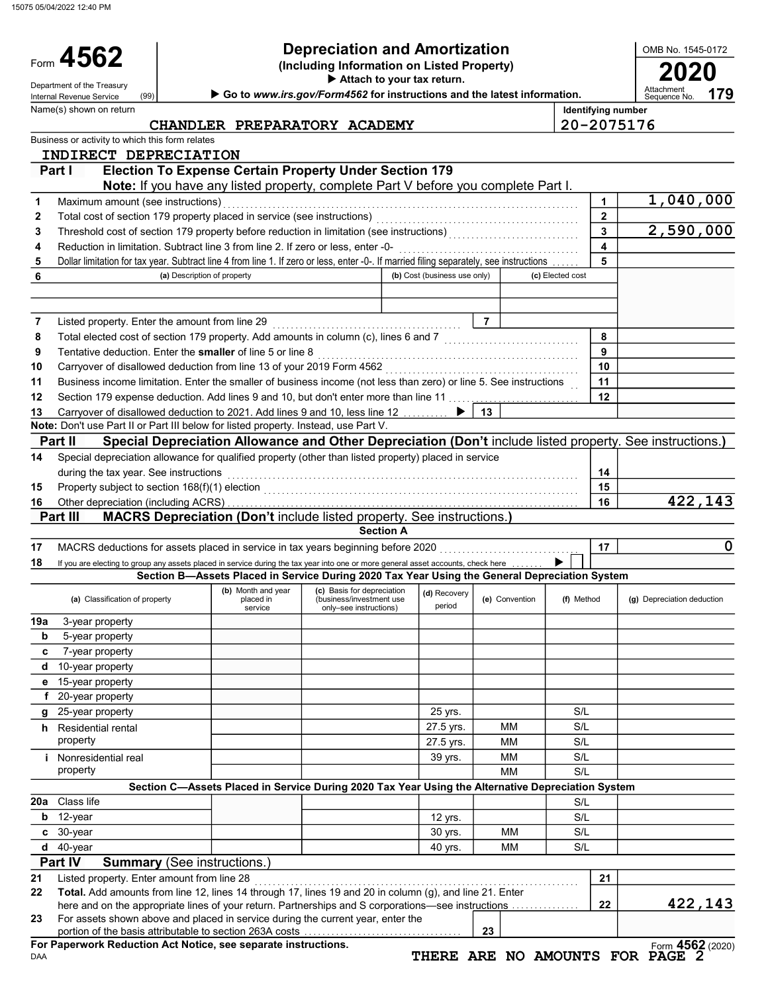15075 05/04/2022 12:40 PM

Name(s) shown on return

(99)

Form 4562

## Depreciation and Amortization

(Including Information on Listed Property) **4562** Depreciation and Amortization<br>(Including Information on Listed Property)<br>Attach to your tax return.

Attach to your tax return.

Department of the Treasury (99) **Department of the Treasury Control of the Service Control of the Treasury Department**<br>Internal Revenue Service (99) **Department Department of the Internal Revenue Roughly Control of the Int** 

179

OMB No. 1545-0172

| CHANDLER PREPARATORY ACADEMY | $ 20 - 2075176$ |
|------------------------------|-----------------|
|                              |                 |

| Identifying number |
|--------------------|
| 20-2075176         |

|     | Business or activity to which this form relates                                                                                                                                       |                                                                                                   |                                                                                  |                              |                |                  |              |                                                                                                          |
|-----|---------------------------------------------------------------------------------------------------------------------------------------------------------------------------------------|---------------------------------------------------------------------------------------------------|----------------------------------------------------------------------------------|------------------------------|----------------|------------------|--------------|----------------------------------------------------------------------------------------------------------|
|     | INDIRECT DEPRECIATION                                                                                                                                                                 |                                                                                                   |                                                                                  |                              |                |                  |              |                                                                                                          |
|     | Part I                                                                                                                                                                                | <b>Election To Expense Certain Property Under Section 179</b>                                     |                                                                                  |                              |                |                  |              |                                                                                                          |
|     |                                                                                                                                                                                       | Note: If you have any listed property, complete Part V before you complete Part I.                |                                                                                  |                              |                |                  |              |                                                                                                          |
| 1   | Maximum amount (see instructions)                                                                                                                                                     |                                                                                                   |                                                                                  |                              |                |                  | 1            | 1,040,000                                                                                                |
| 2   | Total cost of section 179 property placed in service (see instructions)                                                                                                               |                                                                                                   |                                                                                  |                              |                |                  | $\mathbf{2}$ |                                                                                                          |
| 3   |                                                                                                                                                                                       |                                                                                                   |                                                                                  |                              |                |                  | 3            | 2,590,000                                                                                                |
| 4   | Reduction in limitation. Subtract line 3 from line 2. If zero or less, enter -0-                                                                                                      |                                                                                                   |                                                                                  |                              |                |                  | 4<br>5       |                                                                                                          |
| 5   | Dollar limitation for tax year. Subtract line 4 from line 1. If zero or less, enter -0-. If married filing separately, see instructions                                               | (a) Description of property                                                                       |                                                                                  | (b) Cost (business use only) |                | (c) Elected cost |              |                                                                                                          |
| 6   |                                                                                                                                                                                       |                                                                                                   |                                                                                  |                              |                |                  |              |                                                                                                          |
|     |                                                                                                                                                                                       |                                                                                                   |                                                                                  |                              |                |                  |              |                                                                                                          |
| 7   | Listed property. Enter the amount from line 29                                                                                                                                        |                                                                                                   |                                                                                  |                              | $\overline{7}$ |                  |              |                                                                                                          |
| 8   | Total elected cost of section 179 property. Add amounts in column (c), lines 6 and 7 [[[[[[[[[[[[[[[[[[[[[[[[                                                                         |                                                                                                   |                                                                                  |                              |                |                  | 8            |                                                                                                          |
| 9   | Tentative deduction. Enter the smaller of line 5 or line 8                                                                                                                            |                                                                                                   |                                                                                  |                              |                |                  | 9            |                                                                                                          |
| 10  | Carryover of disallowed deduction from line 13 of your 2019 Form 4562                                                                                                                 |                                                                                                   |                                                                                  |                              |                |                  | 10           |                                                                                                          |
| 11  | Business income limitation. Enter the smaller of business income (not less than zero) or line 5. See instructions                                                                     |                                                                                                   |                                                                                  |                              |                |                  | 11           |                                                                                                          |
| 12  | Section 179 expense deduction. Add lines 9 and 10, but don't enter more than line 11                                                                                                  |                                                                                                   |                                                                                  |                              |                |                  | 12           |                                                                                                          |
| 13  | Carryover of disallowed deduction to 2021. Add lines 9 and 10, less line 12 [10, 10].                                                                                                 |                                                                                                   |                                                                                  |                              | 13             |                  |              |                                                                                                          |
|     | Note: Don't use Part II or Part III below for listed property. Instead, use Part V.                                                                                                   |                                                                                                   |                                                                                  |                              |                |                  |              |                                                                                                          |
|     | Part II                                                                                                                                                                               |                                                                                                   |                                                                                  |                              |                |                  |              | Special Depreciation Allowance and Other Depreciation (Don't include listed property. See instructions.) |
| 14  | Special depreciation allowance for qualified property (other than listed property) placed in service                                                                                  |                                                                                                   |                                                                                  |                              |                |                  |              |                                                                                                          |
|     | during the tax year. See instructions                                                                                                                                                 |                                                                                                   |                                                                                  |                              |                |                  | 14           |                                                                                                          |
| 15  |                                                                                                                                                                                       |                                                                                                   |                                                                                  |                              |                |                  | 15           |                                                                                                          |
| 16  |                                                                                                                                                                                       |                                                                                                   |                                                                                  |                              |                |                  | 16           | 422,143                                                                                                  |
|     | Part III                                                                                                                                                                              | MACRS Depreciation (Don't include listed property. See instructions.)                             |                                                                                  |                              |                |                  |              |                                                                                                          |
|     |                                                                                                                                                                                       |                                                                                                   | <b>Section A</b>                                                                 |                              |                |                  |              |                                                                                                          |
| 17  | MACRS deductions for assets placed in service in tax years beginning before 2020                                                                                                      |                                                                                                   |                                                                                  |                              |                |                  | 17           | 0                                                                                                        |
| 18  | If you are electing to group any assets placed in service during the tax year into one or more general asset accounts, check here                                                     |                                                                                                   |                                                                                  |                              |                |                  |              |                                                                                                          |
|     |                                                                                                                                                                                       | Section B-Assets Placed in Service During 2020 Tax Year Using the General Depreciation System     |                                                                                  |                              |                |                  |              |                                                                                                          |
|     | (a) Classification of property                                                                                                                                                        | (b) Month and year<br>placed in<br>service                                                        | (c) Basis for depreciation<br>(business/investment use<br>only-see instructions) | (d) Recovery<br>period       | (e) Convention | (f) Method       |              | (g) Depreciation deduction                                                                               |
| 19a | 3-year property                                                                                                                                                                       |                                                                                                   |                                                                                  |                              |                |                  |              |                                                                                                          |
| b   | 5-year property                                                                                                                                                                       |                                                                                                   |                                                                                  |                              |                |                  |              |                                                                                                          |
| c   | 7-year property                                                                                                                                                                       |                                                                                                   |                                                                                  |                              |                |                  |              |                                                                                                          |
| d   | 10-year property                                                                                                                                                                      |                                                                                                   |                                                                                  |                              |                |                  |              |                                                                                                          |
|     | 15-year property                                                                                                                                                                      |                                                                                                   |                                                                                  |                              |                |                  |              |                                                                                                          |
|     | 20-year property                                                                                                                                                                      |                                                                                                   |                                                                                  |                              |                |                  |              |                                                                                                          |
|     | g 25-year property                                                                                                                                                                    |                                                                                                   |                                                                                  | 25 yrs.                      |                | S/L              |              |                                                                                                          |
|     | <b>h</b> Residential rental                                                                                                                                                           |                                                                                                   |                                                                                  | 27.5 yrs.                    | ΜМ             | S/L              |              |                                                                                                          |
|     | property                                                                                                                                                                              |                                                                                                   |                                                                                  | 27.5 yrs.                    | ΜМ             | S/L              |              |                                                                                                          |
|     | <i>i</i> Nonresidential real                                                                                                                                                          |                                                                                                   |                                                                                  | 39 yrs.                      | ΜМ             | S/L              |              |                                                                                                          |
|     | property                                                                                                                                                                              |                                                                                                   |                                                                                  |                              | <b>MM</b>      | S/L              |              |                                                                                                          |
|     |                                                                                                                                                                                       | Section C-Assets Placed in Service During 2020 Tax Year Using the Alternative Depreciation System |                                                                                  |                              |                |                  |              |                                                                                                          |
| 20a | Class life                                                                                                                                                                            |                                                                                                   |                                                                                  |                              |                | S/L              |              |                                                                                                          |
| b   | 12-year                                                                                                                                                                               |                                                                                                   |                                                                                  | 12 yrs.                      |                | S/L              |              |                                                                                                          |
| C   | 30-year                                                                                                                                                                               |                                                                                                   |                                                                                  | 30 yrs.                      | <b>MM</b>      | S/L              |              |                                                                                                          |
| d   | 40-year                                                                                                                                                                               |                                                                                                   |                                                                                  | 40 yrs.                      | MМ             | S/L              |              |                                                                                                          |
|     | Part IV<br><b>Summary (See instructions.)</b>                                                                                                                                         |                                                                                                   |                                                                                  |                              |                |                  |              |                                                                                                          |
| 21  | Listed property. Enter amount from line 28                                                                                                                                            |                                                                                                   |                                                                                  |                              |                |                  | 21           |                                                                                                          |
| 22  | Total. Add amounts from line 12, lines 14 through 17, lines 19 and 20 in column (g), and line 21. Enter                                                                               |                                                                                                   |                                                                                  |                              |                |                  |              |                                                                                                          |
| 23  | here and on the appropriate lines of your return. Partnerships and S corporations—see instructions<br>For assets shown above and placed in service during the current year, enter the |                                                                                                   |                                                                                  |                              |                |                  | 22           | 422,143                                                                                                  |
|     |                                                                                                                                                                                       |                                                                                                   |                                                                                  |                              | 23             |                  |              |                                                                                                          |
|     | For Paperwork Reduction Act Notice, see separate instructions.                                                                                                                        |                                                                                                   |                                                                                  |                              |                |                  |              | Form 4562 (2020)                                                                                         |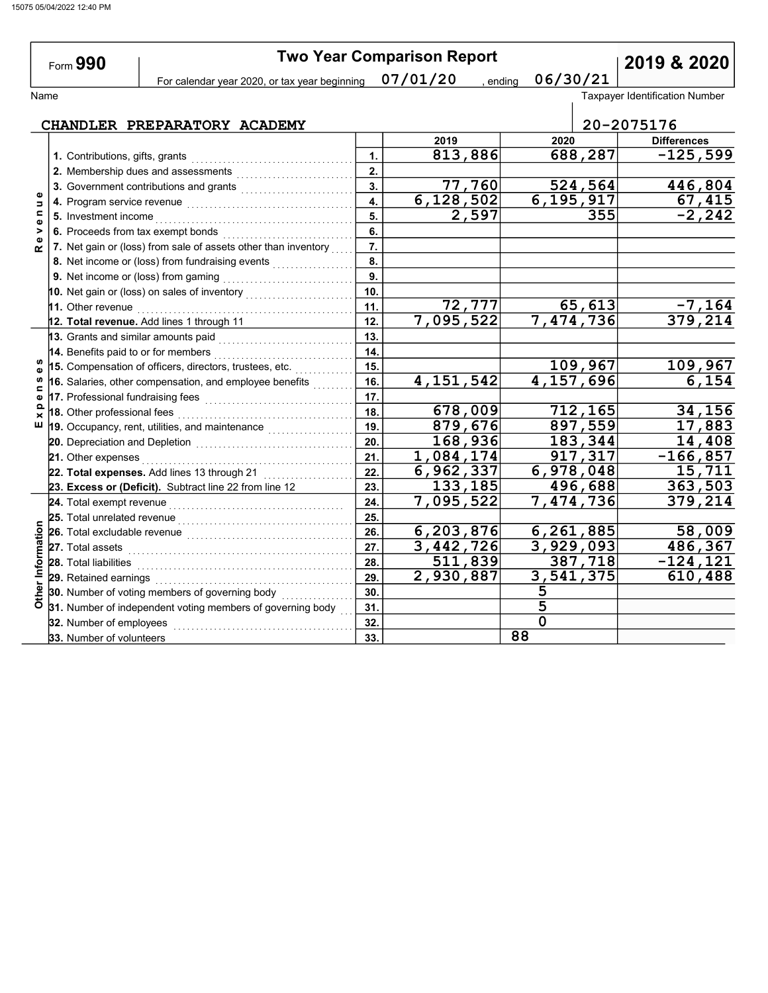|                                         | Form 990                                                              |                                                                                                                                                                                                                                     |                  | <b>Two Year Comparison Report</b> | 2019 & 2020            |                                       |  |  |
|-----------------------------------------|-----------------------------------------------------------------------|-------------------------------------------------------------------------------------------------------------------------------------------------------------------------------------------------------------------------------------|------------------|-----------------------------------|------------------------|---------------------------------------|--|--|
|                                         |                                                                       | For calendar year 2020, or tax year beginning                                                                                                                                                                                       |                  | 07/01/20<br>, ending              | 06/30/21               |                                       |  |  |
| Name                                    |                                                                       |                                                                                                                                                                                                                                     |                  |                                   |                        | <b>Taxpayer Identification Number</b> |  |  |
|                                         |                                                                       |                                                                                                                                                                                                                                     |                  |                                   |                        |                                       |  |  |
|                                         |                                                                       | CHANDLER PREPARATORY ACADEMY                                                                                                                                                                                                        |                  |                                   |                        | 20-2075176                            |  |  |
| Б<br>$\mathbf{C}$<br>Ф<br>><br>$\alpha$ |                                                                       |                                                                                                                                                                                                                                     | 1.               | 2019                              | 2020                   | <b>Differences</b>                    |  |  |
|                                         | 1. Contributions, gifts, grants<br>2. Membership dues and assessments |                                                                                                                                                                                                                                     |                  | 813,886                           | 688,287                | $-125,599$                            |  |  |
|                                         |                                                                       |                                                                                                                                                                                                                                     |                  |                                   |                        |                                       |  |  |
|                                         |                                                                       |                                                                                                                                                                                                                                     |                  | 77,760                            | 524, 564               | 446,804                               |  |  |
|                                         |                                                                       | 4. Program service revenue [[[[[[[[[[[[[[[[[[[[[[[[[[[]]]]]]]]]                                                                                                                                                                     | 4.               | 6,128,502                         | 6, 195, 917            | 67,415                                |  |  |
|                                         |                                                                       |                                                                                                                                                                                                                                     | 5.               | 2,597                             | 355                    | $-2, 242$                             |  |  |
|                                         |                                                                       | 6. Proceeds from tax exempt bonds<br>[[20]<br>interacts and contracts are contracted from the contract of the contract of the contract of the contract of the contract of the contract of the contract of the contract of the cont  | 6.               |                                   |                        |                                       |  |  |
|                                         |                                                                       | 7. Net gain or (loss) from sale of assets other than inventory                                                                                                                                                                      | $\overline{7}$ . |                                   |                        |                                       |  |  |
|                                         |                                                                       | 8. Net income or (loss) from fundraising events <i>minimizing</i> .                                                                                                                                                                 | 8.               |                                   |                        |                                       |  |  |
|                                         |                                                                       |                                                                                                                                                                                                                                     | $\overline{9}$ . |                                   |                        |                                       |  |  |
|                                         |                                                                       | 10. Net gain or (loss) on sales of inventory $\begin{array}{ c c }\n\hline\n\text{10.} & \text{Net gain} & \text{if } \mathcal{N} \\ \hline\n\end{array}$                                                                           | 10.              |                                   |                        |                                       |  |  |
|                                         |                                                                       | 11. Other revenue                                                                                                                                                                                                                   | 11.              | <u>72,777  </u>                   | 65,613                 | $-7, 164$                             |  |  |
|                                         |                                                                       | 12. Total revenue. Add lines 1 through 11                                                                                                                                                                                           | 12.              | 7,095,522                         | 7,474,736              | 379,214                               |  |  |
| w<br>w<br>⊆<br>Q<br>×                   |                                                                       | 13. Grants and similar amounts paid                                                                                                                                                                                                 | 13.              |                                   |                        |                                       |  |  |
|                                         |                                                                       | 14. Benefits paid to or for members                                                                                                                                                                                                 | 14.              |                                   |                        |                                       |  |  |
|                                         |                                                                       | 15. Compensation of officers, directors, trustees, etc.                                                                                                                                                                             | 15.              |                                   | 109,967                | 109,967                               |  |  |
|                                         |                                                                       | 16. Salaries, other compensation, and employee benefits                                                                                                                                                                             | 16.              | 4, 151, 542                       | 4,157,696              | 6,154                                 |  |  |
|                                         |                                                                       | 17. Professional fundraising fees www.communities.                                                                                                                                                                                  | 17.              |                                   |                        |                                       |  |  |
|                                         |                                                                       | 18. Other professional fees                                                                                                                                                                                                         | 18.              | 678,009                           | 712,165                | 34,156                                |  |  |
| ш                                       |                                                                       | 19. Occupancy, rent, utilities, and maintenance <b>constant of the control</b>                                                                                                                                                      | 19.              | 879,676                           | 897,559                | 17,883                                |  |  |
|                                         |                                                                       |                                                                                                                                                                                                                                     | 20.              | 168,936                           | 183,344                | 14,408                                |  |  |
|                                         |                                                                       | 21. Other expenses                                                                                                                                                                                                                  | 21.              | 1,084,174                         | 917,317                | $-166,857$                            |  |  |
|                                         |                                                                       | 22. Total expenses. Add lines 13 through 21                                                                                                                                                                                         | 22.              | 6,962,337                         | 6,978,048              | 15,711                                |  |  |
|                                         |                                                                       | 23. Excess or (Deficit). Subtract line 22 from line 12                                                                                                                                                                              | 23.              | 133,185                           | 496,688                | 363,503                               |  |  |
|                                         |                                                                       |                                                                                                                                                                                                                                     | 24.              | 7,095,522                         | 7,474,736              | 379,214                               |  |  |
|                                         |                                                                       | 25. Total unrelated revenue <i>communically</i> contained a set of the set of the set of the set of the set of the set of the set of the set of the set of the set of the set of the set of the set of the set of the set of the se | 25.              |                                   |                        |                                       |  |  |
|                                         |                                                                       | 26. Total excludable revenue                                                                                                                                                                                                        | 26.              | 6, 203, 876                       | 6,261,885              | 58,009                                |  |  |
|                                         |                                                                       | 27. Total assets                                                                                                                                                                                                                    | 27.              | 3,442,726                         | $\overline{3,929,093}$ | 486,367                               |  |  |
|                                         |                                                                       | 28. Total liabilities                                                                                                                                                                                                               | 28.              | $\overline{511}$ , 839            | 387,718                | $-124, 121$                           |  |  |
|                                         |                                                                       | 29. Retained earnings                                                                                                                                                                                                               | 29.              | $\overline{2,930,887}$            | 3,541,375              | 610,488                               |  |  |
| Other Information                       |                                                                       | 30. Number of voting members of governing body                                                                                                                                                                                      | 30.              |                                   | 5                      |                                       |  |  |
|                                         |                                                                       | 31. Number of independent voting members of governing body                                                                                                                                                                          | 31.              |                                   | 5                      |                                       |  |  |

32.

 $\overline{0}$ 

88

32. Number of employees . . . . . . . . . . . . . . . . . . . . . . . . . . . . . . . . . . . . . . . . 33. Number of volunteers 33.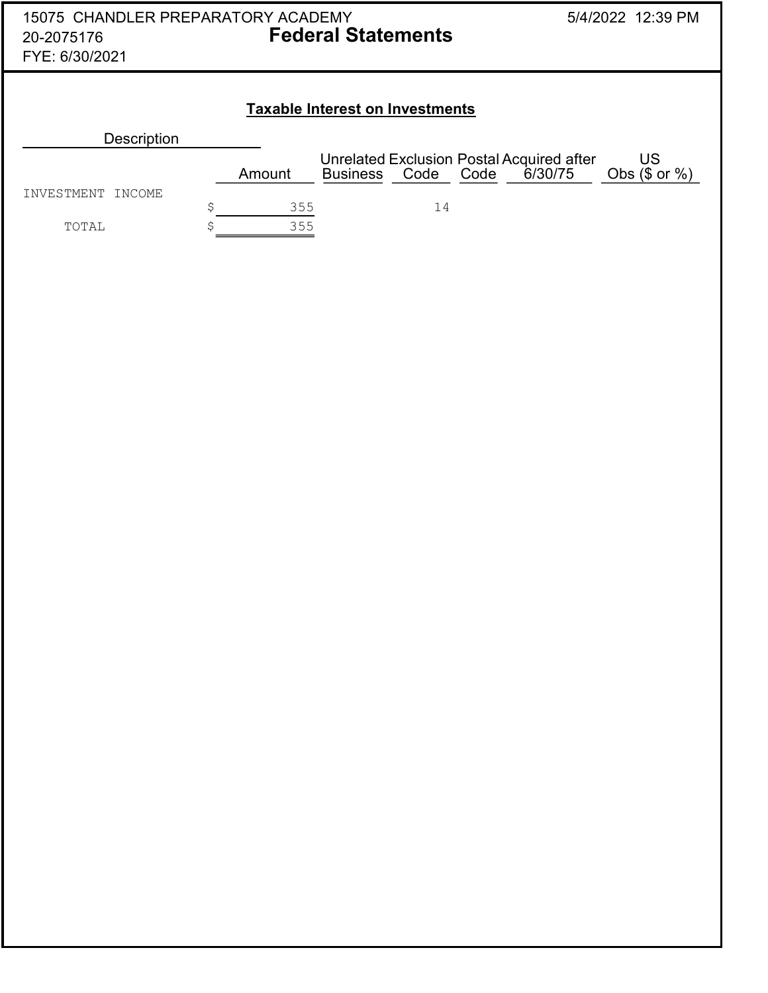| 15075 CHANDLER PREPARATORY ACADEMY<br>20-2075176<br>FYE: 6/30/2021 | <b>Federal Statements</b>                                                              | 5/4/2022 12:39 PM                   |  |  |  |  |  |  |  |  |  |  |
|--------------------------------------------------------------------|----------------------------------------------------------------------------------------|-------------------------------------|--|--|--|--|--|--|--|--|--|--|
| <b>Taxable Interest on Investments</b>                             |                                                                                        |                                     |  |  |  |  |  |  |  |  |  |  |
| <b>Description</b>                                                 |                                                                                        |                                     |  |  |  |  |  |  |  |  |  |  |
|                                                                    | Unrelated Exclusion Postal Acquired after<br>Code<br>Code<br><b>Business</b><br>Amount | US<br>6/30/75<br>Obs $(\$$ or $%$ ) |  |  |  |  |  |  |  |  |  |  |
| INCOME<br>INVESTMENT                                               |                                                                                        |                                     |  |  |  |  |  |  |  |  |  |  |
|                                                                    | \$<br>355<br>14                                                                        |                                     |  |  |  |  |  |  |  |  |  |  |
| TOTAL                                                              | 355                                                                                    |                                     |  |  |  |  |  |  |  |  |  |  |